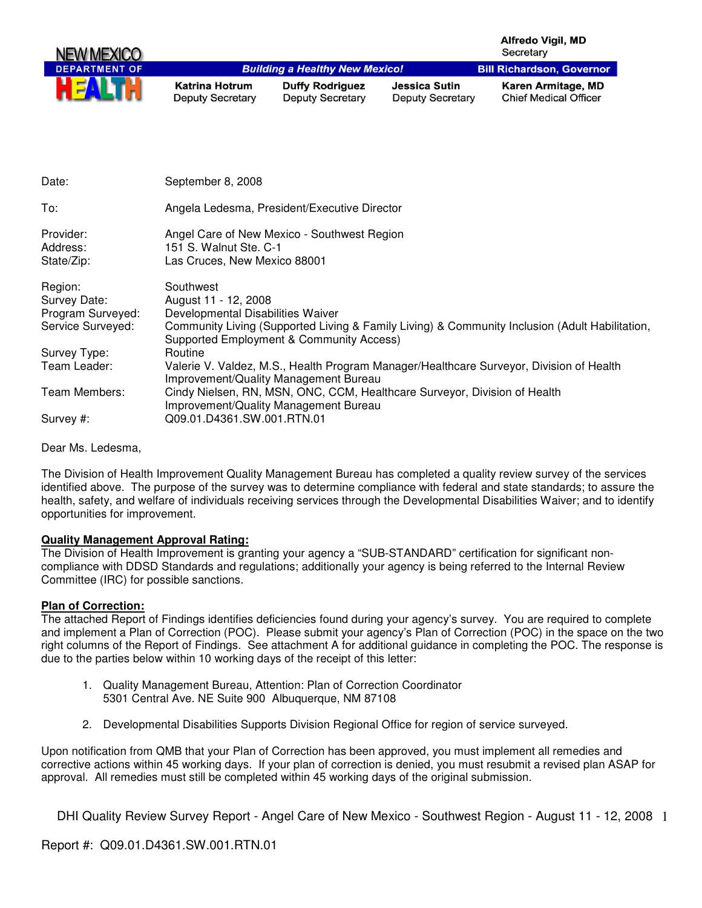| <b>NEW MEXICO</b>    |                                           |                                                   |                                                 | <b>Alfredo Vigil, MD</b><br>Secretary              |
|----------------------|-------------------------------------------|---------------------------------------------------|-------------------------------------------------|----------------------------------------------------|
| <b>DEPARTMENT OF</b> |                                           | <b>Building a Healthy New Mexico!</b>             |                                                 | <b>Bill Richardson, Governor</b>                   |
| HEA                  | Katrina Hotrum<br><b>Deputy Secretary</b> | <b>Duffy Rodriguez</b><br><b>Deputy Secretary</b> | <b>Jessica Sutin</b><br><b>Deputy Secretary</b> | Karen Armitage, MD<br><b>Chief Medical Officer</b> |

| Date:                                                             | September 8, 2008                                                                                                                                                                                                    |
|-------------------------------------------------------------------|----------------------------------------------------------------------------------------------------------------------------------------------------------------------------------------------------------------------|
| To:                                                               | Angela Ledesma, President/Executive Director                                                                                                                                                                         |
| Provider:<br>Address:<br>State/Zip:                               | Angel Care of New Mexico - Southwest Region<br>151 S. Walnut Ste. C-1<br>Las Cruces, New Mexico 88001                                                                                                                |
| Region:<br>Survey Date:<br>Program Surveyed:<br>Service Surveyed: | Southwest<br>August 11 - 12, 2008<br>Developmental Disabilities Waiver<br>Community Living (Supported Living & Family Living) & Community Inclusion (Adult Habilitation,<br>Supported Employment & Community Access) |
| Survey Type:                                                      | Routine                                                                                                                                                                                                              |
| Team Leader:                                                      | Valerie V. Valdez, M.S., Health Program Manager/Healthcare Surveyor, Division of Health<br>Improvement/Quality Management Bureau                                                                                     |
| Team Members:                                                     | Cindy Nielsen, RN, MSN, ONC, CCM, Healthcare Surveyor, Division of Health<br>Improvement/Quality Management Bureau                                                                                                   |
| Survey #:                                                         | Q09.01.D4361.SW.001.RTN.01                                                                                                                                                                                           |

Dear Ms. Ledesma,

The Division of Health Improvement Quality Management Bureau has completed a quality review survey of the services identified above. The purpose of the survey was to determine compliance with federal and state standards; to assure the health, safety, and welfare of individuals receiving services through the Developmental Disabilities Waiver; and to identify opportunities for improvement.

## **Quality Management Approval Rating:**

The Division of Health Improvement is granting your agency a "SUB-STANDARD" certification for significant noncompliance with DDSD Standards and regulations; additionally your agency is being referred to the Internal Review Committee (IRC) for possible sanctions.

## **Plan of Correction:**

The attached Report of Findings identifies deficiencies found during your agency's survey. You are required to complete and implement a Plan of Correction (POC). Please submit your agency's Plan of Correction (POC) in the space on the two right columns of the Report of Findings. See attachment A for additional guidance in completing the POC. The response is due to the parties below within 10 working days of the receipt of this letter:

- 1. Quality Management Bureau, Attention: Plan of Correction Coordinator 5301 Central Ave. NE Suite 900 Albuquerque, NM 87108
- 2. Developmental Disabilities Supports Division Regional Office for region of service surveyed.

Upon notification from QMB that your Plan of Correction has been approved, you must implement all remedies and corrective actions within 45 working days. If your plan of correction is denied, you must resubmit a revised plan ASAP for approval. All remedies must still be completed within 45 working days of the original submission.

DHI Quality Review Survey Report - Angel Care of New Mexico - Southwest Region - August 11 - 12, 2008 1

Report #: Q09.01.D4361.SW.001.RTN.01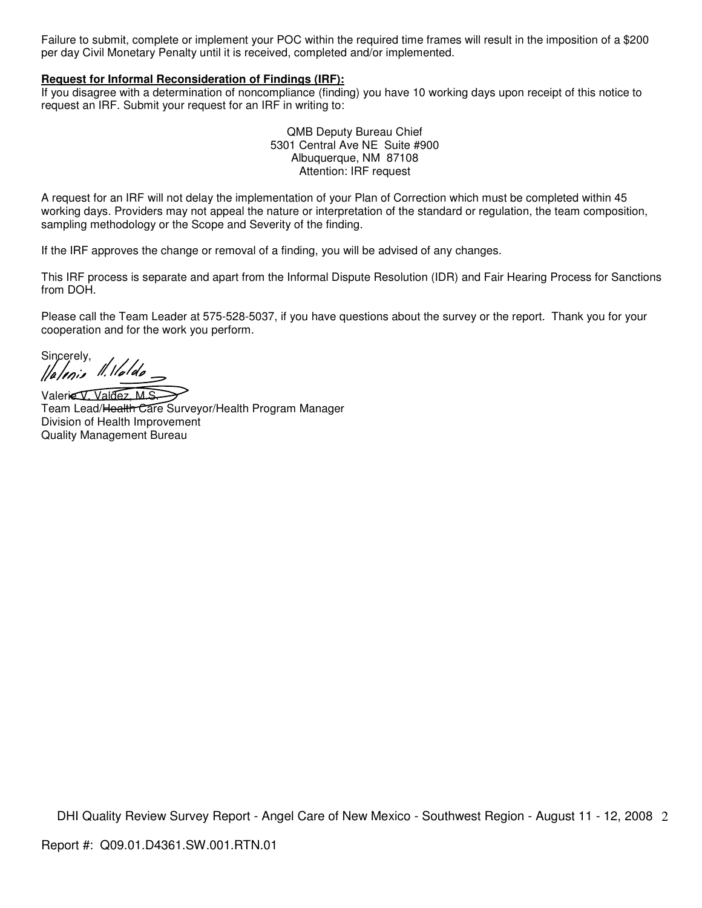Failure to submit, complete or implement your POC within the required time frames will result in the imposition of a \$200 per day Civil Monetary Penalty until it is received, completed and/or implemented.

#### **Request for Informal Reconsideration of Findings (IRF):**

If you disagree with a determination of noncompliance (finding) you have 10 working days upon receipt of this notice to request an IRF. Submit your request for an IRF in writing to:

> QMB Deputy Bureau Chief 5301 Central Ave NE Suite #900 Albuquerque, NM 87108 Attention: IRF request

A request for an IRF will not delay the implementation of your Plan of Correction which must be completed within 45 working days. Providers may not appeal the nature or interpretation of the standard or regulation, the team composition, sampling methodology or the Scope and Severity of the finding.

If the IRF approves the change or removal of a finding, you will be advised of any changes.

This IRF process is separate and apart from the Informal Dispute Resolution (IDR) and Fair Hearing Process for Sanctions from DOH.

Please call the Team Leader at 575-528-5037, if you have questions about the survey or the report. Thank you for your cooperation and for the work you perform.

Sincerely,<br>*[fa/enis |l. llalda*]

Valerie V. Valdez, M.S. Team Lead/Health Care Surveyor/Health Program Manager Division of Health Improvement Quality Management Bureau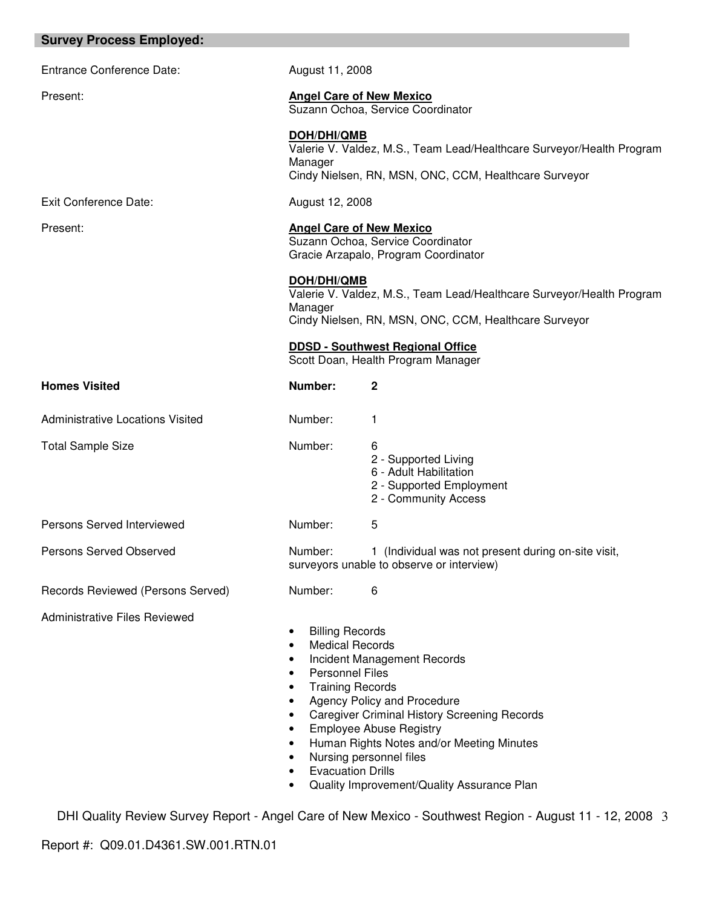| <b>Survey Process Employed:</b>         |                                                                                                                                                                                                                                                                                                                                                                                                                                                                                                        |                                                                                                                                |  |
|-----------------------------------------|--------------------------------------------------------------------------------------------------------------------------------------------------------------------------------------------------------------------------------------------------------------------------------------------------------------------------------------------------------------------------------------------------------------------------------------------------------------------------------------------------------|--------------------------------------------------------------------------------------------------------------------------------|--|
| <b>Entrance Conference Date:</b>        | August 11, 2008                                                                                                                                                                                                                                                                                                                                                                                                                                                                                        |                                                                                                                                |  |
| Present:                                |                                                                                                                                                                                                                                                                                                                                                                                                                                                                                                        | <b>Angel Care of New Mexico</b><br>Suzann Ochoa, Service Coordinator                                                           |  |
|                                         | DOH/DHI/QMB<br>Manager                                                                                                                                                                                                                                                                                                                                                                                                                                                                                 | Valerie V. Valdez, M.S., Team Lead/Healthcare Surveyor/Health Program<br>Cindy Nielsen, RN, MSN, ONC, CCM, Healthcare Surveyor |  |
| <b>Exit Conference Date:</b>            | August 12, 2008                                                                                                                                                                                                                                                                                                                                                                                                                                                                                        |                                                                                                                                |  |
| Present:                                |                                                                                                                                                                                                                                                                                                                                                                                                                                                                                                        | <b>Angel Care of New Mexico</b><br>Suzann Ochoa, Service Coordinator<br>Gracie Arzapalo, Program Coordinator                   |  |
|                                         | <b>DOH/DHI/QMB</b><br>Manager                                                                                                                                                                                                                                                                                                                                                                                                                                                                          | Valerie V. Valdez, M.S., Team Lead/Healthcare Surveyor/Health Program<br>Cindy Nielsen, RN, MSN, ONC, CCM, Healthcare Surveyor |  |
|                                         |                                                                                                                                                                                                                                                                                                                                                                                                                                                                                                        | <b>DDSD - Southwest Regional Office</b><br>Scott Doan, Health Program Manager                                                  |  |
| <b>Homes Visited</b>                    | Number:                                                                                                                                                                                                                                                                                                                                                                                                                                                                                                | 2                                                                                                                              |  |
| <b>Administrative Locations Visited</b> | Number:                                                                                                                                                                                                                                                                                                                                                                                                                                                                                                | 1                                                                                                                              |  |
| <b>Total Sample Size</b>                | Number:                                                                                                                                                                                                                                                                                                                                                                                                                                                                                                | 6<br>2 - Supported Living<br>6 - Adult Habilitation<br>2 - Supported Employment<br>2 - Community Access                        |  |
| Persons Served Interviewed              | Number:                                                                                                                                                                                                                                                                                                                                                                                                                                                                                                | 5                                                                                                                              |  |
| Persons Served Observed                 | Number:                                                                                                                                                                                                                                                                                                                                                                                                                                                                                                | 1 (Individual was not present during on-site visit,<br>surveyors unable to observe or interview)                               |  |
| Records Reviewed (Persons Served)       | Number:                                                                                                                                                                                                                                                                                                                                                                                                                                                                                                | 6                                                                                                                              |  |
| <b>Administrative Files Reviewed</b>    | <b>Billing Records</b><br>٠<br><b>Medical Records</b><br>٠<br>Incident Management Records<br>$\bullet$<br><b>Personnel Files</b><br>$\bullet$<br><b>Training Records</b><br>$\bullet$<br>Agency Policy and Procedure<br>$\bullet$<br><b>Caregiver Criminal History Screening Records</b><br>$\bullet$<br><b>Employee Abuse Registry</b><br>$\bullet$<br>Human Rights Notes and/or Meeting Minutes<br>Nursing personnel files<br><b>Evacuation Drills</b><br>Quality Improvement/Quality Assurance Plan |                                                                                                                                |  |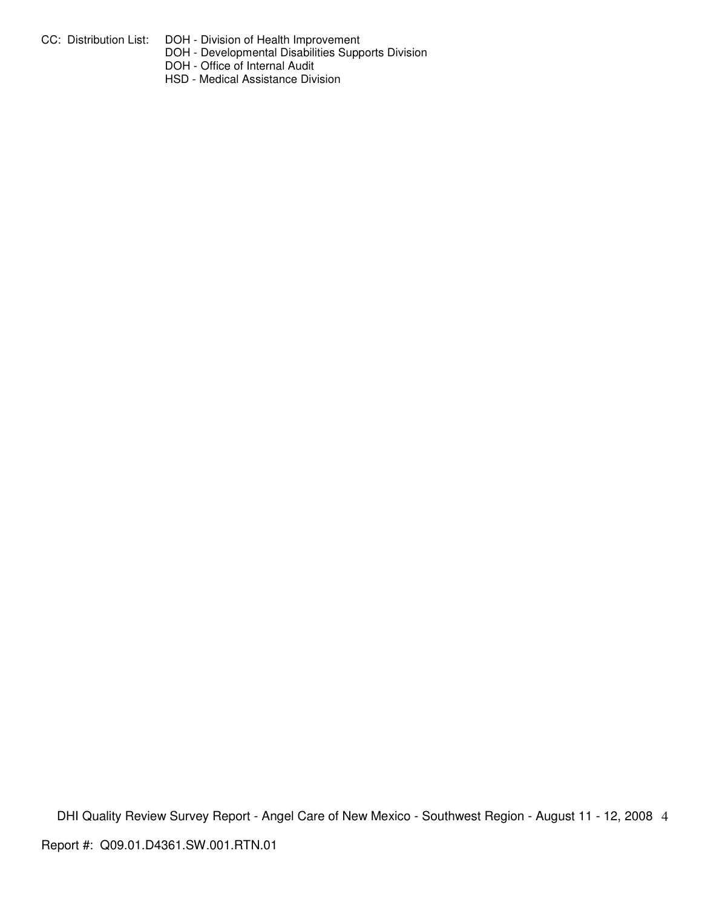- CC: Distribution List: DOH Division of Health Improvement
	- DOH Developmental Disabilities Supports Division
	- DOH Office of Internal Audit
	- HSD Medical Assistance Division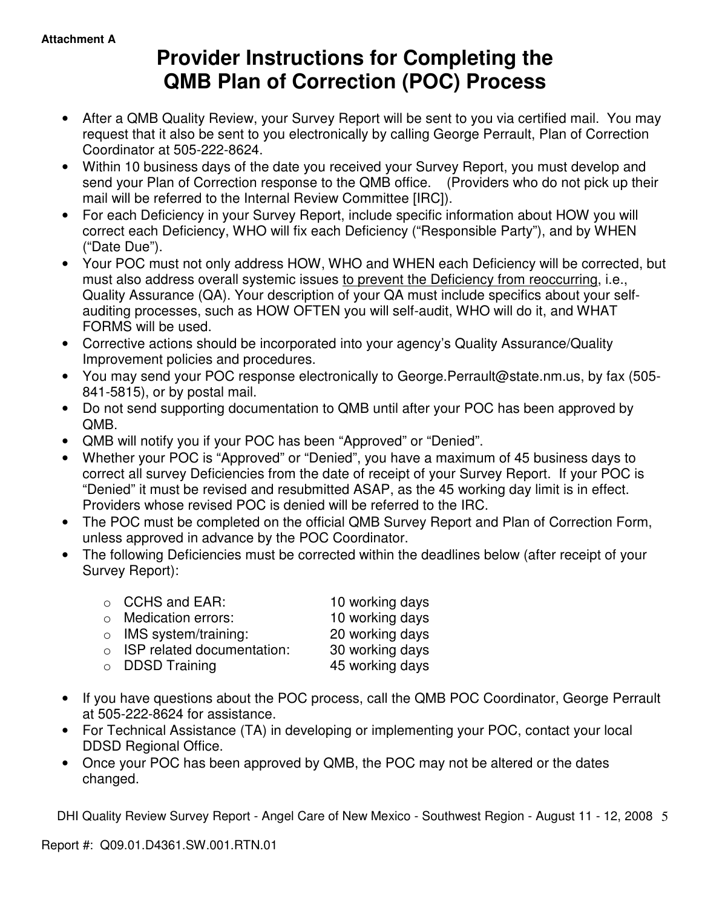# **Provider Instructions for Completing the QMB Plan of Correction (POC) Process**

- After a QMB Quality Review, your Survey Report will be sent to you via certified mail. You may request that it also be sent to you electronically by calling George Perrault, Plan of Correction Coordinator at 505-222-8624.
- Within 10 business days of the date you received your Survey Report, you must develop and send your Plan of Correction response to the QMB office. (Providers who do not pick up their mail will be referred to the Internal Review Committee [IRC]).
- For each Deficiency in your Survey Report, include specific information about HOW you will correct each Deficiency, WHO will fix each Deficiency ("Responsible Party"), and by WHEN ("Date Due").
- Your POC must not only address HOW, WHO and WHEN each Deficiency will be corrected, but must also address overall systemic issues to prevent the Deficiency from reoccurring, i.e., Quality Assurance (QA). Your description of your QA must include specifics about your selfauditing processes, such as HOW OFTEN you will self-audit, WHO will do it, and WHAT FORMS will be used.
- Corrective actions should be incorporated into your agency's Quality Assurance/Quality Improvement policies and procedures.
- You may send your POC response electronically to George.Perrault@state.nm.us, by fax (505- 841-5815), or by postal mail.
- Do not send supporting documentation to QMB until after your POC has been approved by QMB.
- QMB will notify you if your POC has been "Approved" or "Denied".
- Whether your POC is "Approved" or "Denied", you have a maximum of 45 business days to correct all survey Deficiencies from the date of receipt of your Survey Report. If your POC is "Denied" it must be revised and resubmitted ASAP, as the 45 working day limit is in effect. Providers whose revised POC is denied will be referred to the IRC.
- The POC must be completed on the official QMB Survey Report and Plan of Correction Form, unless approved in advance by the POC Coordinator.
- The following Deficiencies must be corrected within the deadlines below (after receipt of your Survey Report):

| $\circ$ CCHS and EAR:              | 10 working days |
|------------------------------------|-----------------|
| $\circ$ Medication errors:         | 10 working days |
| $\circ$ IMS system/training:       | 20 working days |
| $\circ$ ISP related documentation: | 30 working days |
|                                    |                 |
| o DDSD Training                    | 45 working days |

- If you have questions about the POC process, call the QMB POC Coordinator, George Perrault at 505-222-8624 for assistance.
- For Technical Assistance (TA) in developing or implementing your POC, contact your local DDSD Regional Office.
- Once your POC has been approved by QMB, the POC may not be altered or the dates changed.

DHI Quality Review Survey Report - Angel Care of New Mexico - Southwest Region - August 11 - 12, 2008 5

Report #: Q09.01.D4361.SW.001.RTN.01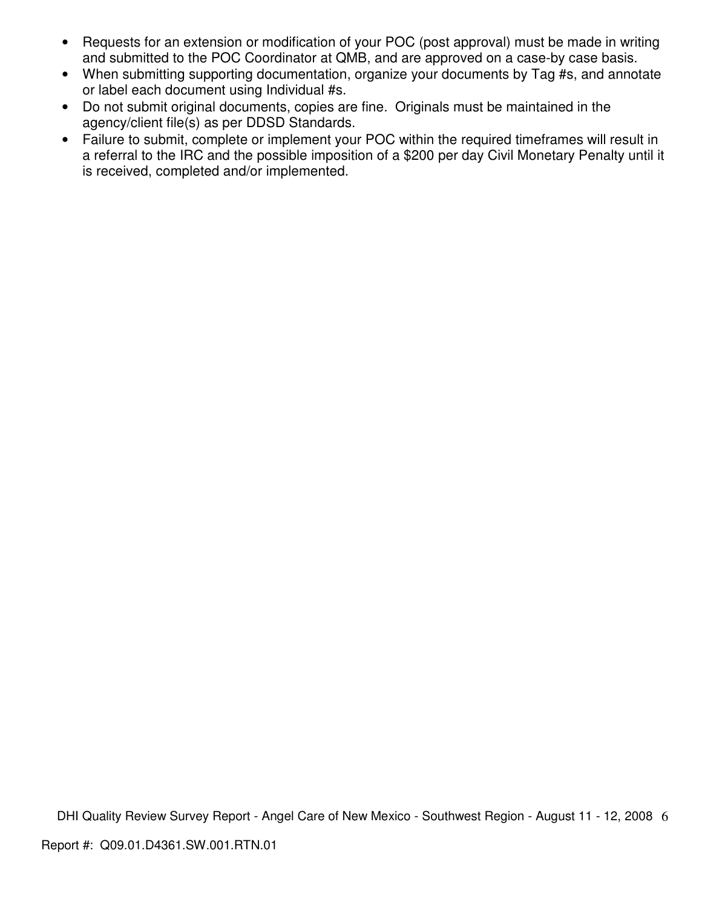- Requests for an extension or modification of your POC (post approval) must be made in writing and submitted to the POC Coordinator at QMB, and are approved on a case-by case basis.
- When submitting supporting documentation, organize your documents by Tag #s, and annotate or label each document using Individual #s.
- Do not submit original documents, copies are fine. Originals must be maintained in the agency/client file(s) as per DDSD Standards.
- Failure to submit, complete or implement your POC within the required timeframes will result in a referral to the IRC and the possible imposition of a \$200 per day Civil Monetary Penalty until it is received, completed and/or implemented.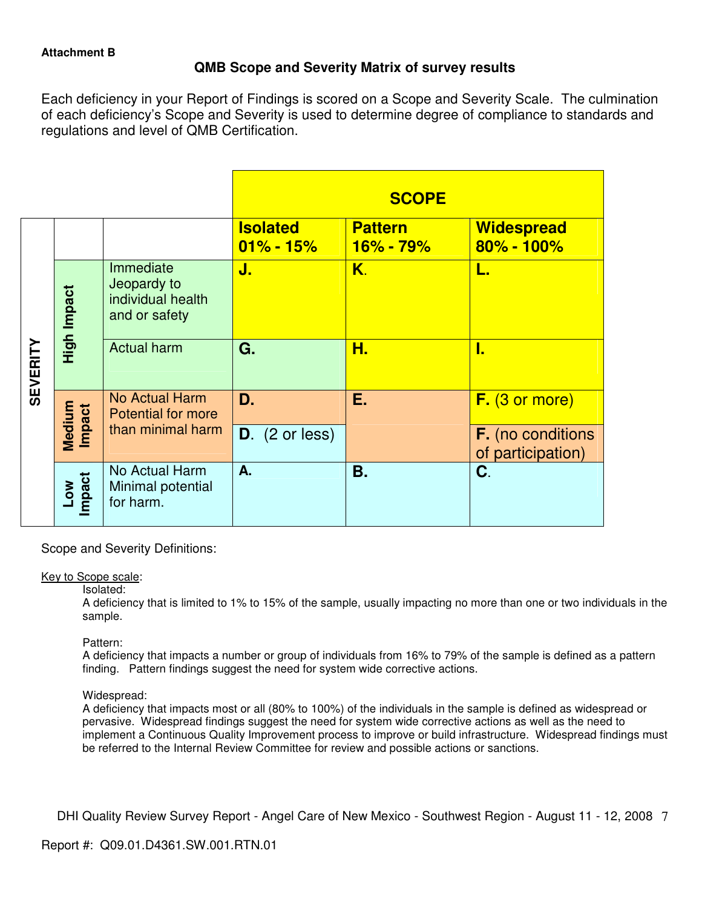## **QMB Scope and Severity Matrix of survey results**

Each deficiency in your Report of Findings is scored on a Scope and Severity Scale. The culmination of each deficiency's Scope and Severity is used to determine degree of compliance to standards and regulations and level of QMB Certification.

|                 |                      |                                                                |                                  | <b>SCOPE</b>                    |                                               |
|-----------------|----------------------|----------------------------------------------------------------|----------------------------------|---------------------------------|-----------------------------------------------|
|                 |                      |                                                                | <b>Isolated</b><br>$01\% - 15\%$ | <b>Pattern</b><br>$16\% - 79\%$ | <b>Widespread</b><br>$80\% - 100\%$           |
|                 | High Impact          | Immediate<br>Jeopardy to<br>individual health<br>and or safety | J.                               | K.                              | L.                                            |
| <b>SEVERITY</b> |                      | <b>Actual harm</b>                                             | G.                               | Н.                              | I.                                            |
|                 |                      | No Actual Harm<br><b>Potential for more</b>                    | D.                               | Е.                              | F. (3 or more)                                |
|                 | Medium<br>Impact     | than minimal harm                                              | $D.$ (2 or less)                 |                                 | <b>F.</b> (no conditions<br>of participation) |
|                 | <b>Impact</b><br>Low | No Actual Harm<br>Minimal potential<br>for harm.               | А.                               | <b>B.</b>                       | C.                                            |

Scope and Severity Definitions:

## Key to Scope scale:

Isolated:

A deficiency that is limited to 1% to 15% of the sample, usually impacting no more than one or two individuals in the sample.

## Pattern:

A deficiency that impacts a number or group of individuals from 16% to 79% of the sample is defined as a pattern finding. Pattern findings suggest the need for system wide corrective actions.

## Widespread:

A deficiency that impacts most or all (80% to 100%) of the individuals in the sample is defined as widespread or pervasive. Widespread findings suggest the need for system wide corrective actions as well as the need to implement a Continuous Quality Improvement process to improve or build infrastructure. Widespread findings must be referred to the Internal Review Committee for review and possible actions or sanctions.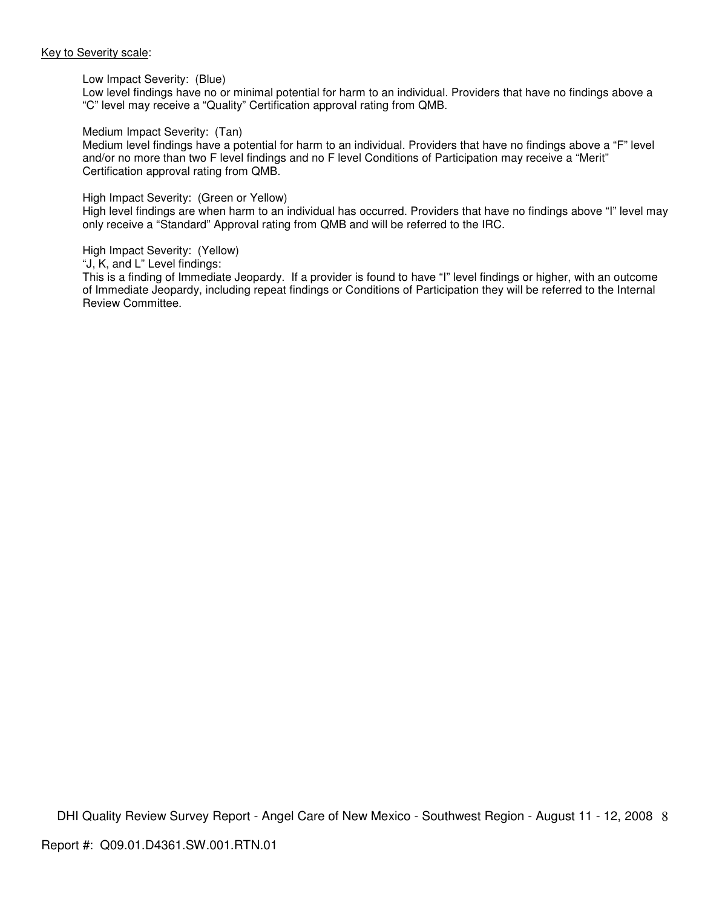#### Key to Severity scale:

#### Low Impact Severity: (Blue)

Low level findings have no or minimal potential for harm to an individual. Providers that have no findings above a "C" level may receive a "Quality" Certification approval rating from QMB.

#### Medium Impact Severity: (Tan)

Medium level findings have a potential for harm to an individual. Providers that have no findings above a "F" level and/or no more than two F level findings and no F level Conditions of Participation may receive a "Merit" Certification approval rating from QMB.

#### High Impact Severity: (Green or Yellow)

High level findings are when harm to an individual has occurred. Providers that have no findings above "I" level may only receive a "Standard" Approval rating from QMB and will be referred to the IRC.

High Impact Severity: (Yellow)

"J, K, and L" Level findings:

This is a finding of Immediate Jeopardy. If a provider is found to have "I" level findings or higher, with an outcome of Immediate Jeopardy, including repeat findings or Conditions of Participation they will be referred to the Internal Review Committee.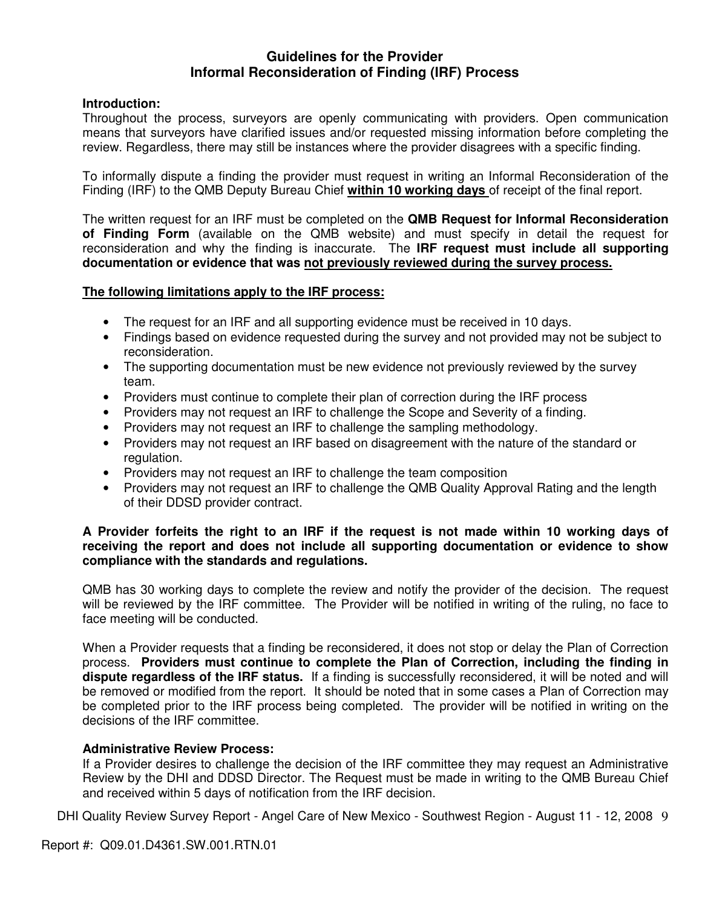## **Guidelines for the Provider Informal Reconsideration of Finding (IRF) Process**

## **Introduction:**

Throughout the process, surveyors are openly communicating with providers. Open communication means that surveyors have clarified issues and/or requested missing information before completing the review. Regardless, there may still be instances where the provider disagrees with a specific finding.

To informally dispute a finding the provider must request in writing an Informal Reconsideration of the Finding (IRF) to the QMB Deputy Bureau Chief **within 10 working days** of receipt of the final report.

The written request for an IRF must be completed on the **QMB Request for Informal Reconsideration of Finding Form** (available on the QMB website) and must specify in detail the request for reconsideration and why the finding is inaccurate. The **IRF request must include all supporting documentation or evidence that was not previously reviewed during the survey process.** 

## **The following limitations apply to the IRF process:**

- The request for an IRF and all supporting evidence must be received in 10 days.
- Findings based on evidence requested during the survey and not provided may not be subject to reconsideration.
- The supporting documentation must be new evidence not previously reviewed by the survey team.
- Providers must continue to complete their plan of correction during the IRF process
- Providers may not request an IRF to challenge the Scope and Severity of a finding.
- Providers may not request an IRF to challenge the sampling methodology.
- Providers may not request an IRF based on disagreement with the nature of the standard or regulation.
- Providers may not request an IRF to challenge the team composition
- Providers may not request an IRF to challenge the QMB Quality Approval Rating and the length of their DDSD provider contract.

## **A Provider forfeits the right to an IRF if the request is not made within 10 working days of receiving the report and does not include all supporting documentation or evidence to show compliance with the standards and regulations.**

QMB has 30 working days to complete the review and notify the provider of the decision. The request will be reviewed by the IRF committee. The Provider will be notified in writing of the ruling, no face to face meeting will be conducted.

When a Provider requests that a finding be reconsidered, it does not stop or delay the Plan of Correction process. **Providers must continue to complete the Plan of Correction, including the finding in dispute regardless of the IRF status.** If a finding is successfully reconsidered, it will be noted and will be removed or modified from the report. It should be noted that in some cases a Plan of Correction may be completed prior to the IRF process being completed. The provider will be notified in writing on the decisions of the IRF committee.

## **Administrative Review Process:**

If a Provider desires to challenge the decision of the IRF committee they may request an Administrative Review by the DHI and DDSD Director. The Request must be made in writing to the QMB Bureau Chief and received within 5 days of notification from the IRF decision.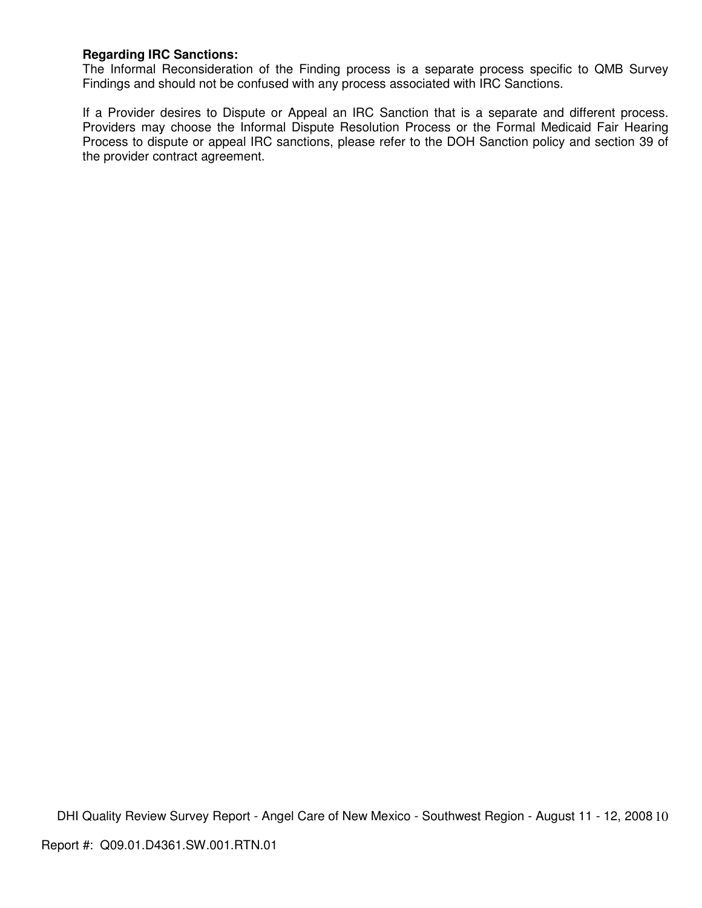## **Regarding IRC Sanctions:**

The Informal Reconsideration of the Finding process is a separate process specific to QMB Survey Findings and should not be confused with any process associated with IRC Sanctions.

If a Provider desires to Dispute or Appeal an IRC Sanction that is a separate and different process. Providers may choose the Informal Dispute Resolution Process or the Formal Medicaid Fair Hearing Process to dispute or appeal IRC sanctions, please refer to the DOH Sanction policy and section 39 of the provider contract agreement.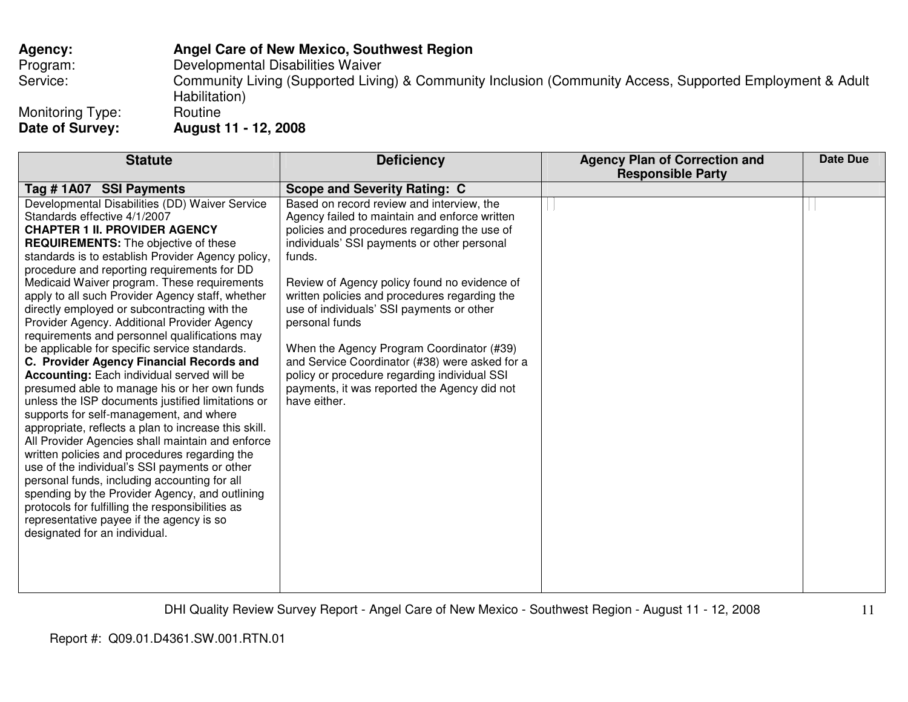## **Agency: Angel Care of New Mexico, Southwest Region**

Program: Developmental Disabilities Waiver

Service: Community Living (Supported Living) & Community Inclusion (Community Access, Supported Employment & Adult Habilitation)<br>Routine

Monitoring Type:<br>Date of Survey:

**Date of Survey: August 11 - 12, 2008** 

| Tag #1A07 SSI Payments<br><b>Scope and Severity Rating: C</b><br>Developmental Disabilities (DD) Waiver Service<br>Based on record review and interview, the<br>Standards effective 4/1/2007<br>Agency failed to maintain and enforce written<br><b>CHAPTER 1 II. PROVIDER AGENCY</b><br>policies and procedures regarding the use of<br>individuals' SSI payments or other personal<br><b>REQUIREMENTS:</b> The objective of these<br>standards is to establish Provider Agency policy,<br>funds.<br>procedure and reporting requirements for DD                                                                                                                                                                                                                                                                                                                                                                                                                                                                                                                                                                                                                                                                                                                                                                                                                                 | <b>Date Due</b> |
|-----------------------------------------------------------------------------------------------------------------------------------------------------------------------------------------------------------------------------------------------------------------------------------------------------------------------------------------------------------------------------------------------------------------------------------------------------------------------------------------------------------------------------------------------------------------------------------------------------------------------------------------------------------------------------------------------------------------------------------------------------------------------------------------------------------------------------------------------------------------------------------------------------------------------------------------------------------------------------------------------------------------------------------------------------------------------------------------------------------------------------------------------------------------------------------------------------------------------------------------------------------------------------------------------------------------------------------------------------------------------------------|-----------------|
|                                                                                                                                                                                                                                                                                                                                                                                                                                                                                                                                                                                                                                                                                                                                                                                                                                                                                                                                                                                                                                                                                                                                                                                                                                                                                                                                                                                   |                 |
| Medicaid Waiver program. These requirements<br>Review of Agency policy found no evidence of<br>apply to all such Provider Agency staff, whether<br>written policies and procedures regarding the<br>directly employed or subcontracting with the<br>use of individuals' SSI payments or other<br>Provider Agency. Additional Provider Agency<br>personal funds<br>requirements and personnel qualifications may<br>be applicable for specific service standards.<br>When the Agency Program Coordinator (#39)<br>and Service Coordinator (#38) were asked for a<br>C. Provider Agency Financial Records and<br><b>Accounting:</b> Each individual served will be<br>policy or procedure regarding individual SSI<br>presumed able to manage his or her own funds<br>payments, it was reported the Agency did not<br>unless the ISP documents justified limitations or<br>have either.<br>supports for self-management, and where<br>appropriate, reflects a plan to increase this skill.<br>All Provider Agencies shall maintain and enforce<br>written policies and procedures regarding the<br>use of the individual's SSI payments or other<br>personal funds, including accounting for all<br>spending by the Provider Agency, and outlining<br>protocols for fulfilling the responsibilities as<br>representative payee if the agency is so<br>designated for an individual. |                 |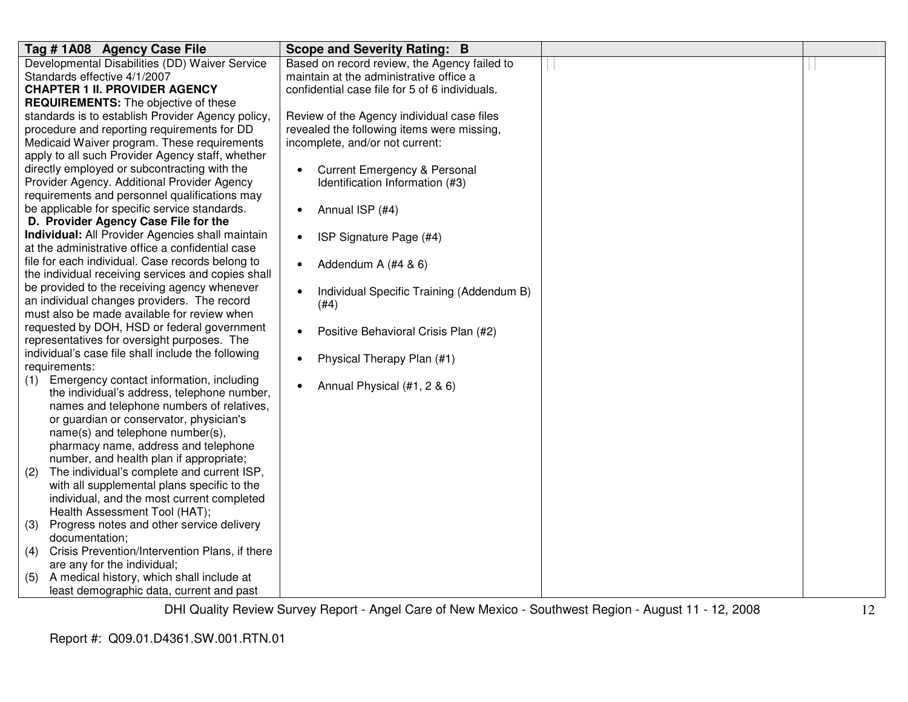| Tag #1A08 Agency Case File                            | <b>Scope and Severity Rating: B</b>                    |  |
|-------------------------------------------------------|--------------------------------------------------------|--|
| Developmental Disabilities (DD) Waiver Service        | Based on record review, the Agency failed to           |  |
| Standards effective 4/1/2007                          | maintain at the administrative office a                |  |
| <b>CHAPTER 1 II. PROVIDER AGENCY</b>                  | confidential case file for 5 of 6 individuals.         |  |
| <b>REQUIREMENTS:</b> The objective of these           |                                                        |  |
| standards is to establish Provider Agency policy,     | Review of the Agency individual case files             |  |
| procedure and reporting requirements for DD           | revealed the following items were missing,             |  |
| Medicaid Waiver program. These requirements           | incomplete, and/or not current:                        |  |
| apply to all such Provider Agency staff, whether      |                                                        |  |
| directly employed or subcontracting with the          | <b>Current Emergency &amp; Personal</b><br>$\bullet$   |  |
| Provider Agency. Additional Provider Agency           | Identification Information (#3)                        |  |
| requirements and personnel qualifications may         |                                                        |  |
| be applicable for specific service standards.         | Annual ISP (#4)<br>$\bullet$                           |  |
| D. Provider Agency Case File for the                  |                                                        |  |
| Individual: All Provider Agencies shall maintain      | ISP Signature Page (#4)<br>$\bullet$                   |  |
| at the administrative office a confidential case      |                                                        |  |
| file for each individual. Case records belong to      | Addendum A (#4 & 6)<br>$\bullet$                       |  |
| the individual receiving services and copies shall    |                                                        |  |
| be provided to the receiving agency whenever          | Individual Specific Training (Addendum B)<br>$\bullet$ |  |
| an individual changes providers. The record           | (#4)                                                   |  |
| must also be made available for review when           |                                                        |  |
| requested by DOH, HSD or federal government           | Positive Behavioral Crisis Plan (#2)<br>$\bullet$      |  |
| representatives for oversight purposes. The           |                                                        |  |
| individual's case file shall include the following    | Physical Therapy Plan (#1)<br>$\bullet$                |  |
| requirements:                                         |                                                        |  |
| Emergency contact information, including<br>(1)       | Annual Physical (#1, 2 & 6)                            |  |
| the individual's address, telephone number,           |                                                        |  |
| names and telephone numbers of relatives,             |                                                        |  |
| or guardian or conservator, physician's               |                                                        |  |
| name(s) and telephone number(s),                      |                                                        |  |
| pharmacy name, address and telephone                  |                                                        |  |
| number, and health plan if appropriate;               |                                                        |  |
| The individual's complete and current ISP,<br>(2)     |                                                        |  |
| with all supplemental plans specific to the           |                                                        |  |
| individual, and the most current completed            |                                                        |  |
| Health Assessment Tool (HAT);                         |                                                        |  |
| Progress notes and other service delivery<br>(3)      |                                                        |  |
| documentation;                                        |                                                        |  |
| Crisis Prevention/Intervention Plans, if there<br>(4) |                                                        |  |
| are any for the individual;                           |                                                        |  |
| A medical history, which shall include at<br>(5)      |                                                        |  |
| least demographic data, current and past              |                                                        |  |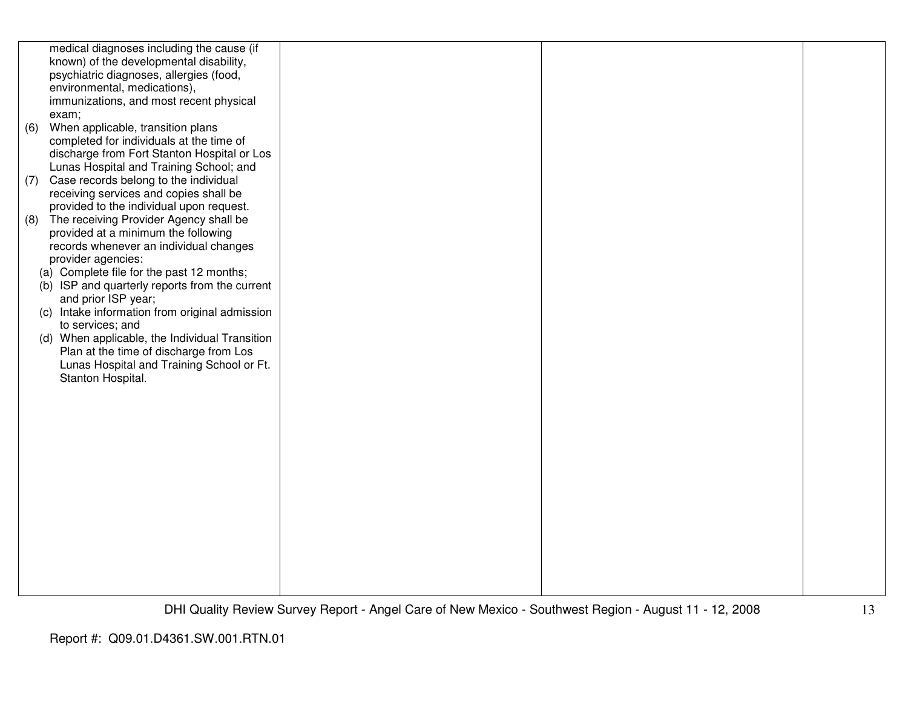|     | medical diagnoses including the cause (if      |  |  |
|-----|------------------------------------------------|--|--|
|     | known) of the developmental disability,        |  |  |
|     | psychiatric diagnoses, allergies (food,        |  |  |
|     | environmental, medications),                   |  |  |
|     | immunizations, and most recent physical        |  |  |
|     | exam;                                          |  |  |
| (6) | When applicable, transition plans              |  |  |
|     | completed for individuals at the time of       |  |  |
|     | discharge from Fort Stanton Hospital or Los    |  |  |
|     | Lunas Hospital and Training School; and        |  |  |
| (7) | Case records belong to the individual          |  |  |
|     | receiving services and copies shall be         |  |  |
|     | provided to the individual upon request.       |  |  |
| (8) | The receiving Provider Agency shall be         |  |  |
|     | provided at a minimum the following            |  |  |
|     | records whenever an individual changes         |  |  |
|     | provider agencies:                             |  |  |
|     | (a) Complete file for the past 12 months;      |  |  |
|     | (b) ISP and quarterly reports from the current |  |  |
|     | and prior ISP year;                            |  |  |
|     | (c) Intake information from original admission |  |  |
|     | to services; and                               |  |  |
|     | (d) When applicable, the Individual Transition |  |  |
|     | Plan at the time of discharge from Los         |  |  |
|     | Lunas Hospital and Training School or Ft.      |  |  |
|     | Stanton Hospital.                              |  |  |
|     |                                                |  |  |
|     |                                                |  |  |
|     |                                                |  |  |
|     |                                                |  |  |
|     |                                                |  |  |
|     |                                                |  |  |
|     |                                                |  |  |
|     |                                                |  |  |
|     |                                                |  |  |
|     |                                                |  |  |
|     |                                                |  |  |
|     |                                                |  |  |
|     |                                                |  |  |
|     |                                                |  |  |
|     |                                                |  |  |
|     |                                                |  |  |
|     |                                                |  |  |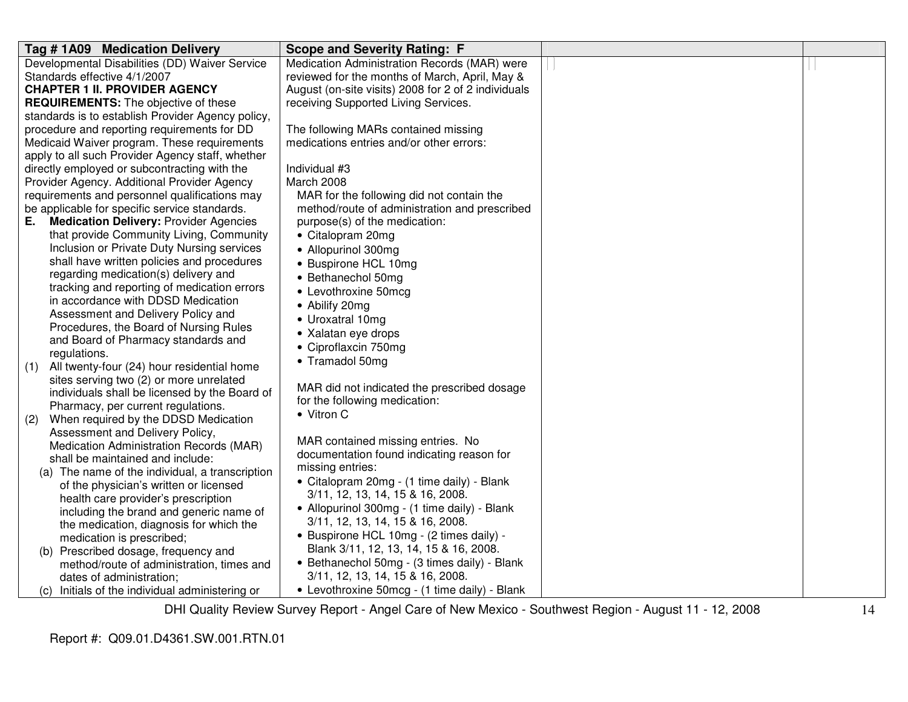| Tag #1A09 Medication Delivery                         | <b>Scope and Severity Rating: F</b>                 |  |
|-------------------------------------------------------|-----------------------------------------------------|--|
| Developmental Disabilities (DD) Waiver Service        | Medication Administration Records (MAR) were        |  |
| Standards effective 4/1/2007                          | reviewed for the months of March, April, May &      |  |
| <b>CHAPTER 1 II. PROVIDER AGENCY</b>                  | August (on-site visits) 2008 for 2 of 2 individuals |  |
| <b>REQUIREMENTS:</b> The objective of these           | receiving Supported Living Services.                |  |
| standards is to establish Provider Agency policy,     |                                                     |  |
| procedure and reporting requirements for DD           | The following MARs contained missing                |  |
| Medicaid Waiver program. These requirements           | medications entries and/or other errors:            |  |
| apply to all such Provider Agency staff, whether      |                                                     |  |
| directly employed or subcontracting with the          | Individual #3                                       |  |
| Provider Agency. Additional Provider Agency           | March 2008                                          |  |
| requirements and personnel qualifications may         | MAR for the following did not contain the           |  |
| be applicable for specific service standards.         | method/route of administration and prescribed       |  |
| <b>Medication Delivery: Provider Agencies</b><br>E. . | purpose(s) of the medication:                       |  |
| that provide Community Living, Community              | • Citalopram 20mg                                   |  |
| Inclusion or Private Duty Nursing services            | • Allopurinol 300mg                                 |  |
| shall have written policies and procedures            | • Buspirone HCL 10mg                                |  |
| regarding medication(s) delivery and                  | • Bethanechol 50mg                                  |  |
| tracking and reporting of medication errors           | • Levothroxine 50mcg                                |  |
| in accordance with DDSD Medication                    | • Abilify 20mg                                      |  |
| Assessment and Delivery Policy and                    | • Uroxatral 10mg                                    |  |
| Procedures, the Board of Nursing Rules                | • Xalatan eye drops                                 |  |
| and Board of Pharmacy standards and                   | • Ciproflaxcin 750mg                                |  |
| regulations.                                          | • Tramadol 50mg                                     |  |
| All twenty-four (24) hour residential home<br>(1)     |                                                     |  |
| sites serving two (2) or more unrelated               | MAR did not indicated the prescribed dosage         |  |
| individuals shall be licensed by the Board of         | for the following medication:                       |  |
| Pharmacy, per current regulations.                    | • Vitron C                                          |  |
| When required by the DDSD Medication<br>(2)           |                                                     |  |
| Assessment and Delivery Policy,                       | MAR contained missing entries. No                   |  |
| Medication Administration Records (MAR)               | documentation found indicating reason for           |  |
| shall be maintained and include:                      | missing entries:                                    |  |
| (a) The name of the individual, a transcription       | • Citalopram 20mg - (1 time daily) - Blank          |  |
| of the physician's written or licensed                | 3/11, 12, 13, 14, 15 & 16, 2008.                    |  |
| health care provider's prescription                   | • Allopurinol 300mg - (1 time daily) - Blank        |  |
| including the brand and generic name of               | 3/11, 12, 13, 14, 15 & 16, 2008.                    |  |
| the medication, diagnosis for which the               | • Buspirone HCL 10mg - (2 times daily) -            |  |
| medication is prescribed;                             | Blank 3/11, 12, 13, 14, 15 & 16, 2008.              |  |
| (b) Prescribed dosage, frequency and                  |                                                     |  |
| method/route of administration, times and             | • Bethanechol 50mg - (3 times daily) - Blank        |  |
| dates of administration;                              | 3/11, 12, 13, 14, 15 & 16, 2008.                    |  |
| (c) Initials of the individual administering or       | • Levothroxine 50mcg - (1 time daily) - Blank       |  |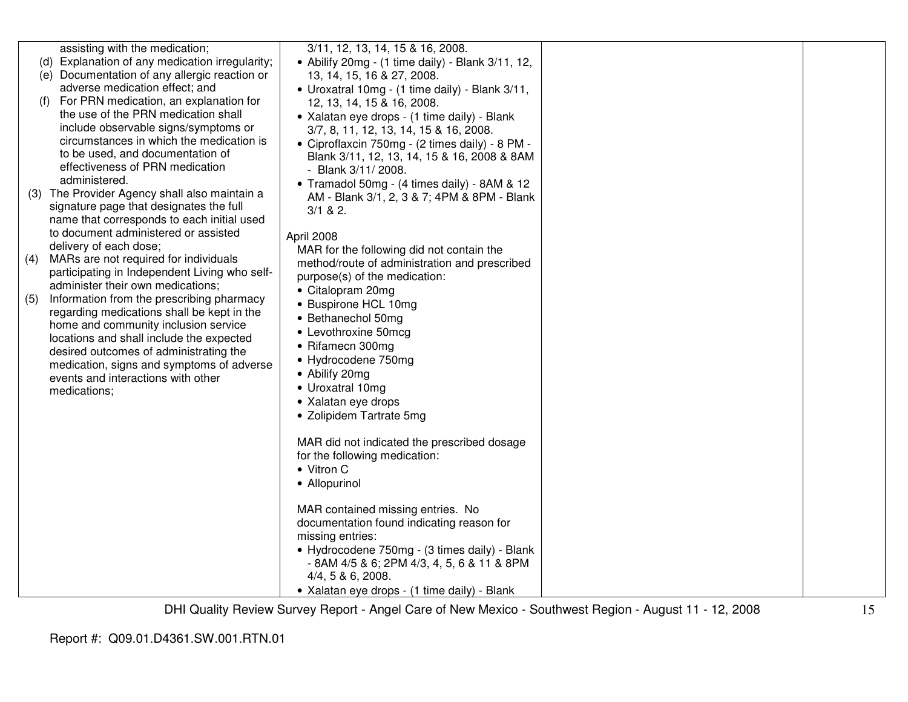|     | assisting with the medication;<br>(d) Explanation of any medication irregularity;   | 3/11, 12, 13, 14, 15 & 16, 2008.<br>• Abilify 20mg - (1 time daily) - Blank 3/11, 12,       |  |
|-----|-------------------------------------------------------------------------------------|---------------------------------------------------------------------------------------------|--|
|     | (e) Documentation of any allergic reaction or                                       | 13, 14, 15, 16 & 27, 2008.                                                                  |  |
|     | adverse medication effect; and                                                      | • Uroxatral 10mg - (1 time daily) - Blank 3/11,                                             |  |
| (f) | For PRN medication, an explanation for<br>the use of the PRN medication shall       | 12, 13, 14, 15 & 16, 2008.                                                                  |  |
|     | include observable signs/symptoms or                                                | • Xalatan eye drops - (1 time daily) - Blank<br>3/7, 8, 11, 12, 13, 14, 15 & 16, 2008.      |  |
|     | circumstances in which the medication is                                            | • Ciproflaxcin 750mg - (2 times daily) - 8 PM -                                             |  |
|     | to be used, and documentation of                                                    | Blank 3/11, 12, 13, 14, 15 & 16, 2008 & 8AM                                                 |  |
|     | effectiveness of PRN medication<br>administered.                                    | - Blank 3/11/ 2008.                                                                         |  |
|     | (3) The Provider Agency shall also maintain a                                       | • Tramadol 50mg - (4 times daily) - 8AM & 12<br>AM - Blank 3/1, 2, 3 & 7; 4PM & 8PM - Blank |  |
|     | signature page that designates the full                                             | $3/1$ & 2.                                                                                  |  |
|     | name that corresponds to each initial used                                          |                                                                                             |  |
|     | to document administered or assisted<br>delivery of each dose;                      | April 2008                                                                                  |  |
| (4) | MARs are not required for individuals                                               | MAR for the following did not contain the<br>method/route of administration and prescribed  |  |
|     | participating in Independent Living who self-                                       | purpose(s) of the medication:                                                               |  |
| (5) | administer their own medications;<br>Information from the prescribing pharmacy      | • Citalopram 20mg                                                                           |  |
|     | regarding medications shall be kept in the                                          | • Buspirone HCL 10mg                                                                        |  |
|     | home and community inclusion service                                                | • Bethanechol 50mg<br>• Levothroxine 50mcg                                                  |  |
|     | locations and shall include the expected                                            | • Rifamecn 300mg                                                                            |  |
|     | desired outcomes of administrating the<br>medication, signs and symptoms of adverse | • Hydrocodene 750mg                                                                         |  |
|     | events and interactions with other                                                  | • Abilify 20mg                                                                              |  |
|     | medications;                                                                        | • Uroxatral 10mg                                                                            |  |
|     |                                                                                     | • Xalatan eye drops<br>• Zolipidem Tartrate 5mg                                             |  |
|     |                                                                                     |                                                                                             |  |
|     |                                                                                     | MAR did not indicated the prescribed dosage                                                 |  |
|     |                                                                                     | for the following medication:                                                               |  |
|     |                                                                                     | • Vitron C<br>• Allopurinol                                                                 |  |
|     |                                                                                     |                                                                                             |  |
|     |                                                                                     | MAR contained missing entries. No                                                           |  |
|     |                                                                                     | documentation found indicating reason for<br>missing entries:                               |  |
|     |                                                                                     | • Hydrocodene 750mg - (3 times daily) - Blank                                               |  |
|     |                                                                                     | - 8AM 4/5 & 6; 2PM 4/3, 4, 5, 6 & 11 & 8PM                                                  |  |
|     |                                                                                     | $4/4$ , 5 & 6, 2008.                                                                        |  |
|     |                                                                                     | • Xalatan eye drops - (1 time daily) - Blank                                                |  |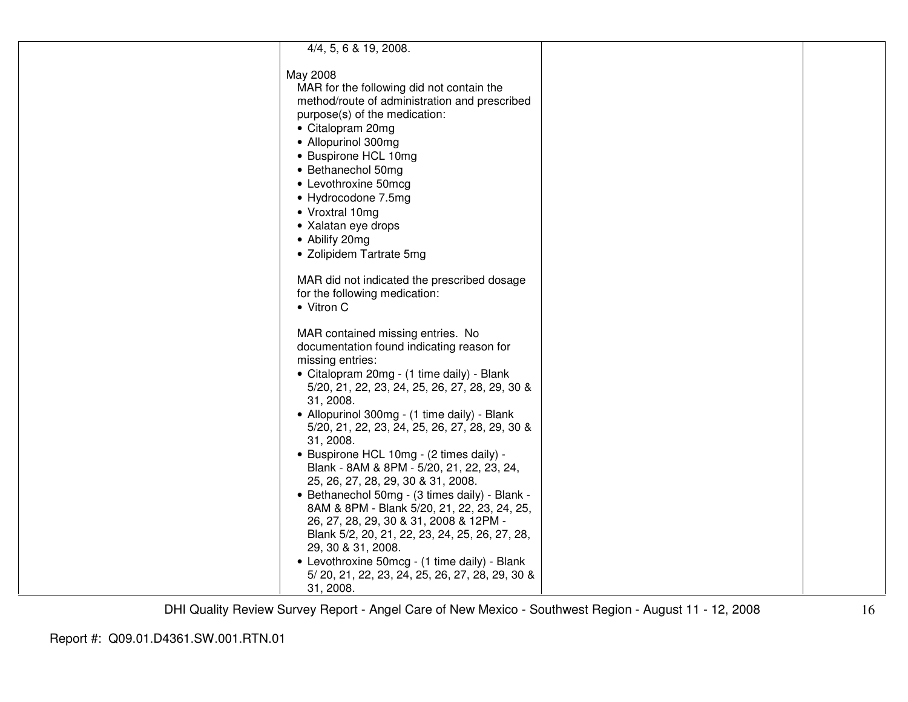| 4/4, 5, 6 & 19, 2008.                          |  |
|------------------------------------------------|--|
| May 2008                                       |  |
| MAR for the following did not contain the      |  |
| method/route of administration and prescribed  |  |
| purpose(s) of the medication:                  |  |
| • Citalopram 20mg                              |  |
| • Allopurinol 300mg                            |  |
| • Buspirone HCL 10mg                           |  |
| • Bethanechol 50mg                             |  |
| • Levothroxine 50mcg                           |  |
| • Hydrocodone 7.5mg                            |  |
| • Vroxtral 10mg                                |  |
| • Xalatan eye drops                            |  |
| • Abilify 20mg                                 |  |
|                                                |  |
| • Zolipidem Tartrate 5mg                       |  |
| MAR did not indicated the prescribed dosage    |  |
| for the following medication:                  |  |
| • Vitron C                                     |  |
|                                                |  |
| MAR contained missing entries. No              |  |
| documentation found indicating reason for      |  |
| missing entries:                               |  |
| • Citalopram 20mg - (1 time daily) - Blank     |  |
| 5/20, 21, 22, 23, 24, 25, 26, 27, 28, 29, 30 & |  |
| 31, 2008.                                      |  |
| • Allopurinol 300mg - (1 time daily) - Blank   |  |
| 5/20, 21, 22, 23, 24, 25, 26, 27, 28, 29, 30 & |  |
| 31, 2008.                                      |  |
| • Buspirone HCL 10mg - (2 times daily) -       |  |
| Blank - 8AM & 8PM - 5/20, 21, 22, 23, 24,      |  |
| 25, 26, 27, 28, 29, 30 & 31, 2008.             |  |
| • Bethanechol 50mg - (3 times daily) - Blank - |  |
| 8AM & 8PM - Blank 5/20, 21, 22, 23, 24, 25,    |  |
| 26, 27, 28, 29, 30 & 31, 2008 & 12PM -         |  |
| Blank 5/2, 20, 21, 22, 23, 24, 25, 26, 27, 28, |  |
| 29, 30 & 31, 2008.                             |  |
| • Levothroxine 50mcg - (1 time daily) - Blank  |  |
| 5/20, 21, 22, 23, 24, 25, 26, 27, 28, 29, 30 & |  |
| 31, 2008.                                      |  |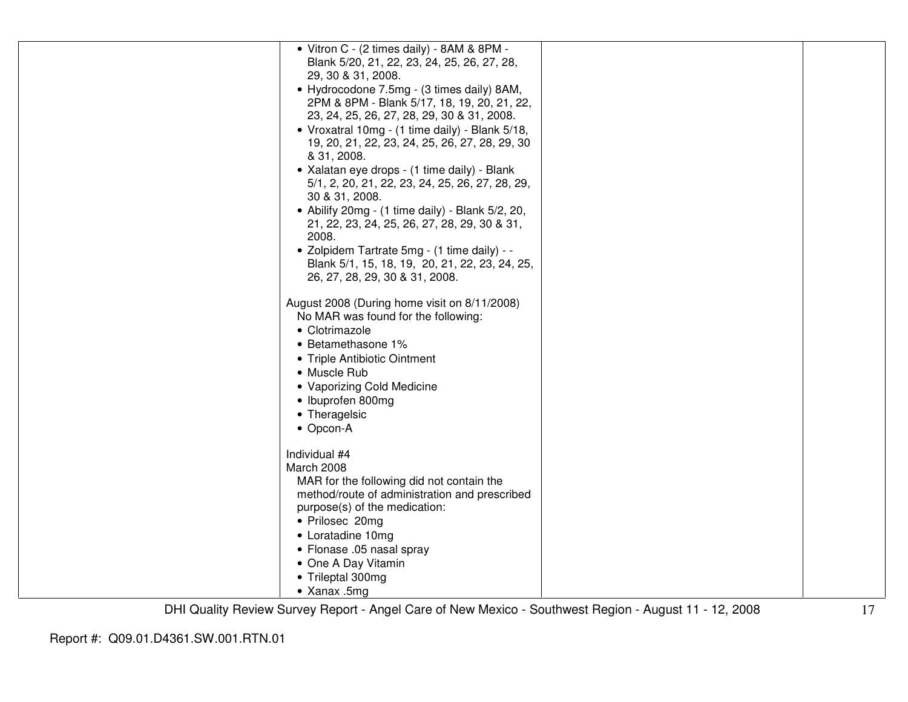| • Vitron C - (2 times daily) - 8AM & 8PM -<br>Blank 5/20, 21, 22, 23, 24, 25, 26, 27, 28,<br>29, 30 & 31, 2008.<br>• Hydrocodone 7.5mg - (3 times daily) 8AM,<br>2PM & 8PM - Blank 5/17, 18, 19, 20, 21, 22,<br>23, 24, 25, 26, 27, 28, 29, 30 & 31, 2008.<br>• Vroxatral 10mg - (1 time daily) - Blank 5/18,<br>19, 20, 21, 22, 23, 24, 25, 26, 27, 28, 29, 30<br>& 31, 2008.<br>• Xalatan eye drops - (1 time daily) - Blank<br>5/1, 2, 20, 21, 22, 23, 24, 25, 26, 27, 28, 29,<br>30 & 31, 2008. |  |
|-----------------------------------------------------------------------------------------------------------------------------------------------------------------------------------------------------------------------------------------------------------------------------------------------------------------------------------------------------------------------------------------------------------------------------------------------------------------------------------------------------|--|
|                                                                                                                                                                                                                                                                                                                                                                                                                                                                                                     |  |
|                                                                                                                                                                                                                                                                                                                                                                                                                                                                                                     |  |
|                                                                                                                                                                                                                                                                                                                                                                                                                                                                                                     |  |
|                                                                                                                                                                                                                                                                                                                                                                                                                                                                                                     |  |
|                                                                                                                                                                                                                                                                                                                                                                                                                                                                                                     |  |
|                                                                                                                                                                                                                                                                                                                                                                                                                                                                                                     |  |
|                                                                                                                                                                                                                                                                                                                                                                                                                                                                                                     |  |
|                                                                                                                                                                                                                                                                                                                                                                                                                                                                                                     |  |
|                                                                                                                                                                                                                                                                                                                                                                                                                                                                                                     |  |
|                                                                                                                                                                                                                                                                                                                                                                                                                                                                                                     |  |
|                                                                                                                                                                                                                                                                                                                                                                                                                                                                                                     |  |
|                                                                                                                                                                                                                                                                                                                                                                                                                                                                                                     |  |
| • Abilify 20mg - $(1 \text{ time daily})$ - Blank 5/2, 20,                                                                                                                                                                                                                                                                                                                                                                                                                                          |  |
| 21, 22, 23, 24, 25, 26, 27, 28, 29, 30 & 31,                                                                                                                                                                                                                                                                                                                                                                                                                                                        |  |
| 2008.                                                                                                                                                                                                                                                                                                                                                                                                                                                                                               |  |
|                                                                                                                                                                                                                                                                                                                                                                                                                                                                                                     |  |
| • Zolpidem Tartrate 5mg - (1 time daily) - -                                                                                                                                                                                                                                                                                                                                                                                                                                                        |  |
| Blank 5/1, 15, 18, 19, 20, 21, 22, 23, 24, 25,                                                                                                                                                                                                                                                                                                                                                                                                                                                      |  |
| 26, 27, 28, 29, 30 & 31, 2008.                                                                                                                                                                                                                                                                                                                                                                                                                                                                      |  |
|                                                                                                                                                                                                                                                                                                                                                                                                                                                                                                     |  |
| August 2008 (During home visit on 8/11/2008)                                                                                                                                                                                                                                                                                                                                                                                                                                                        |  |
| No MAR was found for the following:                                                                                                                                                                                                                                                                                                                                                                                                                                                                 |  |
| • Clotrimazole                                                                                                                                                                                                                                                                                                                                                                                                                                                                                      |  |
| • Betamethasone 1%                                                                                                                                                                                                                                                                                                                                                                                                                                                                                  |  |
| • Triple Antibiotic Ointment                                                                                                                                                                                                                                                                                                                                                                                                                                                                        |  |
| • Muscle Rub                                                                                                                                                                                                                                                                                                                                                                                                                                                                                        |  |
| • Vaporizing Cold Medicine                                                                                                                                                                                                                                                                                                                                                                                                                                                                          |  |
| • Ibuprofen 800mg                                                                                                                                                                                                                                                                                                                                                                                                                                                                                   |  |
| • Theragelsic                                                                                                                                                                                                                                                                                                                                                                                                                                                                                       |  |
| • Opcon-A                                                                                                                                                                                                                                                                                                                                                                                                                                                                                           |  |
|                                                                                                                                                                                                                                                                                                                                                                                                                                                                                                     |  |
| Individual #4                                                                                                                                                                                                                                                                                                                                                                                                                                                                                       |  |
| March 2008                                                                                                                                                                                                                                                                                                                                                                                                                                                                                          |  |
| MAR for the following did not contain the                                                                                                                                                                                                                                                                                                                                                                                                                                                           |  |
| method/route of administration and prescribed                                                                                                                                                                                                                                                                                                                                                                                                                                                       |  |
| purpose(s) of the medication:                                                                                                                                                                                                                                                                                                                                                                                                                                                                       |  |
| • Prilosec 20mg                                                                                                                                                                                                                                                                                                                                                                                                                                                                                     |  |
|                                                                                                                                                                                                                                                                                                                                                                                                                                                                                                     |  |
| • Loratadine 10mg                                                                                                                                                                                                                                                                                                                                                                                                                                                                                   |  |
| • Flonase .05 nasal spray                                                                                                                                                                                                                                                                                                                                                                                                                                                                           |  |
| • One A Day Vitamin                                                                                                                                                                                                                                                                                                                                                                                                                                                                                 |  |
| • Trileptal 300mg                                                                                                                                                                                                                                                                                                                                                                                                                                                                                   |  |
| • Xanax .5mg                                                                                                                                                                                                                                                                                                                                                                                                                                                                                        |  |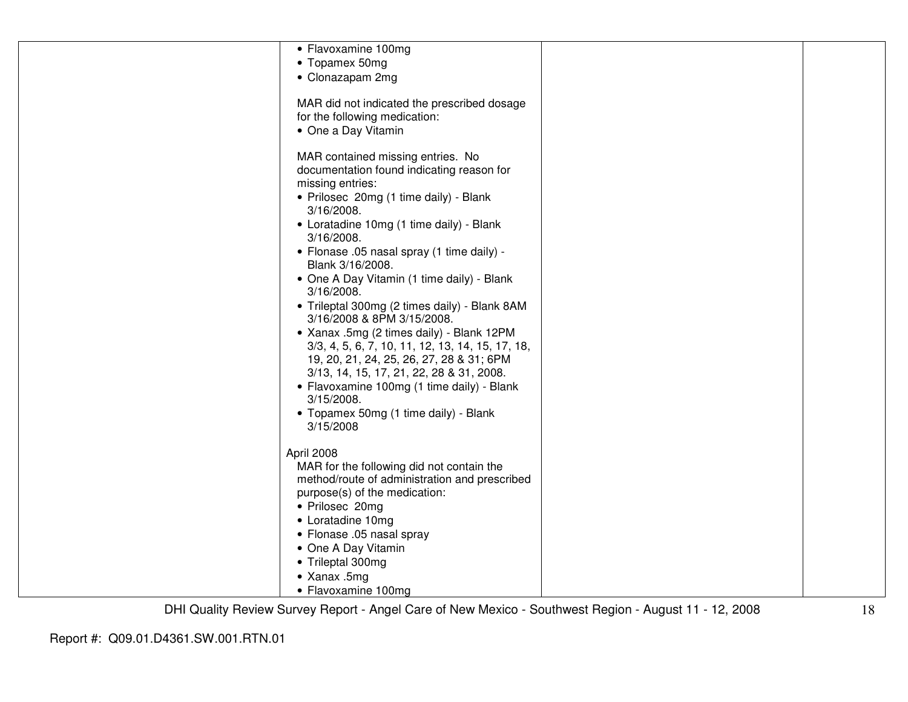| • Flavoxamine 100mg                              |  |
|--------------------------------------------------|--|
| • Topamex 50mg                                   |  |
| • Clonazapam 2mg                                 |  |
|                                                  |  |
| MAR did not indicated the prescribed dosage      |  |
|                                                  |  |
| for the following medication:                    |  |
| • One a Day Vitamin                              |  |
|                                                  |  |
| MAR contained missing entries. No                |  |
| documentation found indicating reason for        |  |
| missing entries:                                 |  |
| • Prilosec 20mg (1 time daily) - Blank           |  |
| 3/16/2008.                                       |  |
| • Loratadine 10mg (1 time daily) - Blank         |  |
|                                                  |  |
| 3/16/2008.                                       |  |
| • Flonase .05 nasal spray (1 time daily) -       |  |
| Blank 3/16/2008.                                 |  |
| • One A Day Vitamin (1 time daily) - Blank       |  |
| 3/16/2008.                                       |  |
| • Trileptal 300mg (2 times daily) - Blank 8AM    |  |
| 3/16/2008 & 8PM 3/15/2008.                       |  |
| • Xanax .5mg (2 times daily) - Blank 12PM        |  |
| 3/3, 4, 5, 6, 7, 10, 11, 12, 13, 14, 15, 17, 18, |  |
| 19, 20, 21, 24, 25, 26, 27, 28 & 31; 6PM         |  |
| 3/13, 14, 15, 17, 21, 22, 28 & 31, 2008.         |  |
|                                                  |  |
| • Flavoxamine 100mg (1 time daily) - Blank       |  |
| $3/15/2008$ .                                    |  |
| • Topamex 50mg (1 time daily) - Blank            |  |
| 3/15/2008                                        |  |
|                                                  |  |
| April 2008                                       |  |
| MAR for the following did not contain the        |  |
| method/route of administration and prescribed    |  |
| purpose(s) of the medication:                    |  |
| • Prilosec 20mg                                  |  |
| • Loratadine 10mg                                |  |
|                                                  |  |
| • Flonase .05 nasal spray                        |  |
| • One A Day Vitamin                              |  |
| • Trileptal 300mg                                |  |
| • Xanax .5mg                                     |  |
| • Flavoxamine 100mg                              |  |
|                                                  |  |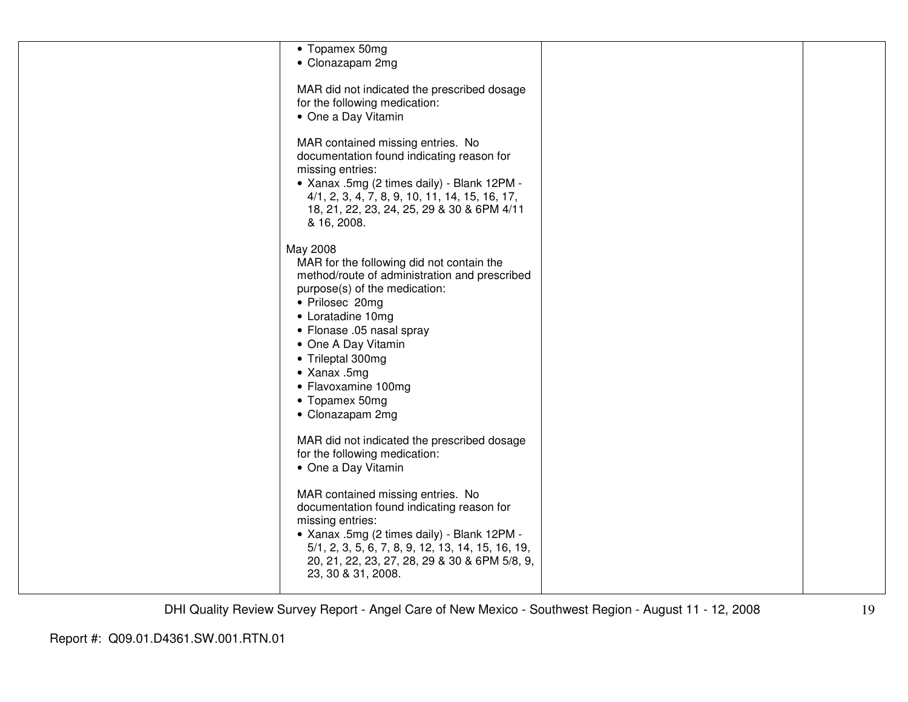| • Topamex 50mg<br>• Clonazapam 2mg                                                                                                                                                                                                                                                                                                            |  |
|-----------------------------------------------------------------------------------------------------------------------------------------------------------------------------------------------------------------------------------------------------------------------------------------------------------------------------------------------|--|
| MAR did not indicated the prescribed dosage<br>for the following medication:<br>• One a Day Vitamin                                                                                                                                                                                                                                           |  |
| MAR contained missing entries. No<br>documentation found indicating reason for<br>missing entries:<br>- Xanax .5mg (2 times daily) - Blank 12PM -<br>4/1, 2, 3, 4, 7, 8, 9, 10, 11, 14, 15, 16, 17,<br>18, 21, 22, 23, 24, 25, 29 & 30 & 6PM 4/11<br>& 16, 2008.                                                                              |  |
| May 2008<br>MAR for the following did not contain the<br>method/route of administration and prescribed<br>purpose(s) of the medication:<br>• Prilosec 20mg<br>• Loratadine 10mg<br>• Flonase .05 nasal spray<br>• One A Day Vitamin<br>• Trileptal 300mg<br>$\bullet$ Xanax .5mg<br>• Flavoxamine 100mg<br>• Topamex 50mg<br>• Clonazapam 2mg |  |
| MAR did not indicated the prescribed dosage<br>for the following medication:<br>• One a Day Vitamin                                                                                                                                                                                                                                           |  |
| MAR contained missing entries. No<br>documentation found indicating reason for<br>missing entries:<br>- Xanax .5mg (2 times daily) - Blank 12PM -<br>5/1, 2, 3, 5, 6, 7, 8, 9, 12, 13, 14, 15, 16, 19,<br>20, 21, 22, 23, 27, 28, 29 & 30 & 6PM 5/8, 9,<br>23, 30 & 31, 2008.                                                                 |  |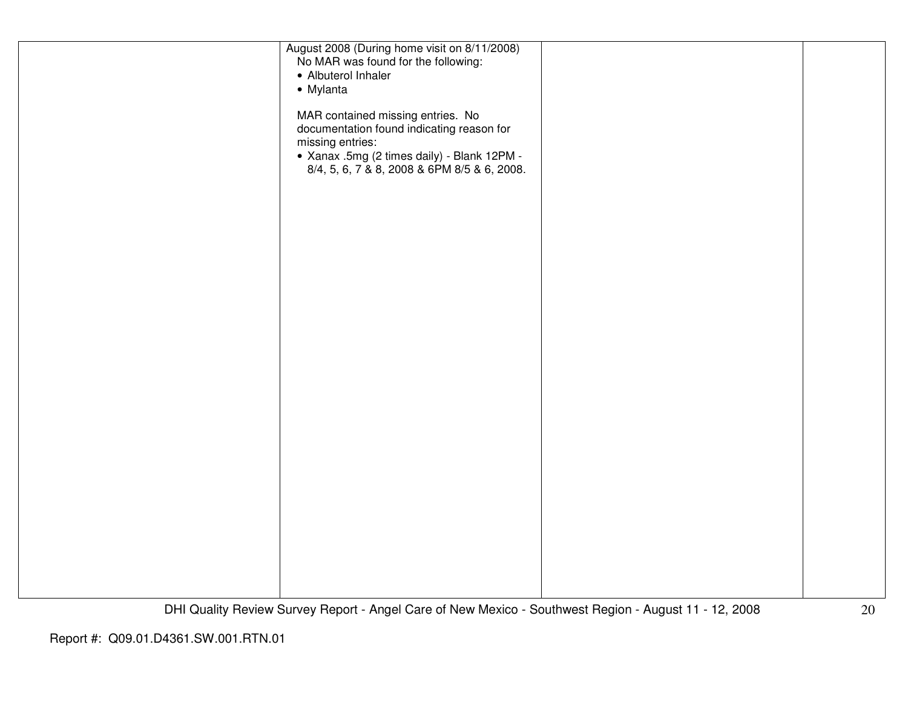| August 2008 (During home visit on 8/11/2008)<br>No MAR was found for the following:<br>• Albuterol Inhaler                                        |  |
|---------------------------------------------------------------------------------------------------------------------------------------------------|--|
| • Mylanta                                                                                                                                         |  |
| MAR contained missing entries. No<br>documentation found indicating reason for<br>missing entries:<br>- Xanax .5mg (2 times daily) - Blank 12PM - |  |
| 8/4, 5, 6, 7 & 8, 2008 & 6PM 8/5 & 6, 2008.                                                                                                       |  |
|                                                                                                                                                   |  |
|                                                                                                                                                   |  |
|                                                                                                                                                   |  |
|                                                                                                                                                   |  |
|                                                                                                                                                   |  |
|                                                                                                                                                   |  |
|                                                                                                                                                   |  |
|                                                                                                                                                   |  |
|                                                                                                                                                   |  |
|                                                                                                                                                   |  |
|                                                                                                                                                   |  |
|                                                                                                                                                   |  |
|                                                                                                                                                   |  |
|                                                                                                                                                   |  |
|                                                                                                                                                   |  |
|                                                                                                                                                   |  |
|                                                                                                                                                   |  |
|                                                                                                                                                   |  |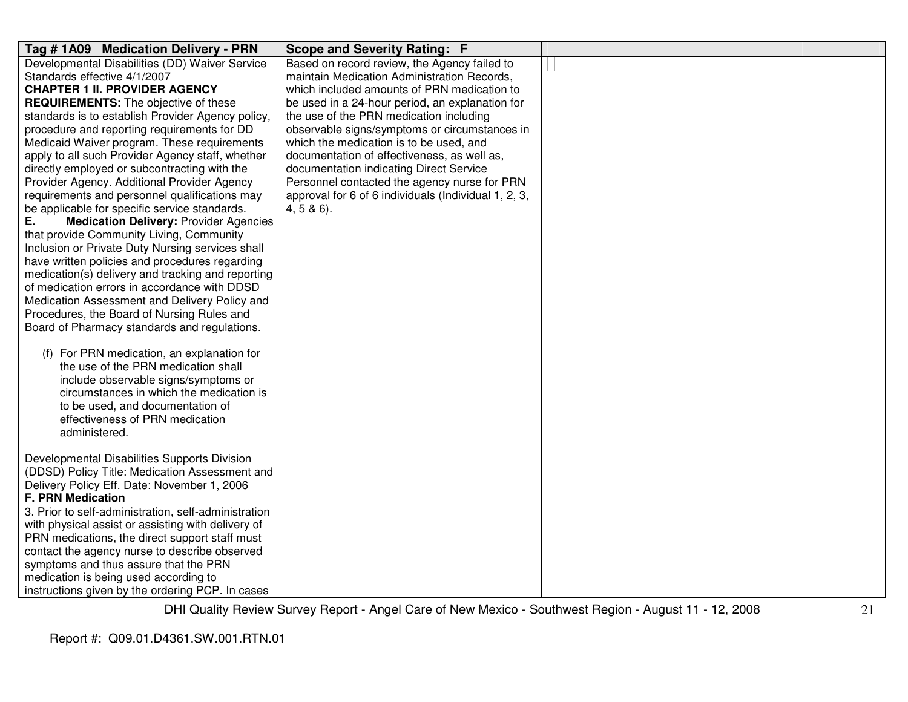| Tag #1A09 Medication Delivery - PRN                                                           | <b>Scope and Severity Rating: F</b>                  |  |
|-----------------------------------------------------------------------------------------------|------------------------------------------------------|--|
| Developmental Disabilities (DD) Waiver Service                                                | Based on record review, the Agency failed to         |  |
| Standards effective 4/1/2007                                                                  | maintain Medication Administration Records,          |  |
| <b>CHAPTER 1 II. PROVIDER AGENCY</b>                                                          | which included amounts of PRN medication to          |  |
| <b>REQUIREMENTS:</b> The objective of these                                                   | be used in a 24-hour period, an explanation for      |  |
| standards is to establish Provider Agency policy,                                             | the use of the PRN medication including              |  |
| procedure and reporting requirements for DD                                                   | observable signs/symptoms or circumstances in        |  |
| Medicaid Waiver program. These requirements                                                   | which the medication is to be used, and              |  |
| apply to all such Provider Agency staff, whether                                              | documentation of effectiveness, as well as,          |  |
| directly employed or subcontracting with the                                                  | documentation indicating Direct Service              |  |
| Provider Agency. Additional Provider Agency                                                   | Personnel contacted the agency nurse for PRN         |  |
| requirements and personnel qualifications may                                                 | approval for 6 of 6 individuals (Individual 1, 2, 3, |  |
| be applicable for specific service standards.                                                 | $4, 5 & 6$ ).                                        |  |
| <b>Medication Delivery: Provider Agencies</b><br>Е.                                           |                                                      |  |
| that provide Community Living, Community                                                      |                                                      |  |
| Inclusion or Private Duty Nursing services shall                                              |                                                      |  |
| have written policies and procedures regarding                                                |                                                      |  |
| medication(s) delivery and tracking and reporting                                             |                                                      |  |
| of medication errors in accordance with DDSD                                                  |                                                      |  |
| Medication Assessment and Delivery Policy and                                                 |                                                      |  |
| Procedures, the Board of Nursing Rules and                                                    |                                                      |  |
| Board of Pharmacy standards and regulations.                                                  |                                                      |  |
|                                                                                               |                                                      |  |
| (f) For PRN medication, an explanation for                                                    |                                                      |  |
| the use of the PRN medication shall                                                           |                                                      |  |
| include observable signs/symptoms or                                                          |                                                      |  |
| circumstances in which the medication is                                                      |                                                      |  |
| to be used, and documentation of                                                              |                                                      |  |
| effectiveness of PRN medication                                                               |                                                      |  |
| administered.                                                                                 |                                                      |  |
| Developmental Disabilities Supports Division                                                  |                                                      |  |
|                                                                                               |                                                      |  |
| (DDSD) Policy Title: Medication Assessment and<br>Delivery Policy Eff. Date: November 1, 2006 |                                                      |  |
| <b>F. PRN Medication</b>                                                                      |                                                      |  |
| 3. Prior to self-administration, self-administration                                          |                                                      |  |
| with physical assist or assisting with delivery of                                            |                                                      |  |
| PRN medications, the direct support staff must                                                |                                                      |  |
| contact the agency nurse to describe observed                                                 |                                                      |  |
| symptoms and thus assure that the PRN                                                         |                                                      |  |
| medication is being used according to                                                         |                                                      |  |
| instructions given by the ordering PCP. In cases                                              |                                                      |  |
|                                                                                               |                                                      |  |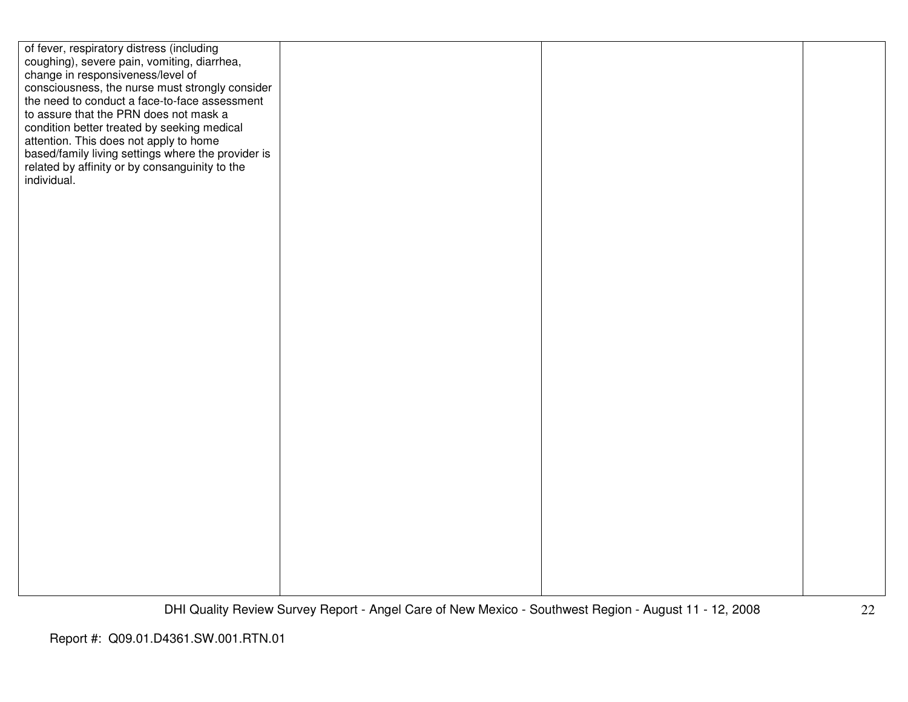| of fever, respiratory distress (including<br>coughing), severe pain, vomiting, diarrhea,<br>change in responsiveness/level of<br>consciousness, the nurse must strongly consider<br>the need to conduct a face-to-face assessment<br>to assure that the PRN does not mask a<br>condition better treated by seeking medical<br>attention. This does not apply to home |  |  |
|----------------------------------------------------------------------------------------------------------------------------------------------------------------------------------------------------------------------------------------------------------------------------------------------------------------------------------------------------------------------|--|--|
| based/family living settings where the provider is<br>related by affinity or by consanguinity to the<br>individual.                                                                                                                                                                                                                                                  |  |  |
|                                                                                                                                                                                                                                                                                                                                                                      |  |  |
|                                                                                                                                                                                                                                                                                                                                                                      |  |  |
|                                                                                                                                                                                                                                                                                                                                                                      |  |  |
|                                                                                                                                                                                                                                                                                                                                                                      |  |  |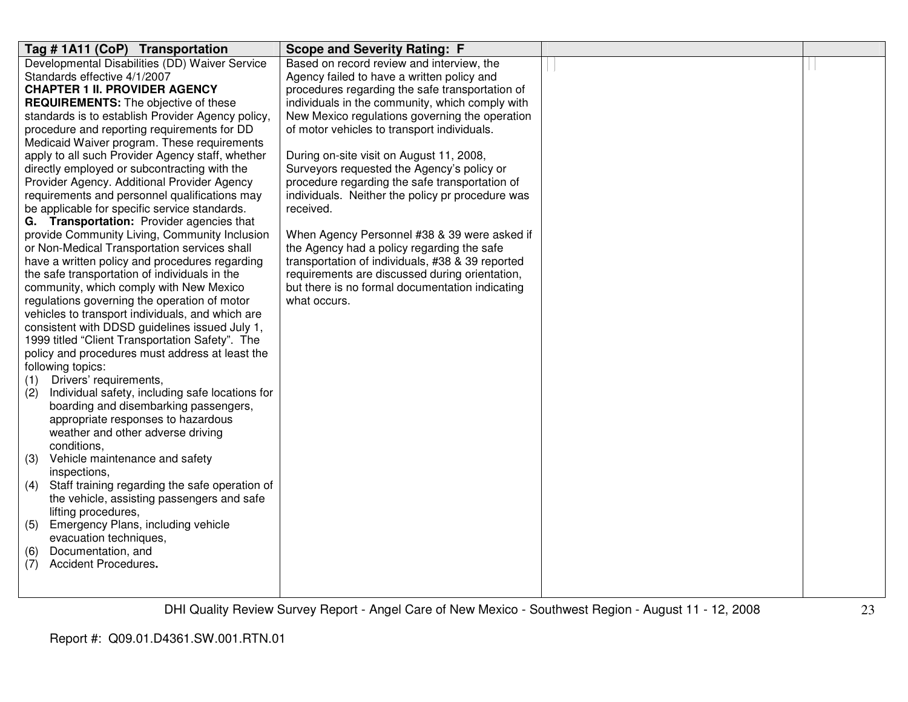| Tag # 1A11 (CoP) Transportation                                      | <b>Scope and Severity Rating: F</b>              |                                                                               |  |
|----------------------------------------------------------------------|--------------------------------------------------|-------------------------------------------------------------------------------|--|
| Developmental Disabilities (DD) Waiver Service                       | Based on record review and interview, the        |                                                                               |  |
| Standards effective 4/1/2007                                         | Agency failed to have a written policy and       |                                                                               |  |
| <b>CHAPTER 1 II. PROVIDER AGENCY</b>                                 | procedures regarding the safe transportation of  |                                                                               |  |
| <b>REQUIREMENTS:</b> The objective of these                          | individuals in the community, which comply with  |                                                                               |  |
| standards is to establish Provider Agency policy,                    | New Mexico regulations governing the operation   |                                                                               |  |
| procedure and reporting requirements for DD                          | of motor vehicles to transport individuals.      |                                                                               |  |
| Medicaid Waiver program. These requirements                          |                                                  |                                                                               |  |
| apply to all such Provider Agency staff, whether                     | During on-site visit on August 11, 2008,         |                                                                               |  |
| directly employed or subcontracting with the                         | Surveyors requested the Agency's policy or       |                                                                               |  |
| Provider Agency. Additional Provider Agency                          | procedure regarding the safe transportation of   |                                                                               |  |
| requirements and personnel qualifications may                        | individuals. Neither the policy pr procedure was |                                                                               |  |
| be applicable for specific service standards.                        | received.                                        |                                                                               |  |
| G. Transportation: Provider agencies that                            |                                                  |                                                                               |  |
| provide Community Living, Community Inclusion                        | When Agency Personnel #38 & 39 were asked if     |                                                                               |  |
| or Non-Medical Transportation services shall                         | the Agency had a policy regarding the safe       |                                                                               |  |
| have a written policy and procedures regarding                       | transportation of individuals, #38 & 39 reported |                                                                               |  |
| the safe transportation of individuals in the                        | requirements are discussed during orientation,   |                                                                               |  |
| community, which comply with New Mexico                              | but there is no formal documentation indicating  |                                                                               |  |
| regulations governing the operation of motor                         | what occurs.                                     |                                                                               |  |
| vehicles to transport individuals, and which are                     |                                                  |                                                                               |  |
| consistent with DDSD guidelines issued July 1,                       |                                                  |                                                                               |  |
| 1999 titled "Client Transportation Safety". The                      |                                                  |                                                                               |  |
| policy and procedures must address at least the<br>following topics: |                                                  |                                                                               |  |
| Drivers' requirements,                                               |                                                  |                                                                               |  |
| (1)<br>(2)<br>Individual safety, including safe locations for        |                                                  |                                                                               |  |
| boarding and disembarking passengers,                                |                                                  |                                                                               |  |
| appropriate responses to hazardous                                   |                                                  |                                                                               |  |
| weather and other adverse driving                                    |                                                  |                                                                               |  |
| conditions,                                                          |                                                  |                                                                               |  |
| (3)<br>Vehicle maintenance and safety                                |                                                  |                                                                               |  |
| inspections,                                                         |                                                  |                                                                               |  |
| (4)<br>Staff training regarding the safe operation of                |                                                  |                                                                               |  |
| the vehicle, assisting passengers and safe                           |                                                  |                                                                               |  |
| lifting procedures,                                                  |                                                  |                                                                               |  |
| (5)<br>Emergency Plans, including vehicle                            |                                                  |                                                                               |  |
| evacuation techniques,                                               |                                                  |                                                                               |  |
| Documentation, and<br>(6)                                            |                                                  |                                                                               |  |
| Accident Procedures.<br>(7)                                          |                                                  |                                                                               |  |
|                                                                      |                                                  |                                                                               |  |
|                                                                      |                                                  |                                                                               |  |
|                                                                      | $\sim$<br>$\sim$ $\sim$ $\sim$ $\sim$            | $\sim$ $\cdot$<br>$\cdot$ $\sim$ $\cdot$<br>$\overline{10}$ $\overline{0000}$ |  |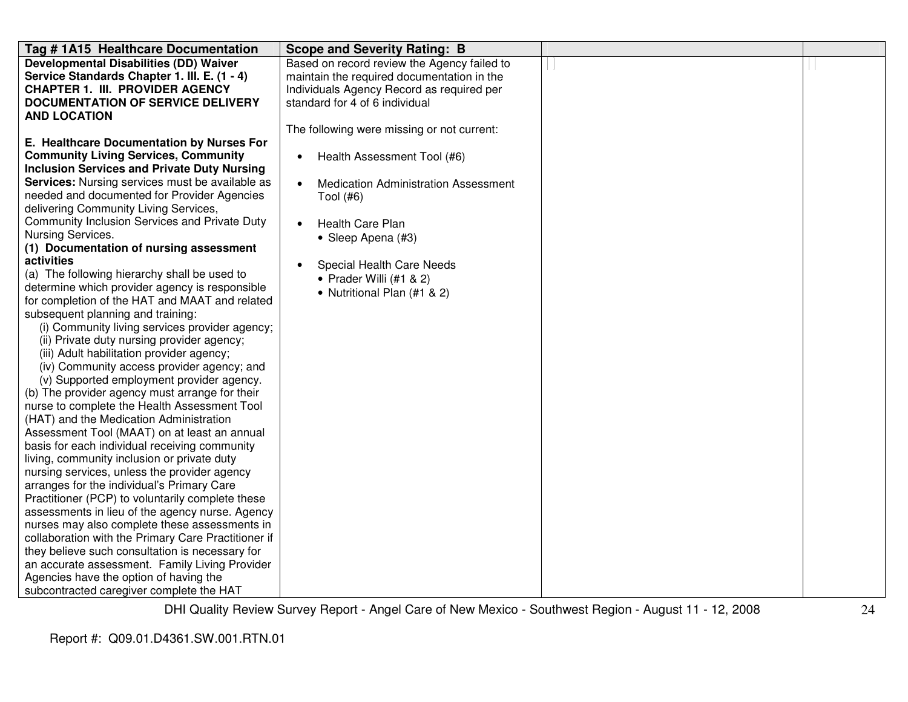| Tag #1A15 Healthcare Documentation                                                                                                                                                                                                                                                                                                                                                                                                                                                                                                                                                                                                                                                                                                                                                                                                                                                                                                                                                                                                                                                                                                                                                                                                                                                                                                                                                                                                                                                                                                                                                                                                                             | <b>Scope and Severity Rating: B</b>                                                                                                                                                                                                                                                                                    |  |
|----------------------------------------------------------------------------------------------------------------------------------------------------------------------------------------------------------------------------------------------------------------------------------------------------------------------------------------------------------------------------------------------------------------------------------------------------------------------------------------------------------------------------------------------------------------------------------------------------------------------------------------------------------------------------------------------------------------------------------------------------------------------------------------------------------------------------------------------------------------------------------------------------------------------------------------------------------------------------------------------------------------------------------------------------------------------------------------------------------------------------------------------------------------------------------------------------------------------------------------------------------------------------------------------------------------------------------------------------------------------------------------------------------------------------------------------------------------------------------------------------------------------------------------------------------------------------------------------------------------------------------------------------------------|------------------------------------------------------------------------------------------------------------------------------------------------------------------------------------------------------------------------------------------------------------------------------------------------------------------------|--|
| <b>Developmental Disabilities (DD) Waiver</b><br>Service Standards Chapter 1. III. E. (1 - 4)<br><b>CHAPTER 1. III. PROVIDER AGENCY</b><br><b>DOCUMENTATION OF SERVICE DELIVERY</b><br><b>AND LOCATION</b>                                                                                                                                                                                                                                                                                                                                                                                                                                                                                                                                                                                                                                                                                                                                                                                                                                                                                                                                                                                                                                                                                                                                                                                                                                                                                                                                                                                                                                                     | Based on record review the Agency failed to<br>maintain the required documentation in the<br>Individuals Agency Record as required per<br>standard for 4 of 6 individual                                                                                                                                               |  |
| E. Healthcare Documentation by Nurses For<br><b>Community Living Services, Community</b><br><b>Inclusion Services and Private Duty Nursing</b><br>Services: Nursing services must be available as<br>needed and documented for Provider Agencies<br>delivering Community Living Services,<br>Community Inclusion Services and Private Duty<br>Nursing Services.<br>(1) Documentation of nursing assessment<br>activities<br>(a) The following hierarchy shall be used to<br>determine which provider agency is responsible<br>for completion of the HAT and MAAT and related<br>subsequent planning and training:<br>(i) Community living services provider agency;<br>(ii) Private duty nursing provider agency;<br>(iii) Adult habilitation provider agency;<br>(iv) Community access provider agency; and<br>(v) Supported employment provider agency.<br>(b) The provider agency must arrange for their<br>nurse to complete the Health Assessment Tool<br>(HAT) and the Medication Administration<br>Assessment Tool (MAAT) on at least an annual<br>basis for each individual receiving community<br>living, community inclusion or private duty<br>nursing services, unless the provider agency<br>arranges for the individual's Primary Care<br>Practitioner (PCP) to voluntarily complete these<br>assessments in lieu of the agency nurse. Agency<br>nurses may also complete these assessments in<br>collaboration with the Primary Care Practitioner if<br>they believe such consultation is necessary for<br>an accurate assessment. Family Living Provider<br>Agencies have the option of having the<br>subcontracted caregiver complete the HAT | The following were missing or not current:<br>Health Assessment Tool (#6)<br>$\bullet$<br><b>Medication Administration Assessment</b><br>$\bullet$<br>Tool (#6)<br><b>Health Care Plan</b><br>$\bullet$<br>• Sleep Apena (#3)<br>Special Health Care Needs<br>• Prader Willi $(#1 & 2)$<br>• Nutritional Plan (#1 & 2) |  |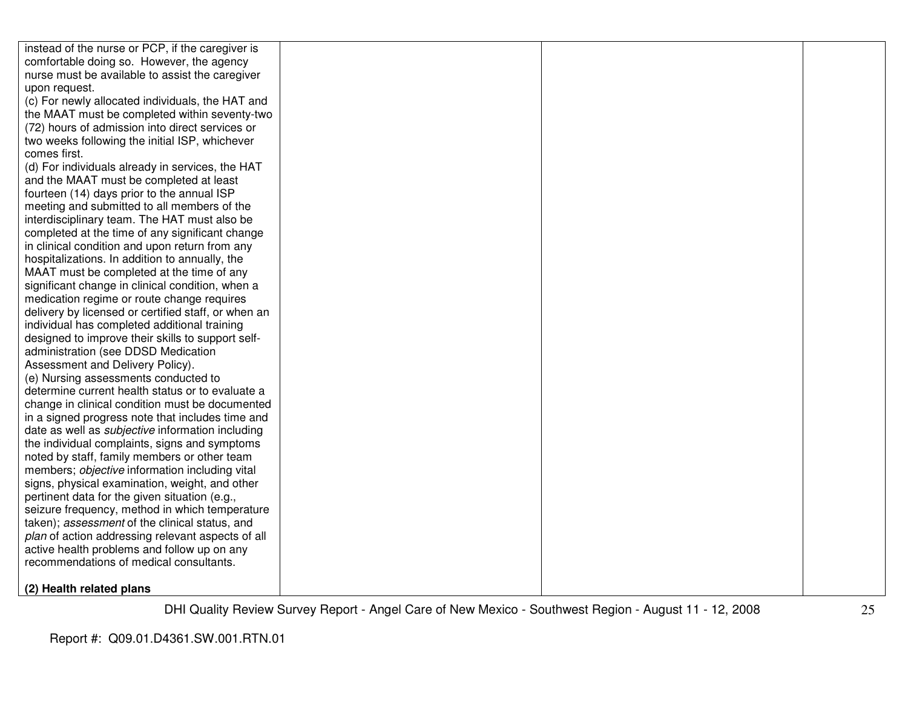| instead of the nurse or PCP, if the caregiver is        |  |  |
|---------------------------------------------------------|--|--|
| comfortable doing so. However, the agency               |  |  |
| nurse must be available to assist the caregiver         |  |  |
| upon request.                                           |  |  |
| (c) For newly allocated individuals, the HAT and        |  |  |
| the MAAT must be completed within seventy-two           |  |  |
| (72) hours of admission into direct services or         |  |  |
| two weeks following the initial ISP, whichever          |  |  |
| comes first.                                            |  |  |
| (d) For individuals already in services, the HAT        |  |  |
| and the MAAT must be completed at least                 |  |  |
| fourteen (14) days prior to the annual ISP              |  |  |
| meeting and submitted to all members of the             |  |  |
| interdisciplinary team. The HAT must also be            |  |  |
| completed at the time of any significant change         |  |  |
| in clinical condition and upon return from any          |  |  |
| hospitalizations. In addition to annually, the          |  |  |
| MAAT must be completed at the time of any               |  |  |
| significant change in clinical condition, when a        |  |  |
| medication regime or route change requires              |  |  |
| delivery by licensed or certified staff, or when an     |  |  |
| individual has completed additional training            |  |  |
| designed to improve their skills to support self-       |  |  |
| administration (see DDSD Medication                     |  |  |
| Assessment and Delivery Policy).                        |  |  |
| (e) Nursing assessments conducted to                    |  |  |
| determine current health status or to evaluate a        |  |  |
| change in clinical condition must be documented         |  |  |
| in a signed progress note that includes time and        |  |  |
| date as well as <i>subjective</i> information including |  |  |
| the individual complaints, signs and symptoms           |  |  |
| noted by staff, family members or other team            |  |  |
| members; objective information including vital          |  |  |
| signs, physical examination, weight, and other          |  |  |
| pertinent data for the given situation (e.g.,           |  |  |
| seizure frequency, method in which temperature          |  |  |
| taken); assessment of the clinical status, and          |  |  |
| plan of action addressing relevant aspects of all       |  |  |
| active health problems and follow up on any             |  |  |
| recommendations of medical consultants.                 |  |  |
| (2) Health related plans                                |  |  |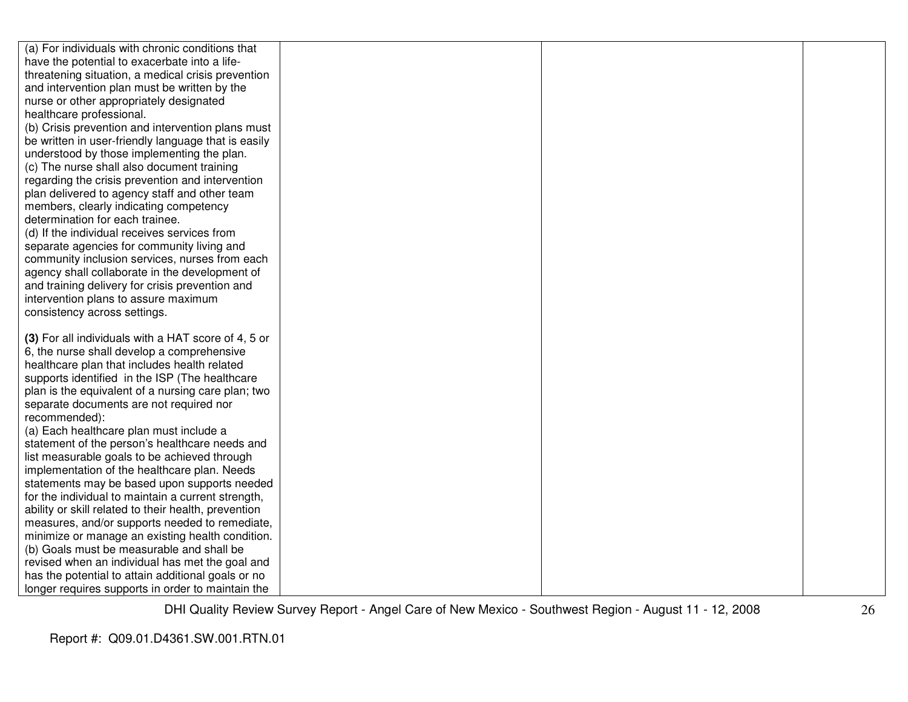| (a) For individuals with chronic conditions that     |  |  |
|------------------------------------------------------|--|--|
| have the potential to exacerbate into a life-        |  |  |
| threatening situation, a medical crisis prevention   |  |  |
| and intervention plan must be written by the         |  |  |
| nurse or other appropriately designated              |  |  |
| healthcare professional.                             |  |  |
| (b) Crisis prevention and intervention plans must    |  |  |
| be written in user-friendly language that is easily  |  |  |
| understood by those implementing the plan.           |  |  |
| (c) The nurse shall also document training           |  |  |
| regarding the crisis prevention and intervention     |  |  |
| plan delivered to agency staff and other team        |  |  |
| members, clearly indicating competency               |  |  |
| determination for each trainee.                      |  |  |
| (d) If the individual receives services from         |  |  |
| separate agencies for community living and           |  |  |
| community inclusion services, nurses from each       |  |  |
| agency shall collaborate in the development of       |  |  |
| and training delivery for crisis prevention and      |  |  |
| intervention plans to assure maximum                 |  |  |
| consistency across settings.                         |  |  |
|                                                      |  |  |
| (3) For all individuals with a HAT score of 4, 5 or  |  |  |
| 6, the nurse shall develop a comprehensive           |  |  |
| healthcare plan that includes health related         |  |  |
| supports identified in the ISP (The healthcare       |  |  |
| plan is the equivalent of a nursing care plan; two   |  |  |
| separate documents are not required nor              |  |  |
| recommended):                                        |  |  |
| (a) Each healthcare plan must include a              |  |  |
| statement of the person's healthcare needs and       |  |  |
| list measurable goals to be achieved through         |  |  |
| implementation of the healthcare plan. Needs         |  |  |
| statements may be based upon supports needed         |  |  |
| for the individual to maintain a current strength,   |  |  |
| ability or skill related to their health, prevention |  |  |
| measures, and/or supports needed to remediate,       |  |  |
| minimize or manage an existing health condition.     |  |  |
| (b) Goals must be measurable and shall be            |  |  |
| revised when an individual has met the goal and      |  |  |
| has the potential to attain additional goals or no   |  |  |
| longer requires supports in order to maintain the    |  |  |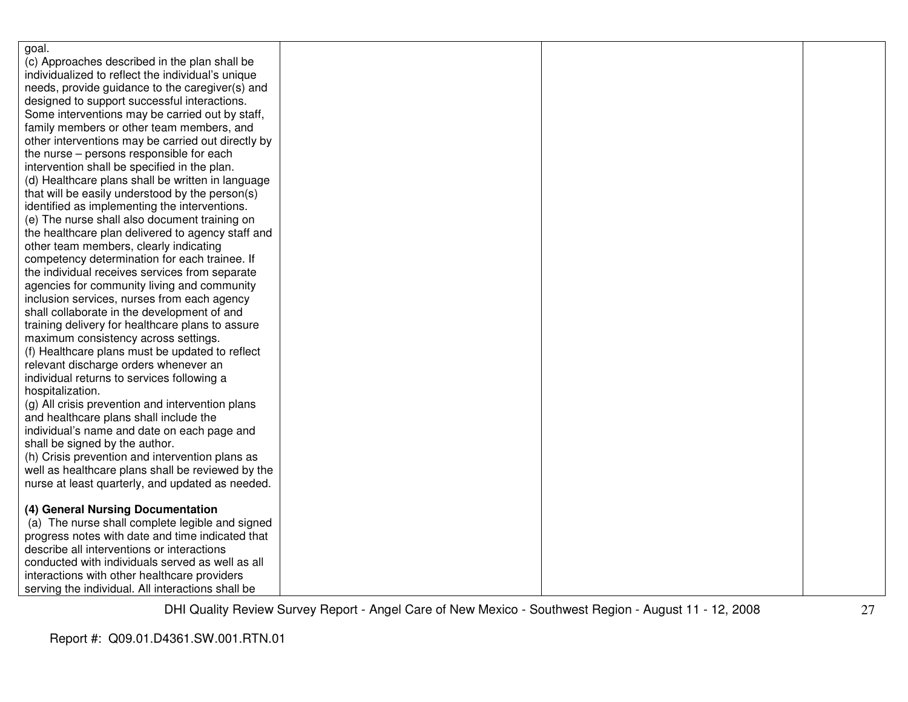| goal.                                              |  |  |
|----------------------------------------------------|--|--|
| (c) Approaches described in the plan shall be      |  |  |
| individualized to reflect the individual's unique  |  |  |
| needs, provide guidance to the caregiver(s) and    |  |  |
| designed to support successful interactions.       |  |  |
| Some interventions may be carried out by staff,    |  |  |
| family members or other team members, and          |  |  |
| other interventions may be carried out directly by |  |  |
| the nurse – persons responsible for each           |  |  |
| intervention shall be specified in the plan.       |  |  |
| (d) Healthcare plans shall be written in language  |  |  |
| that will be easily understood by the person(s)    |  |  |
| identified as implementing the interventions.      |  |  |
| (e) The nurse shall also document training on      |  |  |
| the healthcare plan delivered to agency staff and  |  |  |
| other team members, clearly indicating             |  |  |
| competency determination for each trainee. If      |  |  |
| the individual receives services from separate     |  |  |
| agencies for community living and community        |  |  |
| inclusion services, nurses from each agency        |  |  |
| shall collaborate in the development of and        |  |  |
| training delivery for healthcare plans to assure   |  |  |
| maximum consistency across settings.               |  |  |
| (f) Healthcare plans must be updated to reflect    |  |  |
| relevant discharge orders whenever an              |  |  |
| individual returns to services following a         |  |  |
| hospitalization.                                   |  |  |
| (g) All crisis prevention and intervention plans   |  |  |
| and healthcare plans shall include the             |  |  |
| individual's name and date on each page and        |  |  |
| shall be signed by the author.                     |  |  |
| (h) Crisis prevention and intervention plans as    |  |  |
| well as healthcare plans shall be reviewed by the  |  |  |
| nurse at least quarterly, and updated as needed.   |  |  |
|                                                    |  |  |
| (4) General Nursing Documentation                  |  |  |
| (a) The nurse shall complete legible and signed    |  |  |
| progress notes with date and time indicated that   |  |  |
| describe all interventions or interactions         |  |  |
| conducted with individuals served as well as all   |  |  |
| interactions with other healthcare providers       |  |  |
| serving the individual. All interactions shall be  |  |  |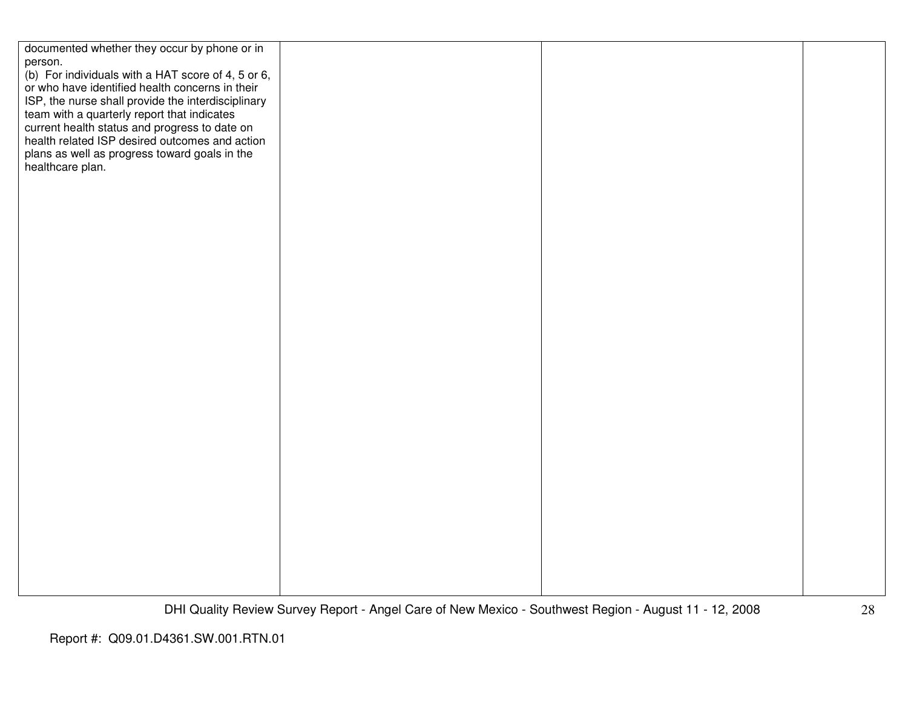| documented whether they occur by phone or in       |  |  |
|----------------------------------------------------|--|--|
|                                                    |  |  |
| person.                                            |  |  |
| (b) For individuals with a HAT score of 4, 5 or 6, |  |  |
| or who have identified health concerns in their    |  |  |
| ISP, the nurse shall provide the interdisciplinary |  |  |
|                                                    |  |  |
| team with a quarterly report that indicates        |  |  |
| current health status and progress to date on      |  |  |
| health related ISP desired outcomes and action     |  |  |
| plans as well as progress toward goals in the      |  |  |
| healthcare plan.                                   |  |  |
|                                                    |  |  |
|                                                    |  |  |
|                                                    |  |  |
|                                                    |  |  |
|                                                    |  |  |
|                                                    |  |  |
|                                                    |  |  |
|                                                    |  |  |
|                                                    |  |  |
|                                                    |  |  |
|                                                    |  |  |
|                                                    |  |  |
|                                                    |  |  |
|                                                    |  |  |
|                                                    |  |  |
|                                                    |  |  |
|                                                    |  |  |
|                                                    |  |  |
|                                                    |  |  |
|                                                    |  |  |
|                                                    |  |  |
|                                                    |  |  |
|                                                    |  |  |
|                                                    |  |  |
|                                                    |  |  |
|                                                    |  |  |
|                                                    |  |  |
|                                                    |  |  |
|                                                    |  |  |
|                                                    |  |  |
|                                                    |  |  |
|                                                    |  |  |
|                                                    |  |  |
|                                                    |  |  |
|                                                    |  |  |
|                                                    |  |  |
|                                                    |  |  |
|                                                    |  |  |
|                                                    |  |  |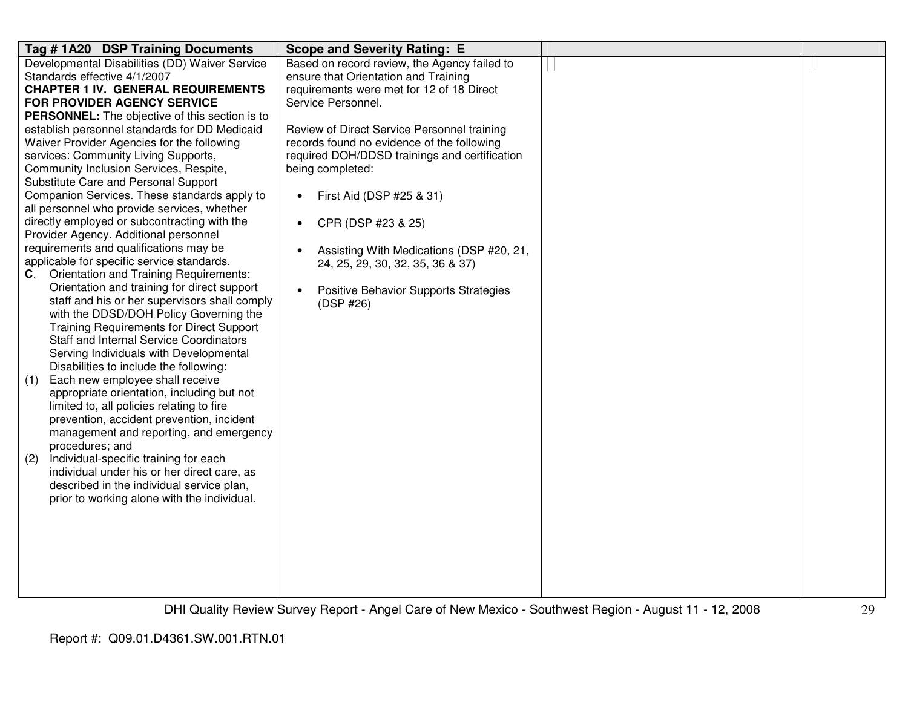| Tag #1A20 DSP Training Documents                                                                                                                                                                                                                                                                                                                                                                                                                                                                                                                                                                                                                                                                                                                                                                                                                                                                                                                                                                                                                                                                                                                                                                                                                                                                                                                                                                                                                                                                                                                                  | <b>Scope and Severity Rating: E</b>                                                                                                                                                                                                                                                                                                                                                                                                                                                                                                                      |  |
|-------------------------------------------------------------------------------------------------------------------------------------------------------------------------------------------------------------------------------------------------------------------------------------------------------------------------------------------------------------------------------------------------------------------------------------------------------------------------------------------------------------------------------------------------------------------------------------------------------------------------------------------------------------------------------------------------------------------------------------------------------------------------------------------------------------------------------------------------------------------------------------------------------------------------------------------------------------------------------------------------------------------------------------------------------------------------------------------------------------------------------------------------------------------------------------------------------------------------------------------------------------------------------------------------------------------------------------------------------------------------------------------------------------------------------------------------------------------------------------------------------------------------------------------------------------------|----------------------------------------------------------------------------------------------------------------------------------------------------------------------------------------------------------------------------------------------------------------------------------------------------------------------------------------------------------------------------------------------------------------------------------------------------------------------------------------------------------------------------------------------------------|--|
| Developmental Disabilities (DD) Waiver Service<br>Standards effective 4/1/2007<br><b>CHAPTER 1 IV. GENERAL REQUIREMENTS</b><br>FOR PROVIDER AGENCY SERVICE<br><b>PERSONNEL:</b> The objective of this section is to<br>establish personnel standards for DD Medicaid<br>Waiver Provider Agencies for the following<br>services: Community Living Supports,<br>Community Inclusion Services, Respite,<br>Substitute Care and Personal Support<br>Companion Services. These standards apply to<br>all personnel who provide services, whether<br>directly employed or subcontracting with the<br>Provider Agency. Additional personnel<br>requirements and qualifications may be<br>applicable for specific service standards.<br><b>Orientation and Training Requirements:</b><br>C.<br>Orientation and training for direct support<br>staff and his or her supervisors shall comply<br>with the DDSD/DOH Policy Governing the<br><b>Training Requirements for Direct Support</b><br><b>Staff and Internal Service Coordinators</b><br>Serving Individuals with Developmental<br>Disabilities to include the following:<br>Each new employee shall receive<br>(1)<br>appropriate orientation, including but not<br>limited to, all policies relating to fire<br>prevention, accident prevention, incident<br>management and reporting, and emergency<br>procedures; and<br>Individual-specific training for each<br>(2)<br>individual under his or her direct care, as<br>described in the individual service plan,<br>prior to working alone with the individual. | Based on record review, the Agency failed to<br>ensure that Orientation and Training<br>requirements were met for 12 of 18 Direct<br>Service Personnel.<br>Review of Direct Service Personnel training<br>records found no evidence of the following<br>required DOH/DDSD trainings and certification<br>being completed:<br>First Aid (DSP #25 & 31)<br>$\bullet$<br>CPR (DSP #23 & 25)<br>$\bullet$<br>Assisting With Medications (DSP #20, 21,<br>24, 25, 29, 30, 32, 35, 36 & 37)<br>Positive Behavior Supports Strategies<br>$\bullet$<br>(DSP #26) |  |
|                                                                                                                                                                                                                                                                                                                                                                                                                                                                                                                                                                                                                                                                                                                                                                                                                                                                                                                                                                                                                                                                                                                                                                                                                                                                                                                                                                                                                                                                                                                                                                   |                                                                                                                                                                                                                                                                                                                                                                                                                                                                                                                                                          |  |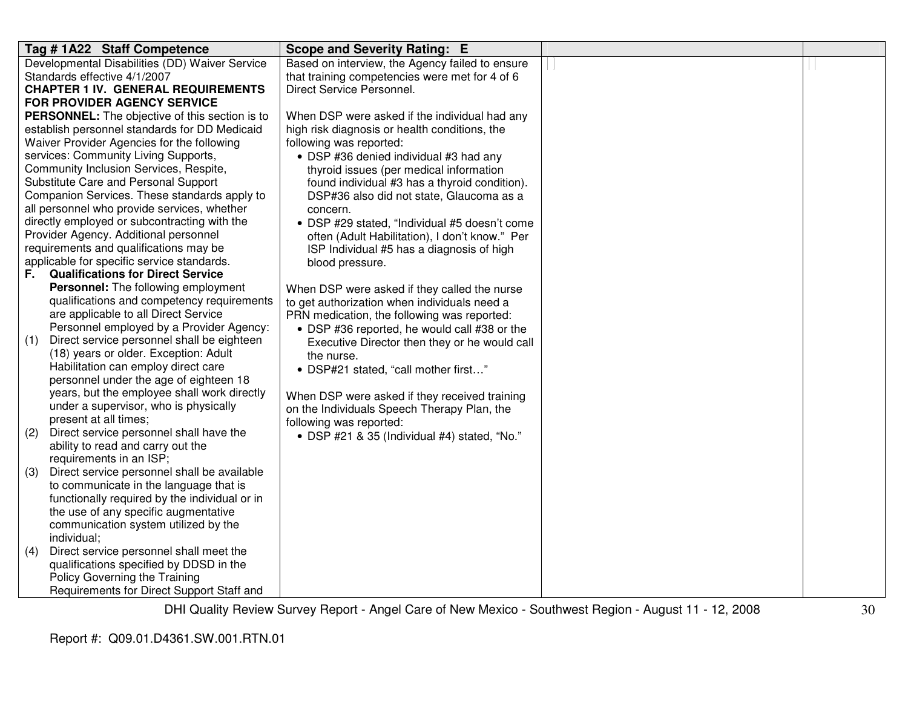| Tag # 1A22 Staff Competence<br>Scope and Severity Rating: E                                            |  |
|--------------------------------------------------------------------------------------------------------|--|
| Developmental Disabilities (DD) Waiver Service<br>Based on interview, the Agency failed to ensure      |  |
| Standards effective 4/1/2007<br>that training competencies were met for 4 of 6                         |  |
| Direct Service Personnel.<br><b>CHAPTER 1 IV. GENERAL REQUIREMENTS</b>                                 |  |
| FOR PROVIDER AGENCY SERVICE                                                                            |  |
| <b>PERSONNEL:</b> The objective of this section is to<br>When DSP were asked if the individual had any |  |
| establish personnel standards for DD Medicaid<br>high risk diagnosis or health conditions, the         |  |
| Waiver Provider Agencies for the following<br>following was reported:                                  |  |
| services: Community Living Supports,<br>• DSP #36 denied individual #3 had any                         |  |
| Community Inclusion Services, Respite,<br>thyroid issues (per medical information                      |  |
| Substitute Care and Personal Support<br>found individual #3 has a thyroid condition).                  |  |
| Companion Services. These standards apply to<br>DSP#36 also did not state, Glaucoma as a               |  |
| all personnel who provide services, whether<br>concern.                                                |  |
| directly employed or subcontracting with the<br>• DSP #29 stated, "Individual #5 doesn't come          |  |
| Provider Agency. Additional personnel<br>often (Adult Habilitation), I don't know." Per                |  |
| requirements and qualifications may be<br>ISP Individual #5 has a diagnosis of high                    |  |
| applicable for specific service standards.<br>blood pressure.                                          |  |
| <b>Qualifications for Direct Service</b><br>F.                                                         |  |
| <b>Personnel:</b> The following employment<br>When DSP were asked if they called the nurse             |  |
| qualifications and competency requirements<br>to get authorization when individuals need a             |  |
| are applicable to all Direct Service<br>PRN medication, the following was reported:                    |  |
| Personnel employed by a Provider Agency:<br>• DSP #36 reported, he would call #38 or the               |  |
| Direct service personnel shall be eighteen<br>(1)<br>Executive Director then they or he would call     |  |
| (18) years or older. Exception: Adult<br>the nurse.                                                    |  |
| Habilitation can employ direct care<br>• DSP#21 stated, "call mother first"                            |  |
| personnel under the age of eighteen 18                                                                 |  |
| years, but the employee shall work directly<br>When DSP were asked if they received training           |  |
| under a supervisor, who is physically<br>on the Individuals Speech Therapy Plan, the                   |  |
| present at all times;<br>following was reported:                                                       |  |
| Direct service personnel shall have the<br>(2)<br>· DSP #21 & 35 (Individual #4) stated, "No."         |  |
| ability to read and carry out the<br>requirements in an ISP;                                           |  |
| (3)<br>Direct service personnel shall be available                                                     |  |
| to communicate in the language that is                                                                 |  |
| functionally required by the individual or in                                                          |  |
| the use of any specific augmentative                                                                   |  |
| communication system utilized by the                                                                   |  |
| individual;                                                                                            |  |
| Direct service personnel shall meet the<br>(4)                                                         |  |
| qualifications specified by DDSD in the                                                                |  |
| Policy Governing the Training                                                                          |  |
| Requirements for Direct Support Staff and                                                              |  |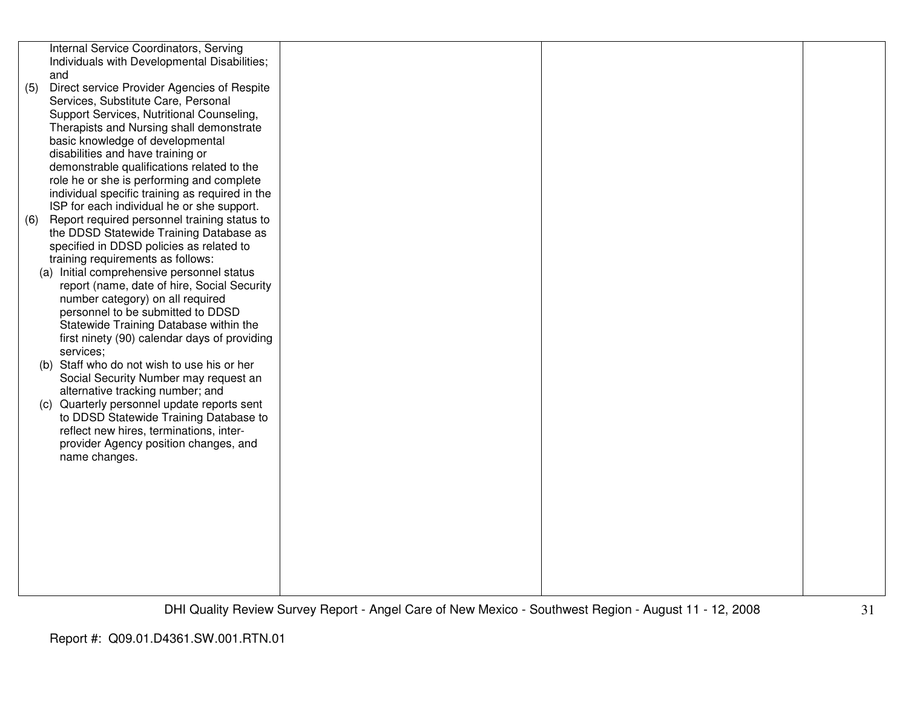|     | Internal Service Coordinators, Serving                                              |  |  |
|-----|-------------------------------------------------------------------------------------|--|--|
|     | Individuals with Developmental Disabilities;<br>and                                 |  |  |
| (5) | Direct service Provider Agencies of Respite                                         |  |  |
|     | Services, Substitute Care, Personal                                                 |  |  |
|     | Support Services, Nutritional Counseling,                                           |  |  |
|     | Therapists and Nursing shall demonstrate                                            |  |  |
|     | basic knowledge of developmental                                                    |  |  |
|     | disabilities and have training or                                                   |  |  |
|     | demonstrable qualifications related to the                                          |  |  |
|     | role he or she is performing and complete                                           |  |  |
|     | individual specific training as required in the                                     |  |  |
|     | ISP for each individual he or she support.                                          |  |  |
| (6) | Report required personnel training status to                                        |  |  |
|     | the DDSD Statewide Training Database as<br>specified in DDSD policies as related to |  |  |
|     | training requirements as follows:                                                   |  |  |
|     | (a) Initial comprehensive personnel status                                          |  |  |
|     | report (name, date of hire, Social Security                                         |  |  |
|     | number category) on all required                                                    |  |  |
|     | personnel to be submitted to DDSD                                                   |  |  |
|     | Statewide Training Database within the                                              |  |  |
|     | first ninety (90) calendar days of providing                                        |  |  |
|     | services;                                                                           |  |  |
|     | (b) Staff who do not wish to use his or her                                         |  |  |
|     | Social Security Number may request an                                               |  |  |
|     | alternative tracking number; and<br>(c) Quarterly personnel update reports sent     |  |  |
|     | to DDSD Statewide Training Database to                                              |  |  |
|     | reflect new hires, terminations, inter-                                             |  |  |
|     | provider Agency position changes, and                                               |  |  |
|     | name changes.                                                                       |  |  |
|     |                                                                                     |  |  |
|     |                                                                                     |  |  |
|     |                                                                                     |  |  |
|     |                                                                                     |  |  |
|     |                                                                                     |  |  |
|     |                                                                                     |  |  |
|     |                                                                                     |  |  |
|     |                                                                                     |  |  |
|     |                                                                                     |  |  |
|     |                                                                                     |  |  |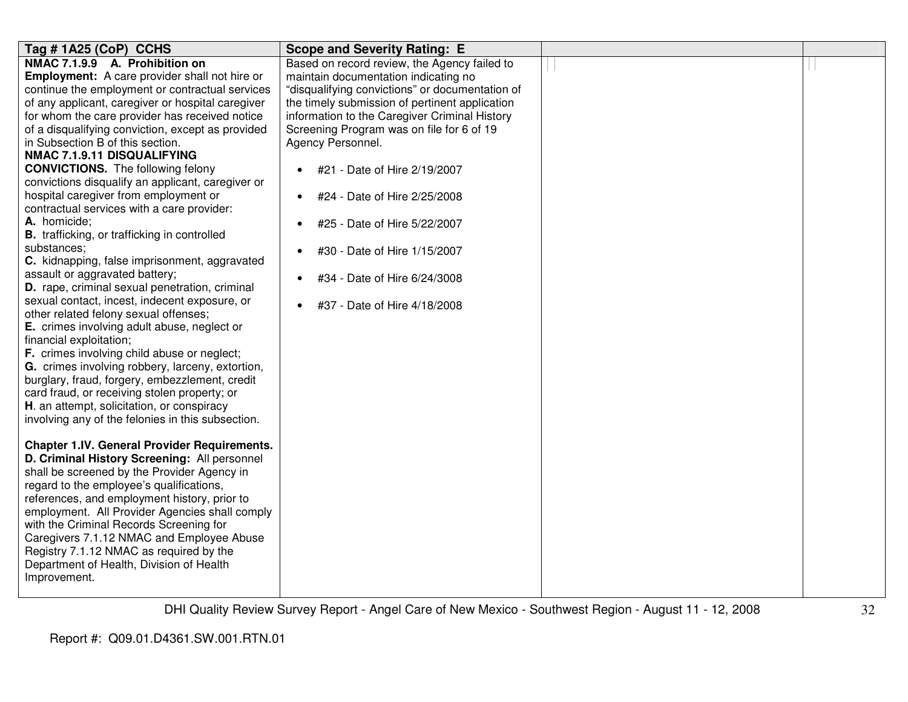| Tag #1A25 (CoP) CCHS                                 | <b>Scope and Severity Rating: E</b>             |  |
|------------------------------------------------------|-------------------------------------------------|--|
| NMAC 7.1.9.9 A. Prohibition on                       | Based on record review, the Agency failed to    |  |
| <b>Employment:</b> A care provider shall not hire or | maintain documentation indicating no            |  |
| continue the employment or contractual services      | "disqualifying convictions" or documentation of |  |
| of any applicant, caregiver or hospital caregiver    | the timely submission of pertinent application  |  |
| for whom the care provider has received notice       | information to the Caregiver Criminal History   |  |
| of a disqualifying conviction, except as provided    | Screening Program was on file for 6 of 19       |  |
| in Subsection B of this section.                     | Agency Personnel.                               |  |
| NMAC 7.1.9.11 DISQUALIFYING                          |                                                 |  |
| <b>CONVICTIONS.</b> The following felony             | #21 - Date of Hire 2/19/2007<br>$\bullet$       |  |
| convictions disqualify an applicant, caregiver or    |                                                 |  |
| hospital caregiver from employment or                | #24 - Date of Hire 2/25/2008<br>$\bullet$       |  |
| contractual services with a care provider:           |                                                 |  |
| A. homicide;                                         | #25 - Date of Hire 5/22/2007                    |  |
| <b>B.</b> trafficking, or trafficking in controlled  |                                                 |  |
| substances;                                          | #30 - Date of Hire 1/15/2007                    |  |
| C. kidnapping, false imprisonment, aggravated        |                                                 |  |
| assault or aggravated battery;                       | #34 - Date of Hire 6/24/3008<br>$\bullet$       |  |
| D. rape, criminal sexual penetration, criminal       |                                                 |  |
| sexual contact, incest, indecent exposure, or        | #37 - Date of Hire 4/18/2008<br>$\bullet$       |  |
| other related felony sexual offenses;                |                                                 |  |
| E. crimes involving adult abuse, neglect or          |                                                 |  |
| financial exploitation;                              |                                                 |  |
| F. crimes involving child abuse or neglect;          |                                                 |  |
| G. crimes involving robbery, larceny, extortion,     |                                                 |  |
| burglary, fraud, forgery, embezzlement, credit       |                                                 |  |
| card fraud, or receiving stolen property; or         |                                                 |  |
| H. an attempt, solicitation, or conspiracy           |                                                 |  |
| involving any of the felonies in this subsection.    |                                                 |  |
|                                                      |                                                 |  |
| <b>Chapter 1.IV. General Provider Requirements.</b>  |                                                 |  |
| D. Criminal History Screening: All personnel         |                                                 |  |
| shall be screened by the Provider Agency in          |                                                 |  |
| regard to the employee's qualifications,             |                                                 |  |
| references, and employment history, prior to         |                                                 |  |
| employment. All Provider Agencies shall comply       |                                                 |  |
| with the Criminal Records Screening for              |                                                 |  |
| Caregivers 7.1.12 NMAC and Employee Abuse            |                                                 |  |
| Registry 7.1.12 NMAC as required by the              |                                                 |  |
| Department of Health, Division of Health             |                                                 |  |
| Improvement.                                         |                                                 |  |
|                                                      |                                                 |  |
|                                                      |                                                 |  |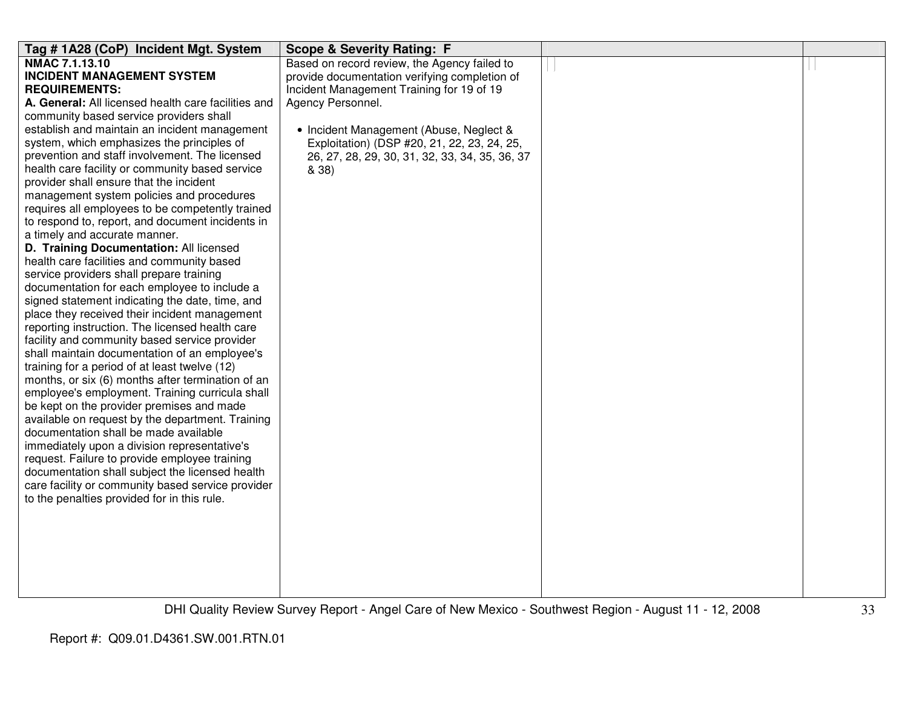| Tag # 1A28 (CoP) Incident Mgt. System                                                          | <b>Scope &amp; Severity Rating: F</b>          |  |
|------------------------------------------------------------------------------------------------|------------------------------------------------|--|
| <b>NMAC 7.1.13.10</b>                                                                          | Based on record review, the Agency failed to   |  |
| <b>INCIDENT MANAGEMENT SYSTEM</b>                                                              | provide documentation verifying completion of  |  |
| <b>REQUIREMENTS:</b>                                                                           | Incident Management Training for 19 of 19      |  |
| A. General: All licensed health care facilities and                                            | Agency Personnel.                              |  |
| community based service providers shall                                                        |                                                |  |
| establish and maintain an incident management                                                  | • Incident Management (Abuse, Neglect &        |  |
| system, which emphasizes the principles of                                                     | Exploitation) (DSP #20, 21, 22, 23, 24, 25,    |  |
| prevention and staff involvement. The licensed                                                 | 26, 27, 28, 29, 30, 31, 32, 33, 34, 35, 36, 37 |  |
| health care facility or community based service                                                | & 38)                                          |  |
| provider shall ensure that the incident                                                        |                                                |  |
| management system policies and procedures                                                      |                                                |  |
| requires all employees to be competently trained                                               |                                                |  |
| to respond to, report, and document incidents in                                               |                                                |  |
| a timely and accurate manner.                                                                  |                                                |  |
| D. Training Documentation: All licensed                                                        |                                                |  |
| health care facilities and community based                                                     |                                                |  |
| service providers shall prepare training                                                       |                                                |  |
| documentation for each employee to include a                                                   |                                                |  |
| signed statement indicating the date, time, and                                                |                                                |  |
| place they received their incident management                                                  |                                                |  |
| reporting instruction. The licensed health care                                                |                                                |  |
| facility and community based service provider<br>shall maintain documentation of an employee's |                                                |  |
| training for a period of at least twelve (12)                                                  |                                                |  |
| months, or six (6) months after termination of an                                              |                                                |  |
| employee's employment. Training curricula shall                                                |                                                |  |
| be kept on the provider premises and made                                                      |                                                |  |
| available on request by the department. Training                                               |                                                |  |
| documentation shall be made available                                                          |                                                |  |
| immediately upon a division representative's                                                   |                                                |  |
| request. Failure to provide employee training                                                  |                                                |  |
| documentation shall subject the licensed health                                                |                                                |  |
| care facility or community based service provider                                              |                                                |  |
| to the penalties provided for in this rule.                                                    |                                                |  |
|                                                                                                |                                                |  |
|                                                                                                |                                                |  |
|                                                                                                |                                                |  |
|                                                                                                |                                                |  |
|                                                                                                |                                                |  |
|                                                                                                |                                                |  |
|                                                                                                |                                                |  |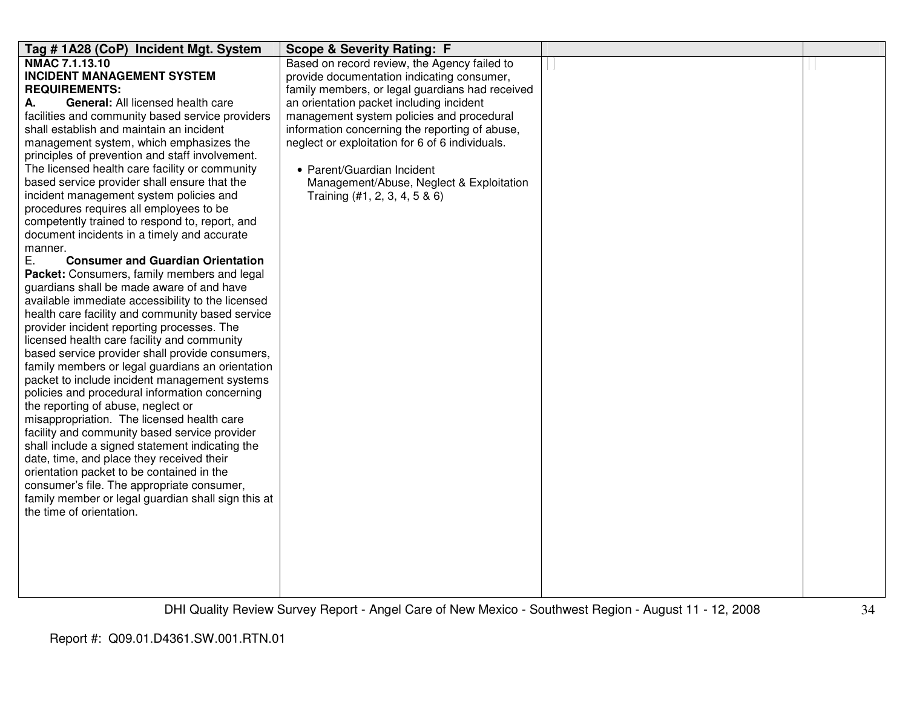| Tag # 1A28 (CoP) Incident Mgt. System              | <b>Scope &amp; Severity Rating: F</b>           |  |
|----------------------------------------------------|-------------------------------------------------|--|
| <b>NMAC 7.1.13.10</b>                              | Based on record review, the Agency failed to    |  |
| <b>INCIDENT MANAGEMENT SYSTEM</b>                  | provide documentation indicating consumer,      |  |
| <b>REQUIREMENTS:</b>                               | family members, or legal guardians had received |  |
| General: All licensed health care<br>А.            | an orientation packet including incident        |  |
| facilities and community based service providers   | management system policies and procedural       |  |
| shall establish and maintain an incident           | information concerning the reporting of abuse,  |  |
| management system, which emphasizes the            | neglect or exploitation for 6 of 6 individuals. |  |
| principles of prevention and staff involvement.    |                                                 |  |
| The licensed health care facility or community     | • Parent/Guardian Incident                      |  |
| based service provider shall ensure that the       | Management/Abuse, Neglect & Exploitation        |  |
| incident management system policies and            | Training $(#1, 2, 3, 4, 5 & 6)$                 |  |
| procedures requires all employees to be            |                                                 |  |
| competently trained to respond to, report, and     |                                                 |  |
| document incidents in a timely and accurate        |                                                 |  |
| manner.                                            |                                                 |  |
| Ε.<br><b>Consumer and Guardian Orientation</b>     |                                                 |  |
| Packet: Consumers, family members and legal        |                                                 |  |
| guardians shall be made aware of and have          |                                                 |  |
| available immediate accessibility to the licensed  |                                                 |  |
| health care facility and community based service   |                                                 |  |
| provider incident reporting processes. The         |                                                 |  |
| licensed health care facility and community        |                                                 |  |
| based service provider shall provide consumers,    |                                                 |  |
| family members or legal guardians an orientation   |                                                 |  |
| packet to include incident management systems      |                                                 |  |
| policies and procedural information concerning     |                                                 |  |
| the reporting of abuse, neglect or                 |                                                 |  |
| misappropriation. The licensed health care         |                                                 |  |
| facility and community based service provider      |                                                 |  |
| shall include a signed statement indicating the    |                                                 |  |
| date, time, and place they received their          |                                                 |  |
| orientation packet to be contained in the          |                                                 |  |
| consumer's file. The appropriate consumer,         |                                                 |  |
| family member or legal guardian shall sign this at |                                                 |  |
| the time of orientation.                           |                                                 |  |
|                                                    |                                                 |  |
|                                                    |                                                 |  |
|                                                    |                                                 |  |
|                                                    |                                                 |  |
|                                                    |                                                 |  |
|                                                    |                                                 |  |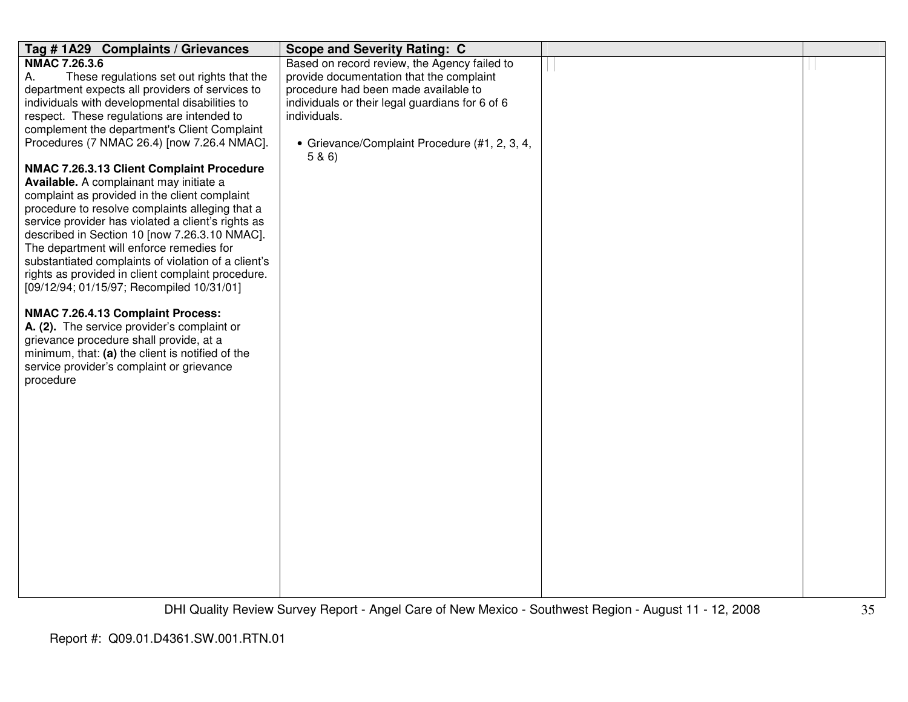| Tag #1A29 Complaints / Grievances                   | <b>Scope and Severity Rating: C</b>                     |  |
|-----------------------------------------------------|---------------------------------------------------------|--|
| <b>NMAC 7.26.3.6</b>                                | Based on record review, the Agency failed to            |  |
| А.<br>These regulations set out rights that the     | provide documentation that the complaint                |  |
| department expects all providers of services to     | procedure had been made available to                    |  |
| individuals with developmental disabilities to      | individuals or their legal guardians for 6 of 6         |  |
| respect. These regulations are intended to          | individuals.                                            |  |
| complement the department's Client Complaint        |                                                         |  |
| Procedures (7 NMAC 26.4) [now 7.26.4 NMAC].         | • Grievance/Complaint Procedure (#1, 2, 3, 4,<br>5 & 6) |  |
| NMAC 7.26.3.13 Client Complaint Procedure           |                                                         |  |
| Available. A complainant may initiate a             |                                                         |  |
| complaint as provided in the client complaint       |                                                         |  |
| procedure to resolve complaints alleging that a     |                                                         |  |
| service provider has violated a client's rights as  |                                                         |  |
| described in Section 10 [now 7.26.3.10 NMAC].       |                                                         |  |
| The department will enforce remedies for            |                                                         |  |
| substantiated complaints of violation of a client's |                                                         |  |
| rights as provided in client complaint procedure.   |                                                         |  |
| [09/12/94; 01/15/97; Recompiled 10/31/01]           |                                                         |  |
| NMAC 7.26.4.13 Complaint Process:                   |                                                         |  |
| A. (2). The service provider's complaint or         |                                                         |  |
| grievance procedure shall provide, at a             |                                                         |  |
| minimum, that: (a) the client is notified of the    |                                                         |  |
| service provider's complaint or grievance           |                                                         |  |
| procedure                                           |                                                         |  |
|                                                     |                                                         |  |
|                                                     |                                                         |  |
|                                                     |                                                         |  |
|                                                     |                                                         |  |
|                                                     |                                                         |  |
|                                                     |                                                         |  |
|                                                     |                                                         |  |
|                                                     |                                                         |  |
|                                                     |                                                         |  |
|                                                     |                                                         |  |
|                                                     |                                                         |  |
|                                                     |                                                         |  |
|                                                     |                                                         |  |
|                                                     |                                                         |  |
|                                                     |                                                         |  |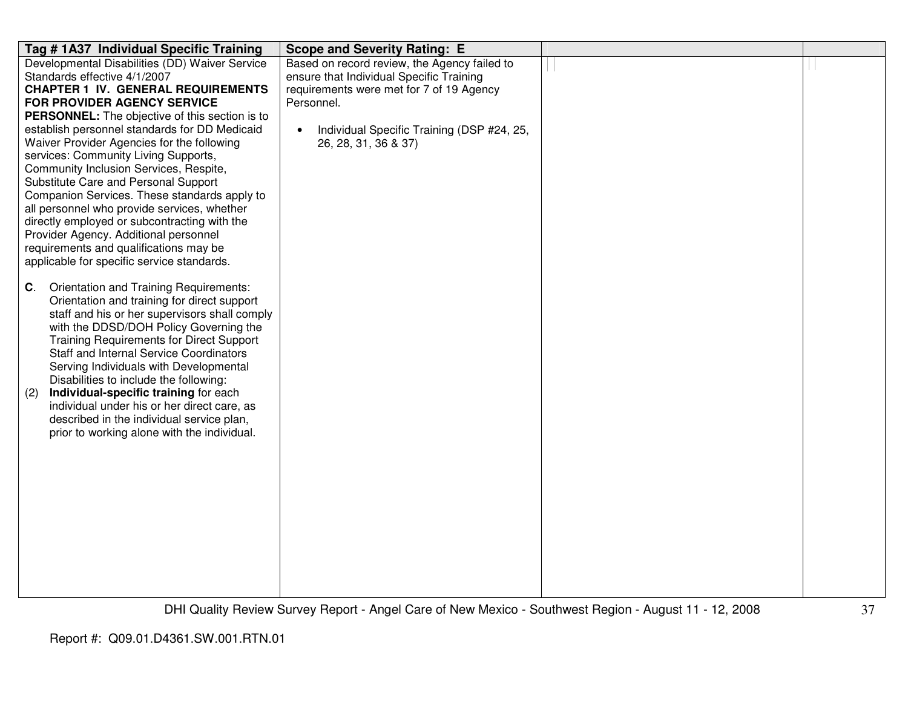| Tag #1A37 Individual Specific Training                                                             | <b>Scope and Severity Rating: E</b>          |  |
|----------------------------------------------------------------------------------------------------|----------------------------------------------|--|
| Developmental Disabilities (DD) Waiver Service                                                     | Based on record review, the Agency failed to |  |
| Standards effective 4/1/2007                                                                       | ensure that Individual Specific Training     |  |
| <b>CHAPTER 1 IV. GENERAL REQUIREMENTS</b>                                                          | requirements were met for 7 of 19 Agency     |  |
| <b>FOR PROVIDER AGENCY SERVICE</b>                                                                 | Personnel.                                   |  |
| PERSONNEL: The objective of this section is to                                                     |                                              |  |
| establish personnel standards for DD Medicaid                                                      | Individual Specific Training (DSP #24, 25,   |  |
| Waiver Provider Agencies for the following                                                         | 26, 28, 31, 36 & 37)                         |  |
| services: Community Living Supports,                                                               |                                              |  |
| Community Inclusion Services, Respite,                                                             |                                              |  |
| Substitute Care and Personal Support                                                               |                                              |  |
| Companion Services. These standards apply to                                                       |                                              |  |
| all personnel who provide services, whether                                                        |                                              |  |
| directly employed or subcontracting with the                                                       |                                              |  |
| Provider Agency. Additional personnel                                                              |                                              |  |
| requirements and qualifications may be                                                             |                                              |  |
| applicable for specific service standards.                                                         |                                              |  |
|                                                                                                    |                                              |  |
| <b>Orientation and Training Requirements:</b><br>C.<br>Orientation and training for direct support |                                              |  |
| staff and his or her supervisors shall comply                                                      |                                              |  |
| with the DDSD/DOH Policy Governing the                                                             |                                              |  |
| <b>Training Requirements for Direct Support</b>                                                    |                                              |  |
| <b>Staff and Internal Service Coordinators</b>                                                     |                                              |  |
| Serving Individuals with Developmental                                                             |                                              |  |
| Disabilities to include the following:                                                             |                                              |  |
| Individual-specific training for each<br>(2)                                                       |                                              |  |
| individual under his or her direct care, as                                                        |                                              |  |
| described in the individual service plan,                                                          |                                              |  |
| prior to working alone with the individual.                                                        |                                              |  |
|                                                                                                    |                                              |  |
|                                                                                                    |                                              |  |
|                                                                                                    |                                              |  |
|                                                                                                    |                                              |  |
|                                                                                                    |                                              |  |
|                                                                                                    |                                              |  |
|                                                                                                    |                                              |  |
|                                                                                                    |                                              |  |
|                                                                                                    |                                              |  |
|                                                                                                    |                                              |  |
|                                                                                                    |                                              |  |
|                                                                                                    |                                              |  |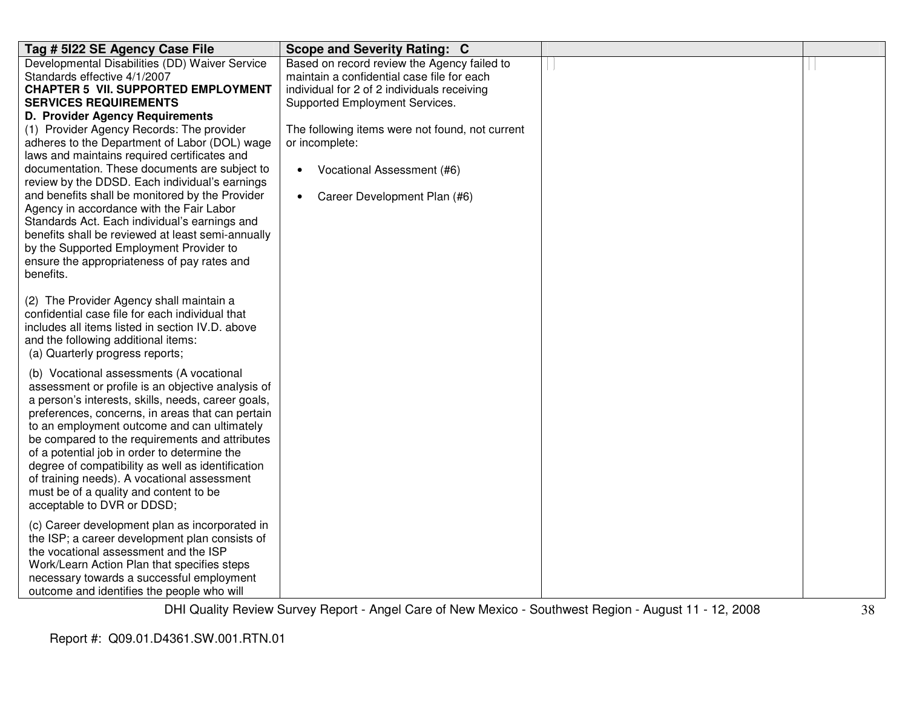| Tag # 5122 SE Agency Case File                                                                                                                                                                                                                                                                                                                                                                                                                                                                                                       | Scope and Severity Rating: C                                                                                                                                               |  |
|--------------------------------------------------------------------------------------------------------------------------------------------------------------------------------------------------------------------------------------------------------------------------------------------------------------------------------------------------------------------------------------------------------------------------------------------------------------------------------------------------------------------------------------|----------------------------------------------------------------------------------------------------------------------------------------------------------------------------|--|
| Developmental Disabilities (DD) Waiver Service<br>Standards effective 4/1/2007<br><b>CHAPTER 5 VII. SUPPORTED EMPLOYMENT</b><br><b>SERVICES REQUIREMENTS</b>                                                                                                                                                                                                                                                                                                                                                                         | Based on record review the Agency failed to<br>maintain a confidential case file for each<br>individual for 2 of 2 individuals receiving<br>Supported Employment Services. |  |
| D. Provider Agency Requirements<br>(1) Provider Agency Records: The provider<br>adheres to the Department of Labor (DOL) wage<br>laws and maintains required certificates and<br>documentation. These documents are subject to<br>review by the DDSD. Each individual's earnings<br>and benefits shall be monitored by the Provider<br>Agency in accordance with the Fair Labor                                                                                                                                                      | The following items were not found, not current<br>or incomplete:<br>Vocational Assessment (#6)<br>$\bullet$<br>Career Development Plan (#6)<br>$\bullet$                  |  |
| Standards Act. Each individual's earnings and<br>benefits shall be reviewed at least semi-annually<br>by the Supported Employment Provider to<br>ensure the appropriateness of pay rates and<br>benefits.                                                                                                                                                                                                                                                                                                                            |                                                                                                                                                                            |  |
| (2) The Provider Agency shall maintain a<br>confidential case file for each individual that<br>includes all items listed in section IV.D. above<br>and the following additional items:<br>(a) Quarterly progress reports;                                                                                                                                                                                                                                                                                                            |                                                                                                                                                                            |  |
| (b) Vocational assessments (A vocational<br>assessment or profile is an objective analysis of<br>a person's interests, skills, needs, career goals,<br>preferences, concerns, in areas that can pertain<br>to an employment outcome and can ultimately<br>be compared to the requirements and attributes<br>of a potential job in order to determine the<br>degree of compatibility as well as identification<br>of training needs). A vocational assessment<br>must be of a quality and content to be<br>acceptable to DVR or DDSD; |                                                                                                                                                                            |  |
| (c) Career development plan as incorporated in<br>the ISP; a career development plan consists of<br>the vocational assessment and the ISP<br>Work/Learn Action Plan that specifies steps<br>necessary towards a successful employment<br>outcome and identifies the people who will                                                                                                                                                                                                                                                  |                                                                                                                                                                            |  |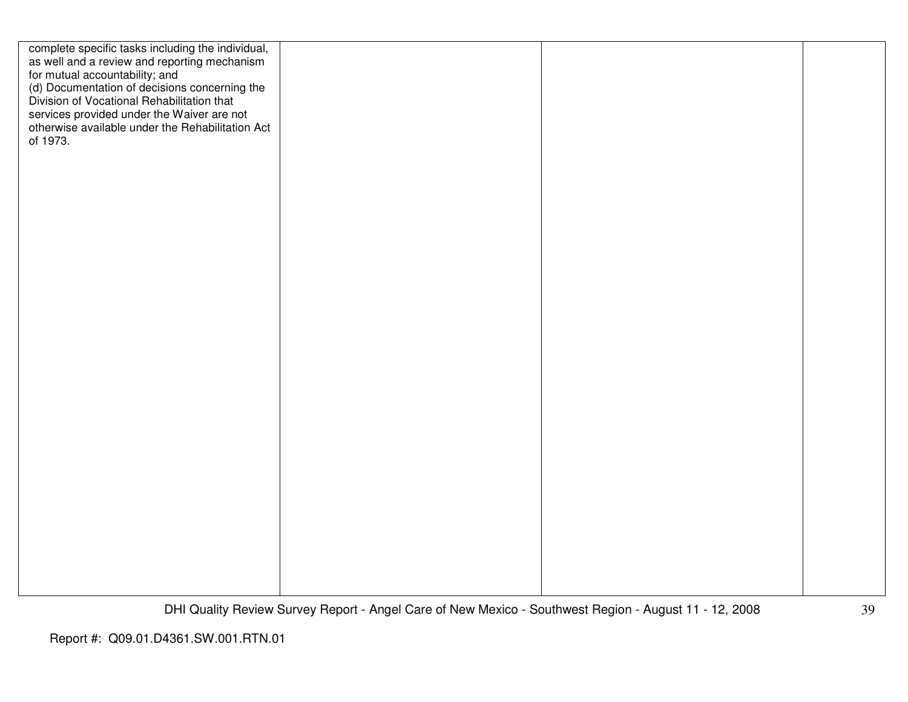| complete specific tasks including the individual,<br>as well and a review and reporting mechanism<br>for mutual accountability; and<br>(d) Documentation of decisions concerning the<br>Division of Vocational Rehabilitation that<br>services provided under the Waiver are not<br>otherwise available under the Rehabilitation Act<br>of 1973. |  |  |
|--------------------------------------------------------------------------------------------------------------------------------------------------------------------------------------------------------------------------------------------------------------------------------------------------------------------------------------------------|--|--|
|                                                                                                                                                                                                                                                                                                                                                  |  |  |
|                                                                                                                                                                                                                                                                                                                                                  |  |  |
|                                                                                                                                                                                                                                                                                                                                                  |  |  |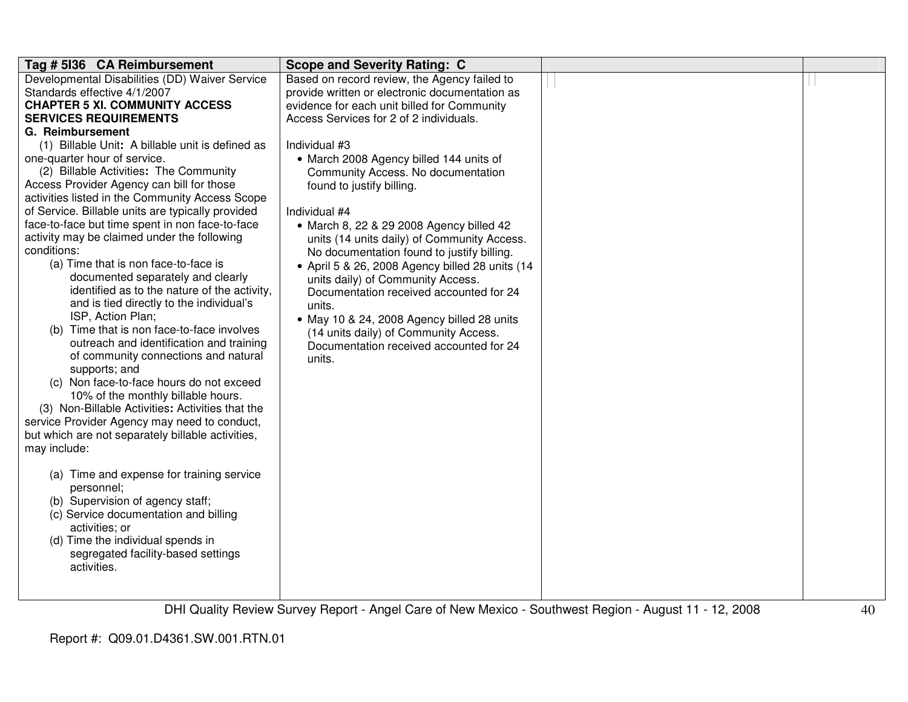| Tag # 5136 CA Reimbursement                       | <b>Scope and Severity Rating: C</b>             |          |  |
|---------------------------------------------------|-------------------------------------------------|----------|--|
| Developmental Disabilities (DD) Waiver Service    | Based on record review, the Agency failed to    |          |  |
| Standards effective 4/1/2007                      | provide written or electronic documentation as  |          |  |
| <b>CHAPTER 5 XI. COMMUNITY ACCESS</b>             | evidence for each unit billed for Community     |          |  |
| <b>SERVICES REQUIREMENTS</b>                      | Access Services for 2 of 2 individuals.         |          |  |
| G. Reimbursement                                  |                                                 |          |  |
| (1) Billable Unit: A billable unit is defined as  | Individual #3                                   |          |  |
| one-quarter hour of service.                      | • March 2008 Agency billed 144 units of         |          |  |
| (2) Billable Activities: The Community            | Community Access. No documentation              |          |  |
| Access Provider Agency can bill for those         | found to justify billing.                       |          |  |
| activities listed in the Community Access Scope   |                                                 |          |  |
| of Service. Billable units are typically provided | Individual #4                                   |          |  |
| face-to-face but time spent in non face-to-face   | • March 8, 22 & 29 2008 Agency billed 42        |          |  |
| activity may be claimed under the following       | units (14 units daily) of Community Access.     |          |  |
| conditions:                                       | No documentation found to justify billing.      |          |  |
| (a) Time that is non face-to-face is              | • April 5 & 26, 2008 Agency billed 28 units (14 |          |  |
| documented separately and clearly                 | units daily) of Community Access.               |          |  |
| identified as to the nature of the activity,      | Documentation received accounted for 24         |          |  |
| and is tied directly to the individual's          | units.                                          |          |  |
| ISP, Action Plan;                                 | • May 10 & 24, 2008 Agency billed 28 units      |          |  |
| (b) Time that is non face-to-face involves        | (14 units daily) of Community Access.           |          |  |
| outreach and identification and training          | Documentation received accounted for 24         |          |  |
| of community connections and natural              | units.                                          |          |  |
| supports; and                                     |                                                 |          |  |
| (c) Non face-to-face hours do not exceed          |                                                 |          |  |
| 10% of the monthly billable hours.                |                                                 |          |  |
| (3) Non-Billable Activities: Activities that the  |                                                 |          |  |
| service Provider Agency may need to conduct,      |                                                 |          |  |
| but which are not separately billable activities, |                                                 |          |  |
| may include:                                      |                                                 |          |  |
|                                                   |                                                 |          |  |
| (a) Time and expense for training service         |                                                 |          |  |
| personnel;                                        |                                                 |          |  |
| (b) Supervision of agency staff;                  |                                                 |          |  |
| (c) Service documentation and billing             |                                                 |          |  |
| activities; or                                    |                                                 |          |  |
| (d) Time the individual spends in                 |                                                 |          |  |
| segregated facility-based settings                |                                                 |          |  |
| activities.                                       |                                                 |          |  |
|                                                   |                                                 |          |  |
|                                                   |                                                 |          |  |
| ---------                                         | $\sim$<br>$\sim$ $\sim$ $\sim$                  | $\cdots$ |  |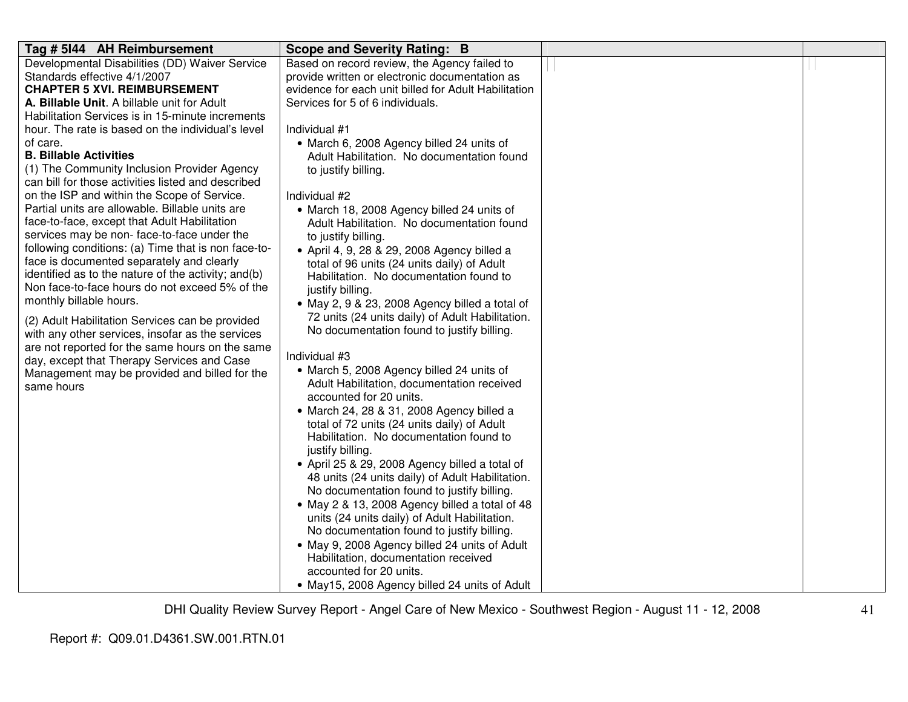| Based on record review, the Agency failed to<br>Developmental Disabilities (DD) Waiver Service                                                    |  |
|---------------------------------------------------------------------------------------------------------------------------------------------------|--|
| Standards effective 4/1/2007<br>provide written or electronic documentation as                                                                    |  |
| evidence for each unit billed for Adult Habilitation<br><b>CHAPTER 5 XVI. REIMBURSEMENT</b>                                                       |  |
| Services for 5 of 6 individuals.<br>A. Billable Unit. A billable unit for Adult                                                                   |  |
| Habilitation Services is in 15-minute increments                                                                                                  |  |
| Individual #1<br>hour. The rate is based on the individual's level                                                                                |  |
| of care.<br>• March 6, 2008 Agency billed 24 units of                                                                                             |  |
| <b>B. Billable Activities</b><br>Adult Habilitation. No documentation found                                                                       |  |
| (1) The Community Inclusion Provider Agency<br>to justify billing.                                                                                |  |
| can bill for those activities listed and described                                                                                                |  |
| on the ISP and within the Scope of Service.<br>Individual #2                                                                                      |  |
| Partial units are allowable. Billable units are<br>• March 18, 2008 Agency billed 24 units of                                                     |  |
| face-to-face, except that Adult Habilitation<br>Adult Habilitation. No documentation found                                                        |  |
| services may be non-face-to-face under the<br>to justify billing.<br>following conditions: (a) Time that is non face-to-                          |  |
| • April 4, 9, 28 & 29, 2008 Agency billed a<br>face is documented separately and clearly                                                          |  |
| total of 96 units (24 units daily) of Adult<br>identified as to the nature of the activity; and(b)                                                |  |
| Habilitation. No documentation found to<br>Non face-to-face hours do not exceed 5% of the                                                         |  |
| justify billing.<br>monthly billable hours.                                                                                                       |  |
| • May 2, 9 & 23, 2008 Agency billed a total of                                                                                                    |  |
| 72 units (24 units daily) of Adult Habilitation.<br>(2) Adult Habilitation Services can be provided<br>No documentation found to justify billing. |  |
| with any other services, insofar as the services                                                                                                  |  |
| are not reported for the same hours on the same<br>Individual #3                                                                                  |  |
| day, except that Therapy Services and Case<br>• March 5, 2008 Agency billed 24 units of                                                           |  |
| Management may be provided and billed for the<br>Adult Habilitation, documentation received                                                       |  |
| same hours<br>accounted for 20 units.                                                                                                             |  |
| • March 24, 28 & 31, 2008 Agency billed a                                                                                                         |  |
| total of 72 units (24 units daily) of Adult                                                                                                       |  |
| Habilitation. No documentation found to                                                                                                           |  |
| justify billing.                                                                                                                                  |  |
| • April 25 & 29, 2008 Agency billed a total of                                                                                                    |  |
| 48 units (24 units daily) of Adult Habilitation.                                                                                                  |  |
| No documentation found to justify billing.                                                                                                        |  |
| • May 2 & 13, 2008 Agency billed a total of 48                                                                                                    |  |
| units (24 units daily) of Adult Habilitation.                                                                                                     |  |
| No documentation found to justify billing.                                                                                                        |  |
| • May 9, 2008 Agency billed 24 units of Adult                                                                                                     |  |
| Habilitation, documentation received                                                                                                              |  |
| accounted for 20 units.                                                                                                                           |  |
| • May15, 2008 Agency billed 24 units of Adult                                                                                                     |  |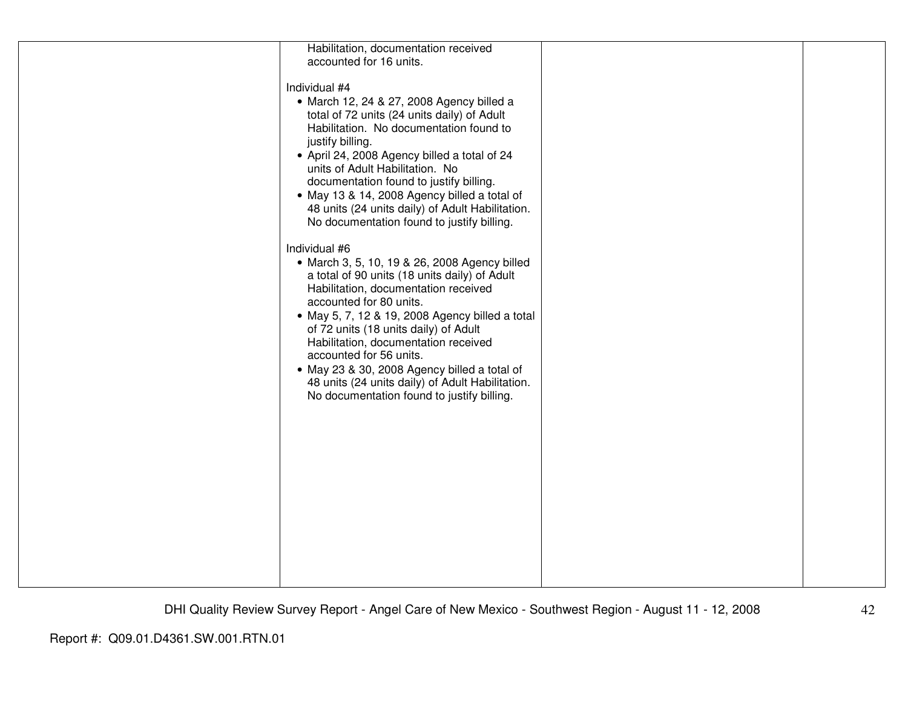| Habilitation, documentation received             |  |
|--------------------------------------------------|--|
| accounted for 16 units.                          |  |
|                                                  |  |
|                                                  |  |
| Individual #4                                    |  |
| • March 12, 24 & 27, 2008 Agency billed a        |  |
| total of 72 units (24 units daily) of Adult      |  |
| Habilitation. No documentation found to          |  |
|                                                  |  |
| justify billing.                                 |  |
| • April 24, 2008 Agency billed a total of 24     |  |
| units of Adult Habilitation. No                  |  |
| documentation found to justify billing.          |  |
|                                                  |  |
| • May 13 & 14, 2008 Agency billed a total of     |  |
| 48 units (24 units daily) of Adult Habilitation. |  |
| No documentation found to justify billing.       |  |
|                                                  |  |
| Individual #6                                    |  |
|                                                  |  |
| • March 3, 5, 10, 19 & 26, 2008 Agency billed    |  |
| a total of 90 units (18 units daily) of Adult    |  |
| Habilitation, documentation received             |  |
| accounted for 80 units.                          |  |
|                                                  |  |
| • May 5, 7, 12 & 19, 2008 Agency billed a total  |  |
| of 72 units (18 units daily) of Adult            |  |
| Habilitation, documentation received             |  |
| accounted for 56 units.                          |  |
|                                                  |  |
| • May 23 & 30, 2008 Agency billed a total of     |  |
| 48 units (24 units daily) of Adult Habilitation. |  |
| No documentation found to justify billing.       |  |
|                                                  |  |
|                                                  |  |
|                                                  |  |
|                                                  |  |
|                                                  |  |
|                                                  |  |
|                                                  |  |
|                                                  |  |
|                                                  |  |
|                                                  |  |
|                                                  |  |
|                                                  |  |
|                                                  |  |
|                                                  |  |
|                                                  |  |
|                                                  |  |
|                                                  |  |
|                                                  |  |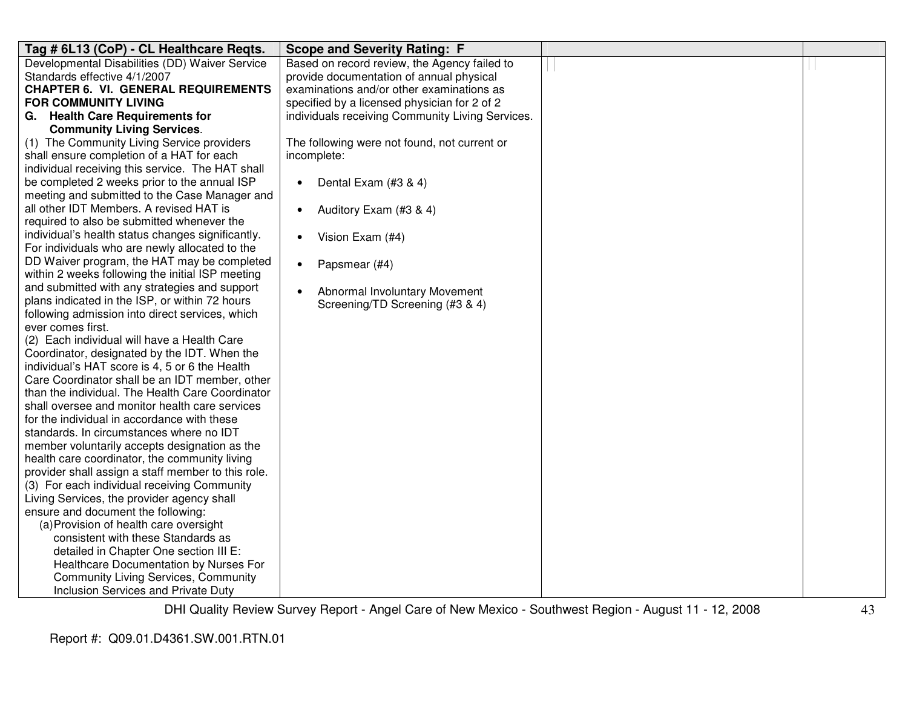| Tag # 6L13 (CoP) - CL Healthcare Reqts.                              | <b>Scope and Severity Rating: F</b>              |  |
|----------------------------------------------------------------------|--------------------------------------------------|--|
| Developmental Disabilities (DD) Waiver Service                       | Based on record review, the Agency failed to     |  |
| Standards effective 4/1/2007                                         | provide documentation of annual physical         |  |
| <b>CHAPTER 6. VI. GENERAL REQUIREMENTS</b>                           | examinations and/or other examinations as        |  |
| <b>FOR COMMUNITY LIVING</b>                                          | specified by a licensed physician for 2 of 2     |  |
| G. Health Care Requirements for                                      | individuals receiving Community Living Services. |  |
| <b>Community Living Services.</b>                                    |                                                  |  |
| (1) The Community Living Service providers                           | The following were not found, not current or     |  |
| shall ensure completion of a HAT for each                            | incomplete:                                      |  |
| individual receiving this service. The HAT shall                     |                                                  |  |
| be completed 2 weeks prior to the annual ISP                         | Dental Exam (#3 & 4)<br>$\bullet$                |  |
| meeting and submitted to the Case Manager and                        |                                                  |  |
| all other IDT Members. A revised HAT is                              | Auditory Exam (#3 & 4)<br>$\bullet$              |  |
| required to also be submitted whenever the                           |                                                  |  |
| individual's health status changes significantly.                    | Vision Exam (#4)<br>$\bullet$                    |  |
| For individuals who are newly allocated to the                       |                                                  |  |
| DD Waiver program, the HAT may be completed                          | Papsmear (#4)<br>$\bullet$                       |  |
| within 2 weeks following the initial ISP meeting                     |                                                  |  |
| and submitted with any strategies and support                        | Abnormal Involuntary Movement<br>$\bullet$       |  |
| plans indicated in the ISP, or within 72 hours                       | Screening/TD Screening (#3 & 4)                  |  |
| following admission into direct services, which<br>ever comes first. |                                                  |  |
| (2) Each individual will have a Health Care                          |                                                  |  |
| Coordinator, designated by the IDT. When the                         |                                                  |  |
| individual's HAT score is 4, 5 or 6 the Health                       |                                                  |  |
| Care Coordinator shall be an IDT member, other                       |                                                  |  |
| than the individual. The Health Care Coordinator                     |                                                  |  |
| shall oversee and monitor health care services                       |                                                  |  |
| for the individual in accordance with these                          |                                                  |  |
| standards. In circumstances where no IDT                             |                                                  |  |
| member voluntarily accepts designation as the                        |                                                  |  |
| health care coordinator, the community living                        |                                                  |  |
| provider shall assign a staff member to this role.                   |                                                  |  |
| (3) For each individual receiving Community                          |                                                  |  |
| Living Services, the provider agency shall                           |                                                  |  |
| ensure and document the following:                                   |                                                  |  |
| (a) Provision of health care oversight                               |                                                  |  |
| consistent with these Standards as                                   |                                                  |  |
| detailed in Chapter One section III E:                               |                                                  |  |
| Healthcare Documentation by Nurses For                               |                                                  |  |
| <b>Community Living Services, Community</b>                          |                                                  |  |
| Inclusion Services and Private Duty                                  |                                                  |  |
|                                                                      |                                                  |  |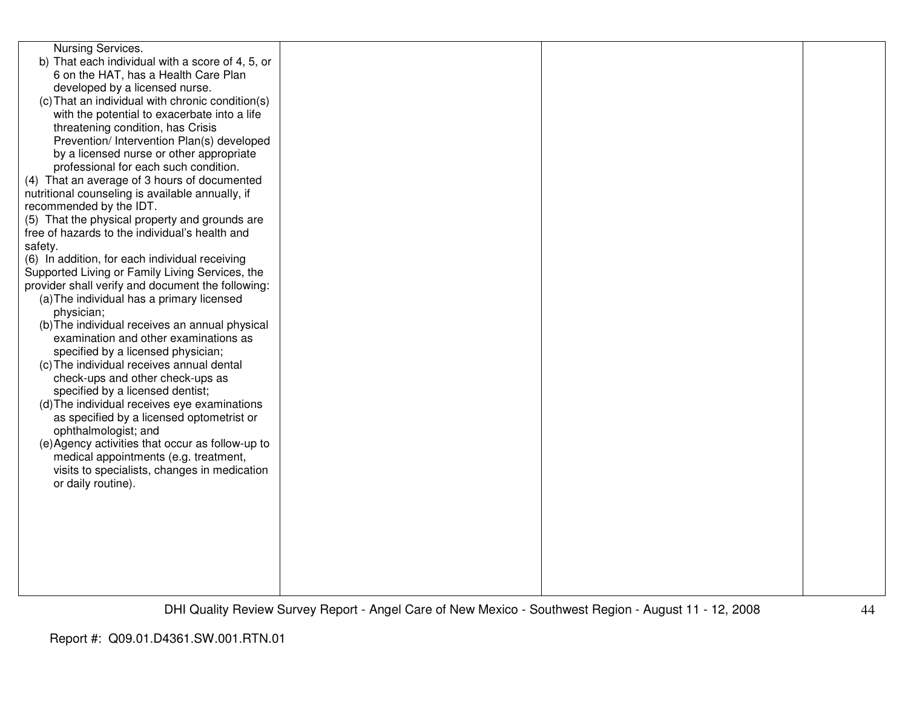| Nursing Services.<br>b) That each individual with a score of 4, 5, or<br>6 on the HAT, has a Health Care Plan<br>developed by a licensed nurse.<br>(c) That an individual with chronic condition(s)<br>with the potential to exacerbate into a life                      |  |  |
|--------------------------------------------------------------------------------------------------------------------------------------------------------------------------------------------------------------------------------------------------------------------------|--|--|
| threatening condition, has Crisis<br>Prevention/ Intervention Plan(s) developed<br>by a licensed nurse or other appropriate<br>professional for each such condition.<br>(4) That an average of 3 hours of documented<br>nutritional counseling is available annually, if |  |  |
| recommended by the IDT.                                                                                                                                                                                                                                                  |  |  |
| (5) That the physical property and grounds are                                                                                                                                                                                                                           |  |  |
| free of hazards to the individual's health and<br>safety.                                                                                                                                                                                                                |  |  |
| (6) In addition, for each individual receiving                                                                                                                                                                                                                           |  |  |
| Supported Living or Family Living Services, the                                                                                                                                                                                                                          |  |  |
| provider shall verify and document the following:                                                                                                                                                                                                                        |  |  |
| (a) The individual has a primary licensed                                                                                                                                                                                                                                |  |  |
| physician;<br>(b) The individual receives an annual physical                                                                                                                                                                                                             |  |  |
| examination and other examinations as                                                                                                                                                                                                                                    |  |  |
| specified by a licensed physician;                                                                                                                                                                                                                                       |  |  |
| (c) The individual receives annual dental                                                                                                                                                                                                                                |  |  |
| check-ups and other check-ups as                                                                                                                                                                                                                                         |  |  |
| specified by a licensed dentist;<br>(d) The individual receives eye examinations                                                                                                                                                                                         |  |  |
| as specified by a licensed optometrist or                                                                                                                                                                                                                                |  |  |
| ophthalmologist; and                                                                                                                                                                                                                                                     |  |  |
| (e) Agency activities that occur as follow-up to                                                                                                                                                                                                                         |  |  |
| medical appointments (e.g. treatment,                                                                                                                                                                                                                                    |  |  |
| visits to specialists, changes in medication<br>or daily routine).                                                                                                                                                                                                       |  |  |
|                                                                                                                                                                                                                                                                          |  |  |
|                                                                                                                                                                                                                                                                          |  |  |
|                                                                                                                                                                                                                                                                          |  |  |
|                                                                                                                                                                                                                                                                          |  |  |
|                                                                                                                                                                                                                                                                          |  |  |
|                                                                                                                                                                                                                                                                          |  |  |
|                                                                                                                                                                                                                                                                          |  |  |
|                                                                                                                                                                                                                                                                          |  |  |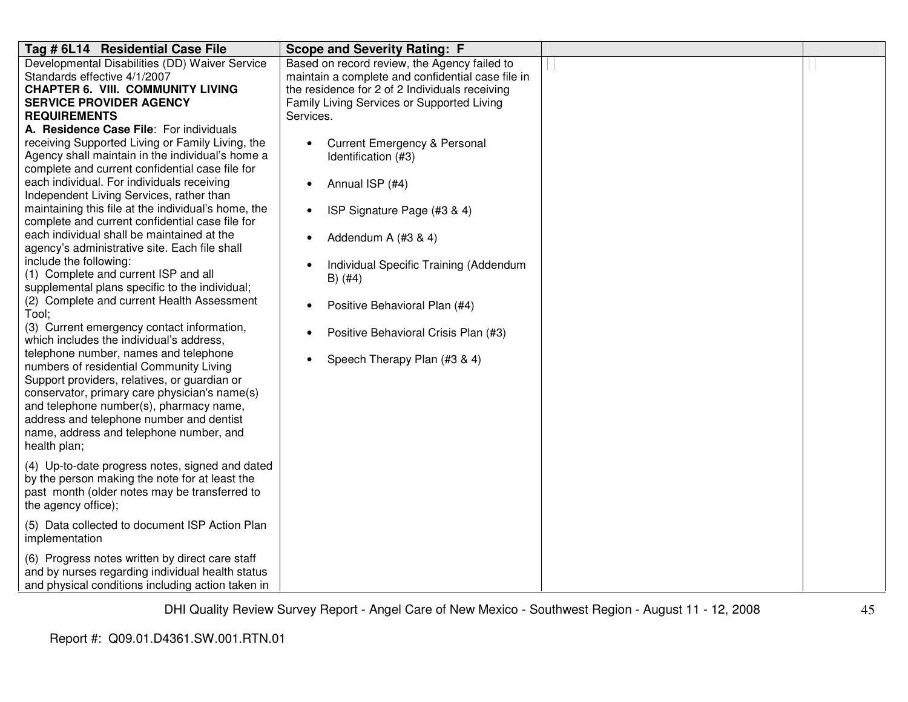| Tag # 6L14 Residential Case File                                                                                                                                                                                                                                                                                                                                                                                                                                                                                                                                                                                                                                                                                                                                                                                                                                                                                                                                                                                                                                                                                                                                                                                                                                                                                                                            | <b>Scope and Severity Rating: F</b>                                                                                                                                                                                                                                                                                                                                                                                                                                                                                                    |  |
|-------------------------------------------------------------------------------------------------------------------------------------------------------------------------------------------------------------------------------------------------------------------------------------------------------------------------------------------------------------------------------------------------------------------------------------------------------------------------------------------------------------------------------------------------------------------------------------------------------------------------------------------------------------------------------------------------------------------------------------------------------------------------------------------------------------------------------------------------------------------------------------------------------------------------------------------------------------------------------------------------------------------------------------------------------------------------------------------------------------------------------------------------------------------------------------------------------------------------------------------------------------------------------------------------------------------------------------------------------------|----------------------------------------------------------------------------------------------------------------------------------------------------------------------------------------------------------------------------------------------------------------------------------------------------------------------------------------------------------------------------------------------------------------------------------------------------------------------------------------------------------------------------------------|--|
| Developmental Disabilities (DD) Waiver Service<br>Standards effective 4/1/2007<br><b>CHAPTER 6. VIII. COMMUNITY LIVING</b><br><b>SERVICE PROVIDER AGENCY</b><br><b>REQUIREMENTS</b><br>A. Residence Case File: For individuals<br>receiving Supported Living or Family Living, the<br>Agency shall maintain in the individual's home a<br>complete and current confidential case file for<br>each individual. For individuals receiving<br>Independent Living Services, rather than<br>maintaining this file at the individual's home, the<br>complete and current confidential case file for<br>each individual shall be maintained at the<br>agency's administrative site. Each file shall<br>include the following:<br>(1) Complete and current ISP and all<br>supplemental plans specific to the individual;<br>(2) Complete and current Health Assessment<br>Tool;<br>(3) Current emergency contact information,<br>which includes the individual's address,<br>telephone number, names and telephone<br>numbers of residential Community Living<br>Support providers, relatives, or guardian or<br>conservator, primary care physician's name(s)<br>and telephone number(s), pharmacy name,<br>address and telephone number and dentist<br>name, address and telephone number, and<br>health plan;<br>(4) Up-to-date progress notes, signed and dated | Based on record review, the Agency failed to<br>maintain a complete and confidential case file in<br>the residence for 2 of 2 Individuals receiving<br>Family Living Services or Supported Living<br>Services.<br><b>Current Emergency &amp; Personal</b><br>Identification (#3)<br>Annual ISP (#4)<br>$\bullet$<br>ISP Signature Page (#3 & 4)<br>Addendum A (#3 & 4)<br>Individual Specific Training (Addendum<br>$B)$ (#4)<br>Positive Behavioral Plan (#4)<br>Positive Behavioral Crisis Plan (#3)<br>Speech Therapy Plan (#3 & 4) |  |
| by the person making the note for at least the<br>past month (older notes may be transferred to<br>the agency office);                                                                                                                                                                                                                                                                                                                                                                                                                                                                                                                                                                                                                                                                                                                                                                                                                                                                                                                                                                                                                                                                                                                                                                                                                                      |                                                                                                                                                                                                                                                                                                                                                                                                                                                                                                                                        |  |
| (5) Data collected to document ISP Action Plan<br>implementation                                                                                                                                                                                                                                                                                                                                                                                                                                                                                                                                                                                                                                                                                                                                                                                                                                                                                                                                                                                                                                                                                                                                                                                                                                                                                            |                                                                                                                                                                                                                                                                                                                                                                                                                                                                                                                                        |  |
| (6) Progress notes written by direct care staff<br>and by nurses regarding individual health status<br>and physical conditions including action taken in                                                                                                                                                                                                                                                                                                                                                                                                                                                                                                                                                                                                                                                                                                                                                                                                                                                                                                                                                                                                                                                                                                                                                                                                    |                                                                                                                                                                                                                                                                                                                                                                                                                                                                                                                                        |  |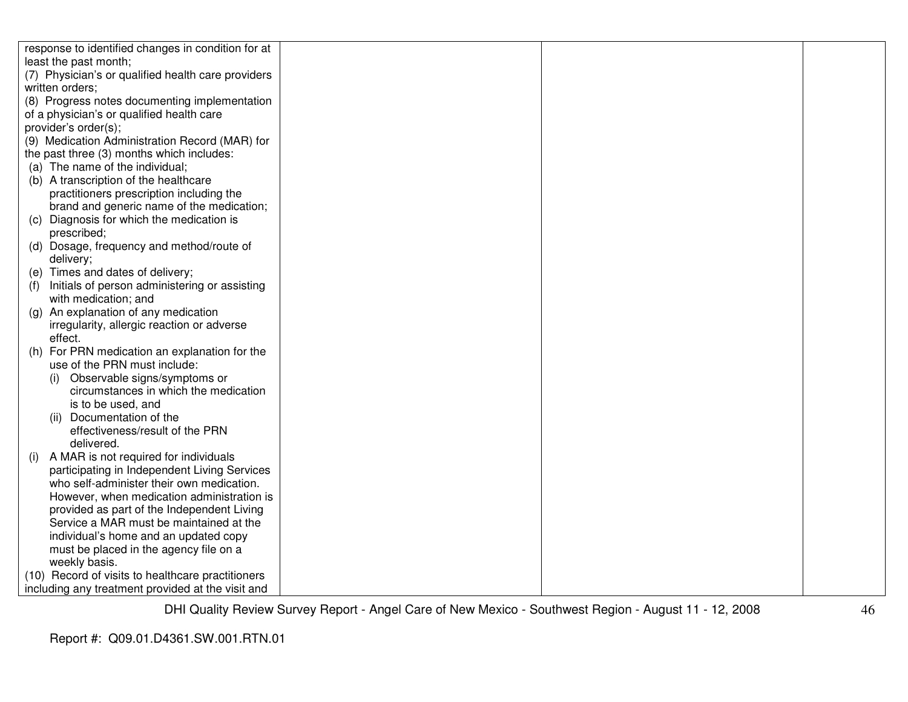| response to identified changes in condition for at   |  |  |
|------------------------------------------------------|--|--|
| least the past month;                                |  |  |
| (7) Physician's or qualified health care providers   |  |  |
| written orders;                                      |  |  |
| (8) Progress notes documenting implementation        |  |  |
| of a physician's or qualified health care            |  |  |
| provider's order(s);                                 |  |  |
| (9) Medication Administration Record (MAR) for       |  |  |
| the past three (3) months which includes:            |  |  |
| (a) The name of the individual;                      |  |  |
| (b) A transcription of the healthcare                |  |  |
| practitioners prescription including the             |  |  |
| brand and generic name of the medication;            |  |  |
| (c) Diagnosis for which the medication is            |  |  |
| prescribed;                                          |  |  |
| (d) Dosage, frequency and method/route of            |  |  |
| delivery;                                            |  |  |
| (e) Times and dates of delivery;                     |  |  |
| Initials of person administering or assisting<br>(f) |  |  |
| with medication; and                                 |  |  |
| (g) An explanation of any medication                 |  |  |
| irregularity, allergic reaction or adverse           |  |  |
| effect.                                              |  |  |
| (h) For PRN medication an explanation for the        |  |  |
| use of the PRN must include:                         |  |  |
| Observable signs/symptoms or<br>(i)                  |  |  |
| circumstances in which the medication                |  |  |
| is to be used, and                                   |  |  |
| (ii) Documentation of the                            |  |  |
| effectiveness/result of the PRN                      |  |  |
| delivered.                                           |  |  |
| A MAR is not required for individuals<br>(i)         |  |  |
| participating in Independent Living Services         |  |  |
| who self-administer their own medication.            |  |  |
| However, when medication administration is           |  |  |
| provided as part of the Independent Living           |  |  |
| Service a MAR must be maintained at the              |  |  |
| individual's home and an updated copy                |  |  |
| must be placed in the agency file on a               |  |  |
| weekly basis.                                        |  |  |
| (10) Record of visits to healthcare practitioners    |  |  |
| including any treatment provided at the visit and    |  |  |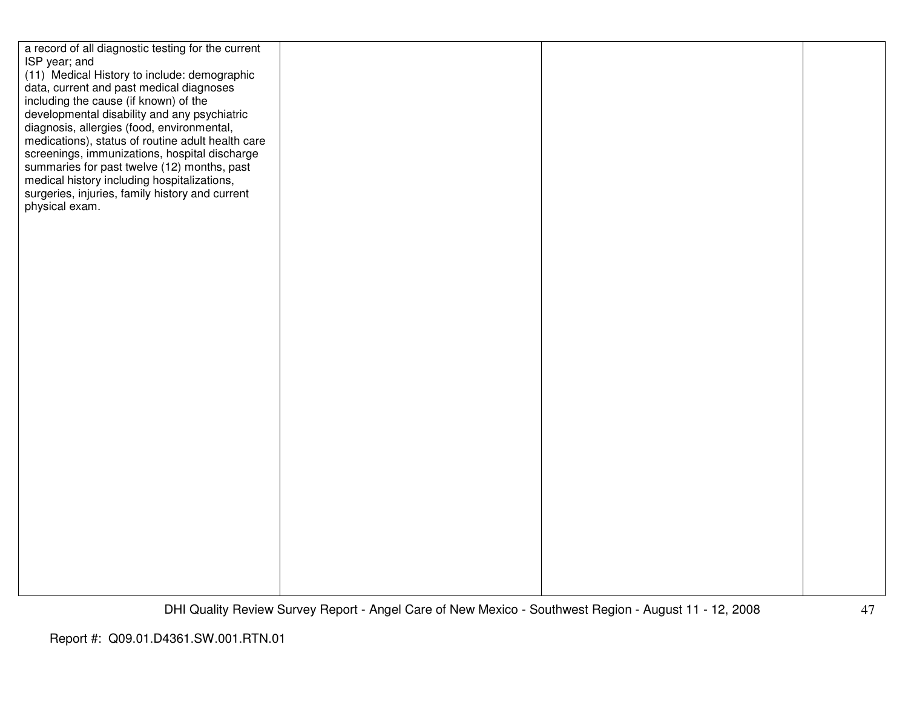| a record of all diagnostic testing for the current |  |  |
|----------------------------------------------------|--|--|
| ISP year; and                                      |  |  |
|                                                    |  |  |
| (11) Medical History to include: demographic       |  |  |
| data, current and past medical diagnoses           |  |  |
| including the cause (if known) of the              |  |  |
|                                                    |  |  |
| developmental disability and any psychiatric       |  |  |
| diagnosis, allergies (food, environmental,         |  |  |
| medications), status of routine adult health care  |  |  |
| screenings, immunizations, hospital discharge      |  |  |
|                                                    |  |  |
| summaries for past twelve (12) months, past        |  |  |
| medical history including hospitalizations,        |  |  |
| surgeries, injuries, family history and current    |  |  |
| physical exam.                                     |  |  |
|                                                    |  |  |
|                                                    |  |  |
|                                                    |  |  |
|                                                    |  |  |
|                                                    |  |  |
|                                                    |  |  |
|                                                    |  |  |
|                                                    |  |  |
|                                                    |  |  |
|                                                    |  |  |
|                                                    |  |  |
|                                                    |  |  |
|                                                    |  |  |
|                                                    |  |  |
|                                                    |  |  |
|                                                    |  |  |
|                                                    |  |  |
|                                                    |  |  |
|                                                    |  |  |
|                                                    |  |  |
|                                                    |  |  |
|                                                    |  |  |
|                                                    |  |  |
|                                                    |  |  |
|                                                    |  |  |
|                                                    |  |  |
|                                                    |  |  |
|                                                    |  |  |
|                                                    |  |  |
|                                                    |  |  |
|                                                    |  |  |
|                                                    |  |  |
|                                                    |  |  |
|                                                    |  |  |
|                                                    |  |  |
|                                                    |  |  |
|                                                    |  |  |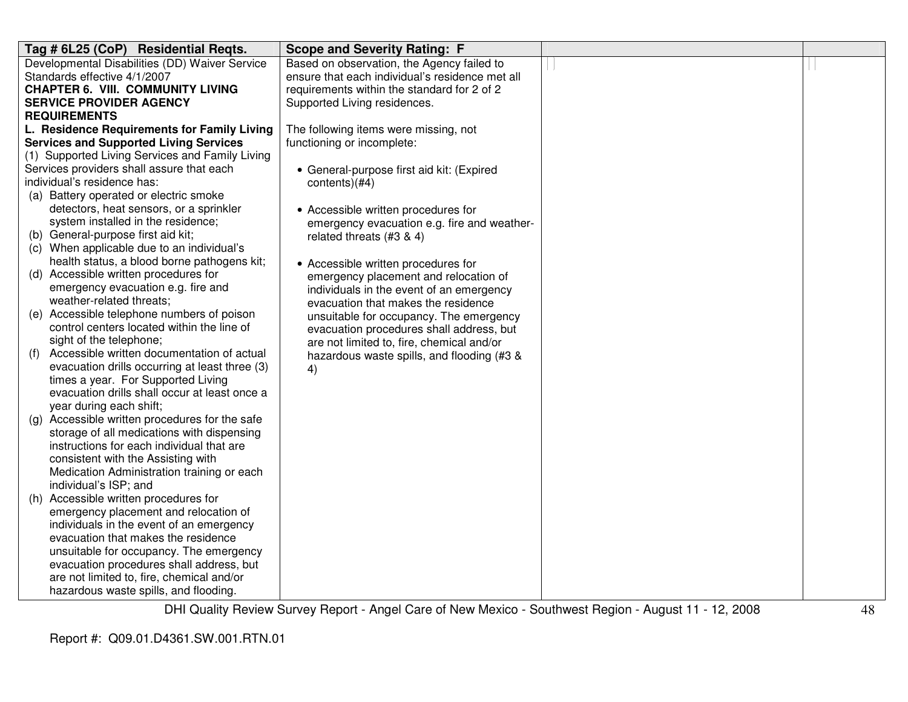| Tag # 6L25 (CoP) Residential Reqts.                                 | <b>Scope and Severity Rating: F</b>             |  |
|---------------------------------------------------------------------|-------------------------------------------------|--|
| Developmental Disabilities (DD) Waiver Service                      | Based on observation, the Agency failed to      |  |
| Standards effective 4/1/2007                                        | ensure that each individual's residence met all |  |
| <b>CHAPTER 6. VIII. COMMUNITY LIVING</b>                            | requirements within the standard for 2 of 2     |  |
| <b>SERVICE PROVIDER AGENCY</b>                                      | Supported Living residences.                    |  |
| <b>REQUIREMENTS</b>                                                 |                                                 |  |
| L. Residence Requirements for Family Living                         | The following items were missing, not           |  |
| <b>Services and Supported Living Services</b>                       | functioning or incomplete:                      |  |
| (1) Supported Living Services and Family Living                     |                                                 |  |
| Services providers shall assure that each                           | • General-purpose first aid kit: (Expired       |  |
| individual's residence has:                                         | contents)(#4)                                   |  |
| (a) Battery operated or electric smoke                              |                                                 |  |
| detectors, heat sensors, or a sprinkler                             | • Accessible written procedures for             |  |
| system installed in the residence;                                  | emergency evacuation e.g. fire and weather-     |  |
| (b) General-purpose first aid kit;                                  | related threats (#3 & 4)                        |  |
| (c) When applicable due to an individual's                          |                                                 |  |
| health status, a blood borne pathogens kit;                         | • Accessible written procedures for             |  |
| (d) Accessible written procedures for                               | emergency placement and relocation of           |  |
| emergency evacuation e.g. fire and                                  | individuals in the event of an emergency        |  |
| weather-related threats;                                            | evacuation that makes the residence             |  |
| (e) Accessible telephone numbers of poison                          | unsuitable for occupancy. The emergency         |  |
| control centers located within the line of                          | evacuation procedures shall address, but        |  |
| sight of the telephone;                                             | are not limited to, fire, chemical and/or       |  |
| Accessible written documentation of actual<br>(f)                   | hazardous waste spills, and flooding (#3 &      |  |
| evacuation drills occurring at least three (3)                      | 4)                                              |  |
| times a year. For Supported Living                                  |                                                 |  |
| evacuation drills shall occur at least once a                       |                                                 |  |
| year during each shift;                                             |                                                 |  |
| (g) Accessible written procedures for the safe                      |                                                 |  |
| storage of all medications with dispensing                          |                                                 |  |
| instructions for each individual that are                           |                                                 |  |
| consistent with the Assisting with                                  |                                                 |  |
| Medication Administration training or each<br>individual's ISP; and |                                                 |  |
| (h) Accessible written procedures for                               |                                                 |  |
| emergency placement and relocation of                               |                                                 |  |
| individuals in the event of an emergency                            |                                                 |  |
| evacuation that makes the residence                                 |                                                 |  |
| unsuitable for occupancy. The emergency                             |                                                 |  |
| evacuation procedures shall address, but                            |                                                 |  |
| are not limited to, fire, chemical and/or                           |                                                 |  |
| hazardous waste spills, and flooding.                               |                                                 |  |
|                                                                     |                                                 |  |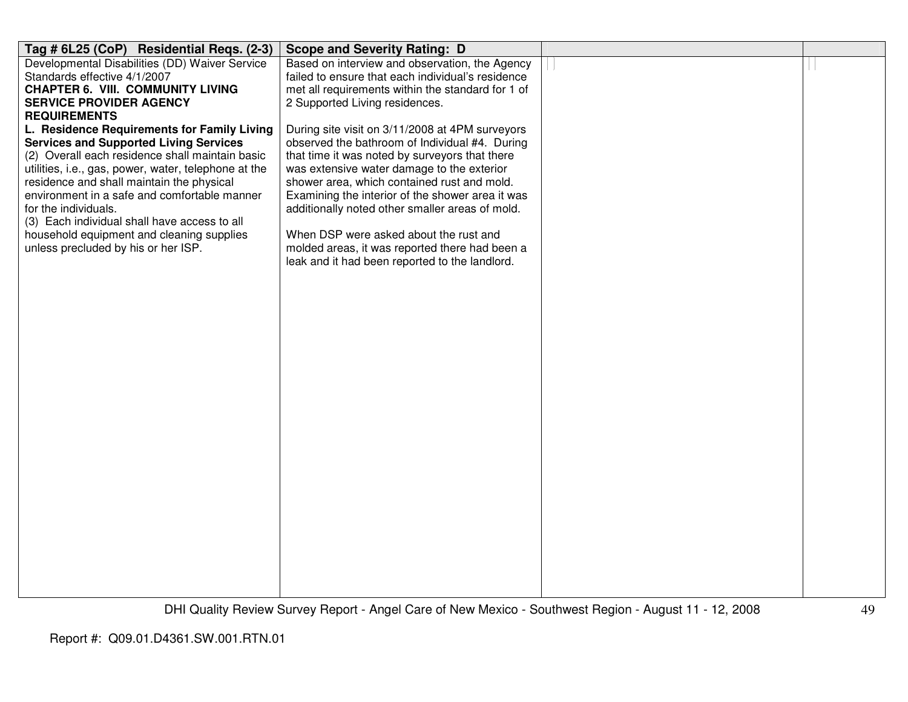| Tag # 6L25 (CoP) Residential Reqs. (2-3)                                                                                                                                                                                                                                                                                                                                                                                                                         | <b>Scope and Severity Rating: D</b>                                                                                                                                                                                                                                                                                                                                                                                                                                                                                                     |  |
|------------------------------------------------------------------------------------------------------------------------------------------------------------------------------------------------------------------------------------------------------------------------------------------------------------------------------------------------------------------------------------------------------------------------------------------------------------------|-----------------------------------------------------------------------------------------------------------------------------------------------------------------------------------------------------------------------------------------------------------------------------------------------------------------------------------------------------------------------------------------------------------------------------------------------------------------------------------------------------------------------------------------|--|
| Developmental Disabilities (DD) Waiver Service<br>Standards effective 4/1/2007                                                                                                                                                                                                                                                                                                                                                                                   | Based on interview and observation, the Agency<br>failed to ensure that each individual's residence                                                                                                                                                                                                                                                                                                                                                                                                                                     |  |
| <b>CHAPTER 6. VIII. COMMUNITY LIVING</b><br><b>SERVICE PROVIDER AGENCY</b>                                                                                                                                                                                                                                                                                                                                                                                       | met all requirements within the standard for 1 of                                                                                                                                                                                                                                                                                                                                                                                                                                                                                       |  |
| <b>REQUIREMENTS</b>                                                                                                                                                                                                                                                                                                                                                                                                                                              |                                                                                                                                                                                                                                                                                                                                                                                                                                                                                                                                         |  |
| L. Residence Requirements for Family Living<br><b>Services and Supported Living Services</b><br>(2) Overall each residence shall maintain basic<br>utilities, i.e., gas, power, water, telephone at the<br>residence and shall maintain the physical<br>environment in a safe and comfortable manner<br>for the individuals.<br>(3) Each individual shall have access to all<br>household equipment and cleaning supplies<br>unless precluded by his or her ISP. | 2 Supported Living residences.<br>During site visit on 3/11/2008 at 4PM surveyors<br>observed the bathroom of Individual #4. During<br>that time it was noted by surveyors that there<br>was extensive water damage to the exterior<br>shower area, which contained rust and mold.<br>Examining the interior of the shower area it was<br>additionally noted other smaller areas of mold.<br>When DSP were asked about the rust and<br>molded areas, it was reported there had been a<br>leak and it had been reported to the landlord. |  |
|                                                                                                                                                                                                                                                                                                                                                                                                                                                                  |                                                                                                                                                                                                                                                                                                                                                                                                                                                                                                                                         |  |
|                                                                                                                                                                                                                                                                                                                                                                                                                                                                  |                                                                                                                                                                                                                                                                                                                                                                                                                                                                                                                                         |  |
|                                                                                                                                                                                                                                                                                                                                                                                                                                                                  |                                                                                                                                                                                                                                                                                                                                                                                                                                                                                                                                         |  |
|                                                                                                                                                                                                                                                                                                                                                                                                                                                                  |                                                                                                                                                                                                                                                                                                                                                                                                                                                                                                                                         |  |
|                                                                                                                                                                                                                                                                                                                                                                                                                                                                  |                                                                                                                                                                                                                                                                                                                                                                                                                                                                                                                                         |  |